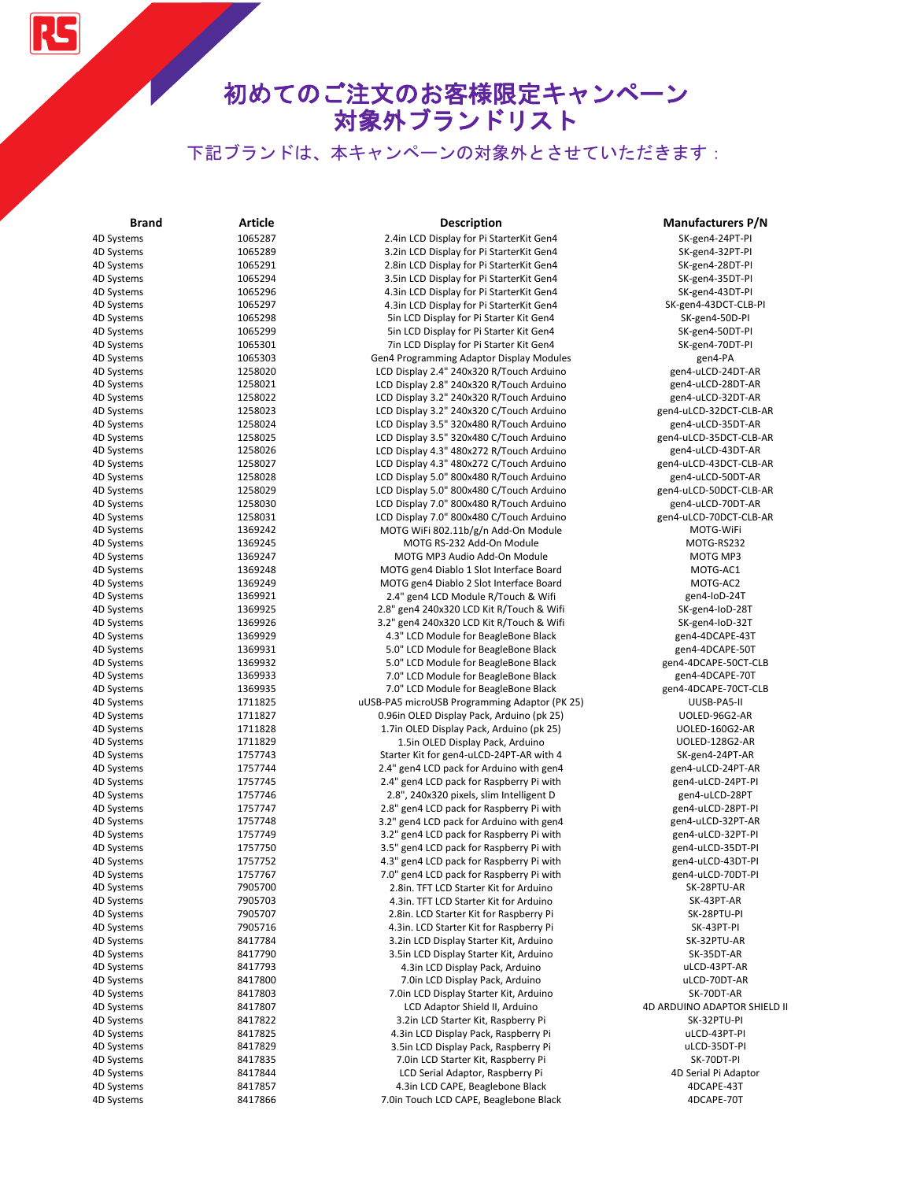RS

| <b>Brand</b>             | <b>Article</b>     | <b>Description</b>                                                           | <b>Manufacturers P/N</b>                |
|--------------------------|--------------------|------------------------------------------------------------------------------|-----------------------------------------|
| 4D Systems               | 1065287            | 2.4in LCD Display for Pi StarterKit Gen4                                     | SK-gen4-24PT-PI                         |
| 4D Systems               | 1065289            | 3.2in LCD Display for Pi StarterKit Gen4                                     | SK-gen4-32PT-PI                         |
| 4D Systems               | 1065291            | 2.8in LCD Display for Pi StarterKit Gen4                                     | SK-gen4-28DT-PI                         |
| 4D Systems               | 1065294            | 3.5in LCD Display for Pi StarterKit Gen4                                     | SK-gen4-35DT-PI                         |
| 4D Systems               | 1065296            | 4.3in LCD Display for Pi StarterKit Gen4                                     | SK-gen4-43DT-PI                         |
| 4D Systems               | 1065297            | 4.3in LCD Display for Pi StarterKit Gen4                                     | SK-gen4-43DCT-CLB-PI                    |
| 4D Systems               | 1065298            | 5in LCD Display for Pi Starter Kit Gen4                                      | SK-gen4-50D-PI                          |
| 4D Systems               | 1065299            | 5in LCD Display for Pi Starter Kit Gen4                                      | SK-gen4-50DT-PI                         |
| 4D Systems               | 1065301            | 7in LCD Display for Pi Starter Kit Gen4                                      | SK-gen4-70DT-PI                         |
| 4D Systems               | 1065303            | Gen4 Programming Adaptor Display Modules                                     | gen4-PA                                 |
| 4D Systems               | 1258020            | LCD Display 2.4" 240x320 R/Touch Arduino                                     | gen4-uLCD-24DT-AR                       |
| 4D Systems               | 1258021            | LCD Display 2.8" 240x320 R/Touch Arduino                                     | gen4-uLCD-28DT-AR                       |
| 4D Systems               | 1258022            | LCD Display 3.2" 240x320 R/Touch Arduino                                     | gen4-uLCD-32DT-AR                       |
| 4D Systems               | 1258023            | LCD Display 3.2" 240x320 C/Touch Arduino                                     | gen4-uLCD-32DCT-CLB-AR                  |
| 4D Systems               | 1258024            | LCD Display 3.5" 320x480 R/Touch Arduino                                     | gen4-uLCD-35DT-AR                       |
| 4D Systems               | 1258025            | LCD Display 3.5" 320x480 C/Touch Arduino                                     | gen4-uLCD-35DCT-CLB-AR                  |
| 4D Systems               | 1258026            | LCD Display 4.3" 480x272 R/Touch Arduino                                     | gen4-uLCD-43DT-AR                       |
| 4D Systems               | 1258027            | LCD Display 4.3" 480x272 C/Touch Arduino                                     | gen4-uLCD-43DCT-CLB-AR                  |
| 4D Systems               | 1258028            | LCD Display 5.0" 800x480 R/Touch Arduino                                     | gen4-uLCD-50DT-AR                       |
| 4D Systems               | 1258029            | LCD Display 5.0" 800x480 C/Touch Arduino                                     | gen4-uLCD-50DCT-CLB-AR                  |
| 4D Systems               | 1258030            | LCD Display 7.0" 800x480 R/Touch Arduino                                     | gen4-uLCD-70DT-AR                       |
| 4D Systems               | 1258031            | LCD Display 7.0" 800x480 C/Touch Arduino                                     | gen4-uLCD-70DCT-CLB-AR                  |
| 4D Systems               | 1369242            | MOTG WiFi 802.11b/g/n Add-On Module                                          | MOTG-WiFi                               |
| 4D Systems               | 1369245            | MOTG RS-232 Add-On Module                                                    | MOTG-RS232                              |
| 4D Systems               | 1369247            | MOTG MP3 Audio Add-On Module                                                 | MOTG MP3                                |
| 4D Systems               | 1369248            | MOTG gen4 Diablo 1 Slot Interface Board                                      | MOTG-AC1                                |
| 4D Systems               | 1369249            | MOTG gen4 Diablo 2 Slot Interface Board                                      | MOTG-AC2                                |
| 4D Systems               | 1369921            | 2.4" gen4 LCD Module R/Touch & Wifi                                          | gen4-IoD-24T                            |
| 4D Systems               | 1369925            | 2.8" gen4 240x320 LCD Kit R/Touch & Wifi                                     | SK-gen4-IoD-28T                         |
| 4D Systems               | 1369926            | 3.2" gen4 240x320 LCD Kit R/Touch & Wifi                                     | SK-gen4-IoD-32T                         |
| 4D Systems               | 1369929            | 4.3" LCD Module for BeagleBone Black                                         | gen4-4DCAPE-43T                         |
| 4D Systems               | 1369931            | 5.0" LCD Module for BeagleBone Black                                         | gen4-4DCAPE-50T                         |
| 4D Systems               | 1369932            | 5.0" LCD Module for BeagleBone Black                                         | gen4-4DCAPE-50CT-CLB                    |
| 4D Systems<br>4D Systems | 1369933<br>1369935 | 7.0" LCD Module for BeagleBone Black<br>7.0" LCD Module for BeagleBone Black | gen4-4DCAPE-70T<br>gen4-4DCAPE-70CT-CLB |
| 4D Systems               | 1711825            | uUSB-PA5 microUSB Programming Adaptor (PK 25)                                | UUSB-PA5-II                             |
| 4D Systems               | 1711827            | 0.96in OLED Display Pack, Arduino (pk 25)                                    | UOLED-96G2-AR                           |
| 4D Systems               | 1711828            | 1.7in OLED Display Pack, Arduino (pk 25)                                     | UOLED-160G2-AR                          |
| 4D Systems               | 1711829            | 1.5in OLED Display Pack, Arduino                                             | UOLED-128G2-AR                          |
| 4D Systems               | 1757743            | Starter Kit for gen4-uLCD-24PT-AR with 4                                     | SK-gen4-24PT-AR                         |
| 4D Systems               | 1757744            | 2.4" gen4 LCD pack for Arduino with gen4                                     | gen4-uLCD-24PT-AR                       |
| 4D Systems               | 1757745            | 2.4" gen4 LCD pack for Raspberry Pi with                                     | gen4-uLCD-24PT-PI                       |
| 4D Systems               | 1757746            | 2.8", 240x320 pixels, slim Intelligent D                                     | gen4-uLCD-28PT                          |
| 4D Systems               | 1757747            | 2.8" gen4 LCD pack for Raspberry Pi with                                     | gen4-uLCD-28PT-PI                       |
| 4D Systems               | 1757748            | 3.2" gen4 LCD pack for Arduino with gen4                                     | gen4-uLCD-32PT-AR                       |
| 4D Systems               | 1757749            | 3.2" gen4 LCD pack for Raspberry Pi with                                     | gen4-uLCD-32PT-PI                       |
| 4D Systems               | 1757750            | 3.5" gen4 LCD pack for Raspberry Pi with                                     | gen4-uLCD-35DT-PI                       |
| 4D Systems               | 1757752            | 4.3" gen4 LCD pack for Raspberry Pi with                                     | gen4-uLCD-43DT-PI                       |
| 4D Systems               | 1757767            | 7.0" gen4 LCD pack for Raspberry Pi with                                     | gen4-uLCD-70DT-PI                       |
| 4D Systems               | 7905700            | 2.8in. TFT LCD Starter Kit for Arduino                                       | SK-28PTU-AR                             |
| 4D Systems               | 7905703            | 4.3in. TFT LCD Starter Kit for Arduino                                       | SK-43PT-AR                              |
| 4D Systems               | 7905707            | 2.8in. LCD Starter Kit for Raspberry Pi                                      | SK-28PTU-PI                             |
| 4D Systems               | 7905716            | 4.3in. LCD Starter Kit for Raspberry Pi                                      | SK-43PT-PI                              |
| 4D Systems               | 8417784            | 3.2in LCD Display Starter Kit, Arduino                                       | SK-32PTU-AR                             |
| 4D Systems               | 8417790            | 3.5in LCD Display Starter Kit, Arduino                                       | SK-35DT-AR                              |
| 4D Systems               | 8417793            | 4.3in LCD Display Pack, Arduino                                              | uLCD-43PT-AR                            |
| 4D Systems               | 8417800            | 7.0in LCD Display Pack, Arduino                                              | uLCD-70DT-AR                            |
| 4D Systems               | 8417803            | 7.0in LCD Display Starter Kit, Arduino                                       | SK-70DT-AR                              |
| 4D Systems               | 8417807            | LCD Adaptor Shield II, Arduino                                               | 4D ARDUINO ADAPTOR SHIELD II            |
| 4D Systems               | 8417822            | 3.2in LCD Starter Kit, Raspberry Pi                                          | SK-32PTU-PI                             |
| 4D Systems               | 8417825            | 4.3in LCD Display Pack, Raspberry Pi                                         | uLCD-43PT-PI                            |
| 4D Systems               | 8417829            | 3.5in LCD Display Pack, Raspberry Pi                                         | uLCD-35DT-PI                            |
| 4D Systems               | 8417835            | 7.0in LCD Starter Kit, Raspberry Pi                                          | SK-70DT-PI                              |
| 4D Systems               | 8417844            | LCD Serial Adaptor, Raspberry Pi                                             | 4D Serial Pi Adaptor                    |
| 4D Systems               | 8417857            | 4.3in LCD CAPE, Beaglebone Black                                             | 4DCAPE-43T                              |
| 4D Systems               | 8417866            | 7.0in Touch LCD CAPE, Beaglebone Black                                       | 4DCAPE-70T                              |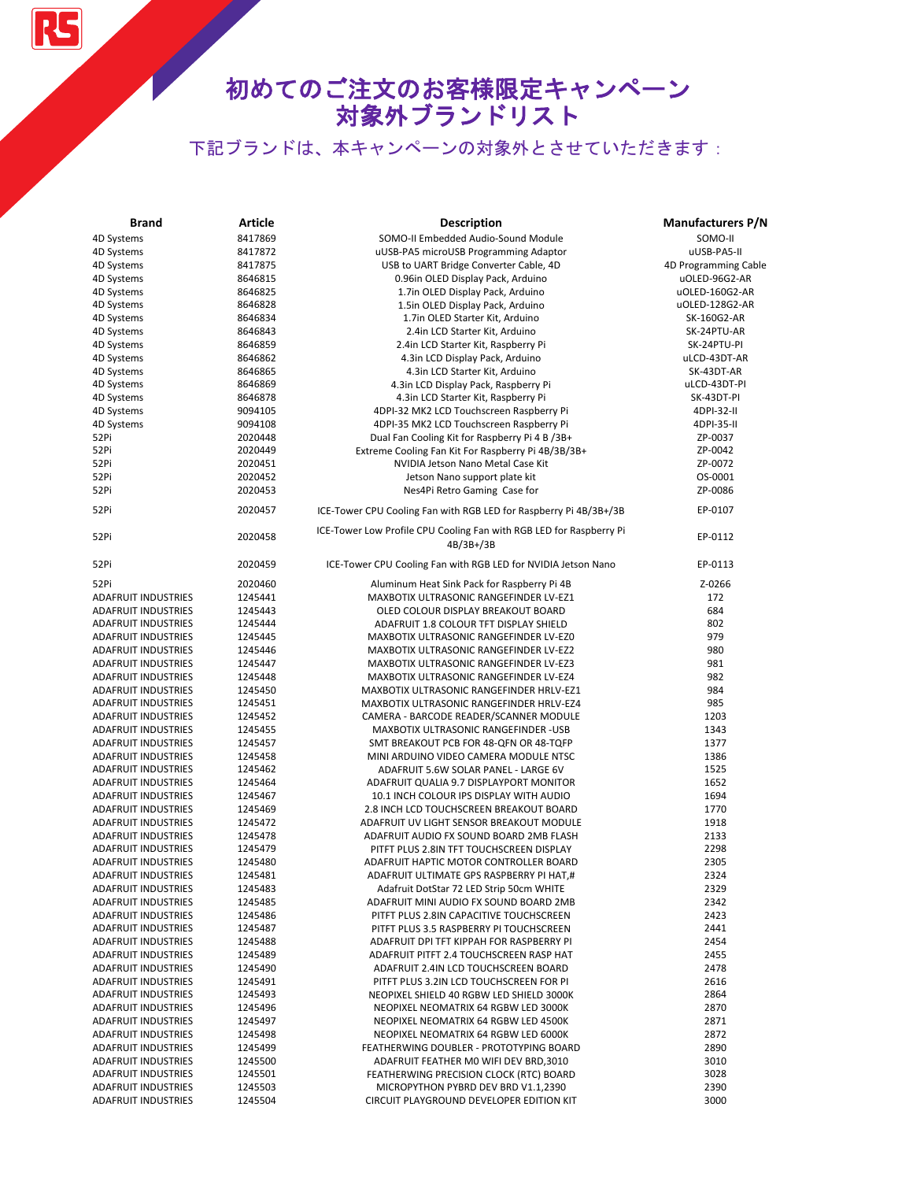# 初めてのご注文のお客様限定キャンペーン 対象外ブランドリスト

| <b>Brand</b>               | Article            | <b>Description</b>                                                  | <b>Manufacturers P/N</b> |
|----------------------------|--------------------|---------------------------------------------------------------------|--------------------------|
| 4D Systems                 | 8417869            | SOMO-II Embedded Audio-Sound Module                                 | SOMO-II                  |
| 4D Systems                 | 8417872            | uUSB-PA5 microUSB Programming Adaptor                               | uUSB-PA5-II              |
| 4D Systems                 | 8417875            | USB to UART Bridge Converter Cable, 4D                              | 4D Programming Cable     |
| 4D Systems                 | 8646815            | 0.96in OLED Display Pack, Arduino                                   | uOLED-96G2-AR            |
| 4D Systems                 | 8646825            | 1.7in OLED Display Pack, Arduino                                    | uOLED-160G2-AR           |
| 4D Systems                 | 8646828            | 1.5in OLED Display Pack, Arduino                                    | uOLED-128G2-AR           |
| 4D Systems                 | 8646834            | 1.7in OLED Starter Kit, Arduino                                     | SK-160G2-AR              |
| 4D Systems                 | 8646843            | 2.4in LCD Starter Kit, Arduino                                      | SK-24PTU-AR              |
| 4D Systems                 | 8646859            | 2.4in LCD Starter Kit, Raspberry Pi                                 | SK-24PTU-PI              |
|                            |                    |                                                                     |                          |
| 4D Systems                 | 8646862<br>8646865 | 4.3in LCD Display Pack, Arduino                                     | uLCD-43DT-AR             |
| 4D Systems                 |                    | 4.3in LCD Starter Kit, Arduino                                      | SK-43DT-AR               |
| 4D Systems                 | 8646869            | 4.3in LCD Display Pack, Raspberry Pi                                | uLCD-43DT-PI             |
| 4D Systems                 | 8646878            | 4.3in LCD Starter Kit, Raspberry Pi                                 | SK-43DT-PI               |
| 4D Systems                 | 9094105            | 4DPI-32 MK2 LCD Touchscreen Raspberry Pi                            | 4DPI-32-II               |
| 4D Systems                 | 9094108            | 4DPI-35 MK2 LCD Touchscreen Raspberry Pi                            | 4DPI-35-II               |
| 52Pi                       | 2020448            | Dual Fan Cooling Kit for Raspberry Pi 4 B /3B+                      | ZP-0037                  |
| 52Pi                       | 2020449            | Extreme Cooling Fan Kit For Raspberry Pi 4B/3B/3B+                  | ZP-0042                  |
| 52Pi                       | 2020451            | NVIDIA Jetson Nano Metal Case Kit                                   | ZP-0072                  |
| 52Pi                       | 2020452            | Jetson Nano support plate kit                                       | OS-0001                  |
| 52Pi                       | 2020453            | Nes4Pi Retro Gaming Case for                                        | ZP-0086                  |
| 52Pi                       | 2020457            | ICE-Tower CPU Cooling Fan with RGB LED for Raspberry Pi 4B/3B+/3B   | EP-0107                  |
|                            |                    | ICE-Tower Low Profile CPU Cooling Fan with RGB LED for Raspberry Pi |                          |
| 52Pi                       | 2020458            | $4B/3B+3B$                                                          | EP-0112                  |
| 52Pi                       | 2020459            | ICE-Tower CPU Cooling Fan with RGB LED for NVIDIA Jetson Nano       | EP-0113                  |
| 52Pi                       | 2020460            | Aluminum Heat Sink Pack for Raspberry Pi 4B                         | Z-0266                   |
| <b>ADAFRUIT INDUSTRIES</b> | 1245441            | MAXBOTIX ULTRASONIC RANGEFINDER LV-EZ1                              | 172                      |
| <b>ADAFRUIT INDUSTRIES</b> | 1245443            | OLED COLOUR DISPLAY BREAKOUT BOARD                                  | 684                      |
| <b>ADAFRUIT INDUSTRIES</b> | 1245444            | ADAFRUIT 1.8 COLOUR TFT DISPLAY SHIELD                              | 802                      |
| <b>ADAFRUIT INDUSTRIES</b> | 1245445            | MAXBOTIX ULTRASONIC RANGEFINDER LV-EZ0                              | 979                      |
| ADAFRUIT INDUSTRIES        | 1245446            | MAXBOTIX ULTRASONIC RANGEFINDER LV-EZ2                              | 980                      |
| ADAFRUIT INDUSTRIES        | 1245447            | MAXBOTIX ULTRASONIC RANGEFINDER LV-EZ3                              | 981                      |
| <b>ADAFRUIT INDUSTRIES</b> | 1245448            | MAXBOTIX ULTRASONIC RANGEFINDER LV-EZ4                              | 982                      |
| <b>ADAFRUIT INDUSTRIES</b> | 1245450            | MAXBOTIX ULTRASONIC RANGEFINDER HRLV-EZ1                            | 984                      |
| <b>ADAFRUIT INDUSTRIES</b> | 1245451            | MAXBOTIX ULTRASONIC RANGEFINDER HRLV-EZ4                            | 985                      |
| <b>ADAFRUIT INDUSTRIES</b> | 1245452            | CAMERA - BARCODE READER/SCANNER MODULE                              | 1203                     |
| <b>ADAFRUIT INDUSTRIES</b> | 1245455            | MAXBOTIX ULTRASONIC RANGEFINDER -USB                                | 1343                     |
| <b>ADAFRUIT INDUSTRIES</b> | 1245457            | SMT BREAKOUT PCB FOR 48-QFN OR 48-TQFP                              | 1377                     |
| <b>ADAFRUIT INDUSTRIES</b> | 1245458            | MINI ARDUINO VIDEO CAMERA MODULE NTSC                               | 1386                     |
| <b>ADAFRUIT INDUSTRIES</b> | 1245462            | ADAFRUIT 5.6W SOLAR PANEL - LARGE 6V                                | 1525                     |
| <b>ADAFRUIT INDUSTRIES</b> | 1245464            | ADAFRUIT QUALIA 9.7 DISPLAYPORT MONITOR                             | 1652                     |
| <b>ADAFRUIT INDUSTRIES</b> | 1245467            | 10.1 INCH COLOUR IPS DISPLAY WITH AUDIO                             | 1694                     |
| <b>ADAFRUIT INDUSTRIES</b> | 1245469            | 2.8 INCH LCD TOUCHSCREEN BREAKOUT BOARD                             | 1770                     |
| ADAFRUIT INDUSTRIES        | 1245472            | ADAFRUIT UV LIGHT SENSOR BREAKOUT MODULE                            | 1918                     |
| <b>ADAFRUIT INDUSTRIES</b> | 1245478            | ADAFRUIT AUDIO FX SOUND BOARD 2MB FLASH                             | 2133                     |
| <b>ADAFRUIT INDUSTRIES</b> | 1245479            | PITFT PLUS 2.8IN TFT TOUCHSCREEN DISPLAY                            | 2298                     |
| <b>ADAFRUIT INDUSTRIES</b> | 1245480            | ADAFRUIT HAPTIC MOTOR CONTROLLER BOARD                              | 2305                     |
| <b>ADAFRUIT INDUSTRIES</b> | 1245481            | ADAFRUIT ULTIMATE GPS RASPBERRY PI HAT,#                            | 2324                     |
| ADAFRUIT INDUSTRIES        | 1245483            | Adafruit DotStar 72 LED Strip 50cm WHITE                            | 2329                     |
| <b>ADAFRUIT INDUSTRIES</b> | 1245485            | ADAFRUIT MINI AUDIO FX SOUND BOARD 2MB                              | 2342                     |
| <b>ADAFRUIT INDUSTRIES</b> | 1245486            | PITFT PLUS 2.8IN CAPACITIVE TOUCHSCREEN                             | 2423                     |
| <b>ADAFRUIT INDUSTRIES</b> | 1245487            | PITFT PLUS 3.5 RASPBERRY PI TOUCHSCREEN                             | 2441                     |
| <b>ADAFRUIT INDUSTRIES</b> | 1245488            | ADAFRUIT DPI TFT KIPPAH FOR RASPBERRY PI                            | 2454                     |
| <b>ADAFRUIT INDUSTRIES</b> | 1245489            | ADAFRUIT PITFT 2.4 TOUCHSCREEN RASP HAT                             | 2455                     |
| <b>ADAFRUIT INDUSTRIES</b> | 1245490            | ADAFRUIT 2.4IN LCD TOUCHSCREEN BOARD                                | 2478                     |
| <b>ADAFRUIT INDUSTRIES</b> | 1245491            | PITFT PLUS 3.2IN LCD TOUCHSCREEN FOR PI                             | 2616                     |
| <b>ADAFRUIT INDUSTRIES</b> | 1245493            | NEOPIXEL SHIELD 40 RGBW LED SHIELD 3000K                            | 2864                     |
| <b>ADAFRUIT INDUSTRIES</b> | 1245496            | NEOPIXEL NEOMATRIX 64 RGBW LED 3000K                                | 2870                     |
| <b>ADAFRUIT INDUSTRIES</b> | 1245497            | NEOPIXEL NEOMATRIX 64 RGBW LED 4500K                                | 2871                     |
| <b>ADAFRUIT INDUSTRIES</b> | 1245498            | NEOPIXEL NEOMATRIX 64 RGBW LED 6000K                                | 2872                     |
| <b>ADAFRUIT INDUSTRIES</b> | 1245499            | FEATHERWING DOUBLER - PROTOTYPING BOARD                             | 2890                     |
| <b>ADAFRUIT INDUSTRIES</b> | 1245500            | ADAFRUIT FEATHER MO WIFI DEV BRD, 3010                              | 3010                     |
| <b>ADAFRUIT INDUSTRIES</b> | 1245501            | FEATHERWING PRECISION CLOCK (RTC) BOARD                             | 3028                     |
| <b>ADAFRUIT INDUSTRIES</b> | 1245503            | MICROPYTHON PYBRD DEV BRD V1.1,2390                                 | 2390                     |
| <b>ADAFRUIT INDUSTRIES</b> | 1245504            | CIRCUIT PLAYGROUND DEVELOPER EDITION KIT                            | 3000                     |
|                            |                    |                                                                     |                          |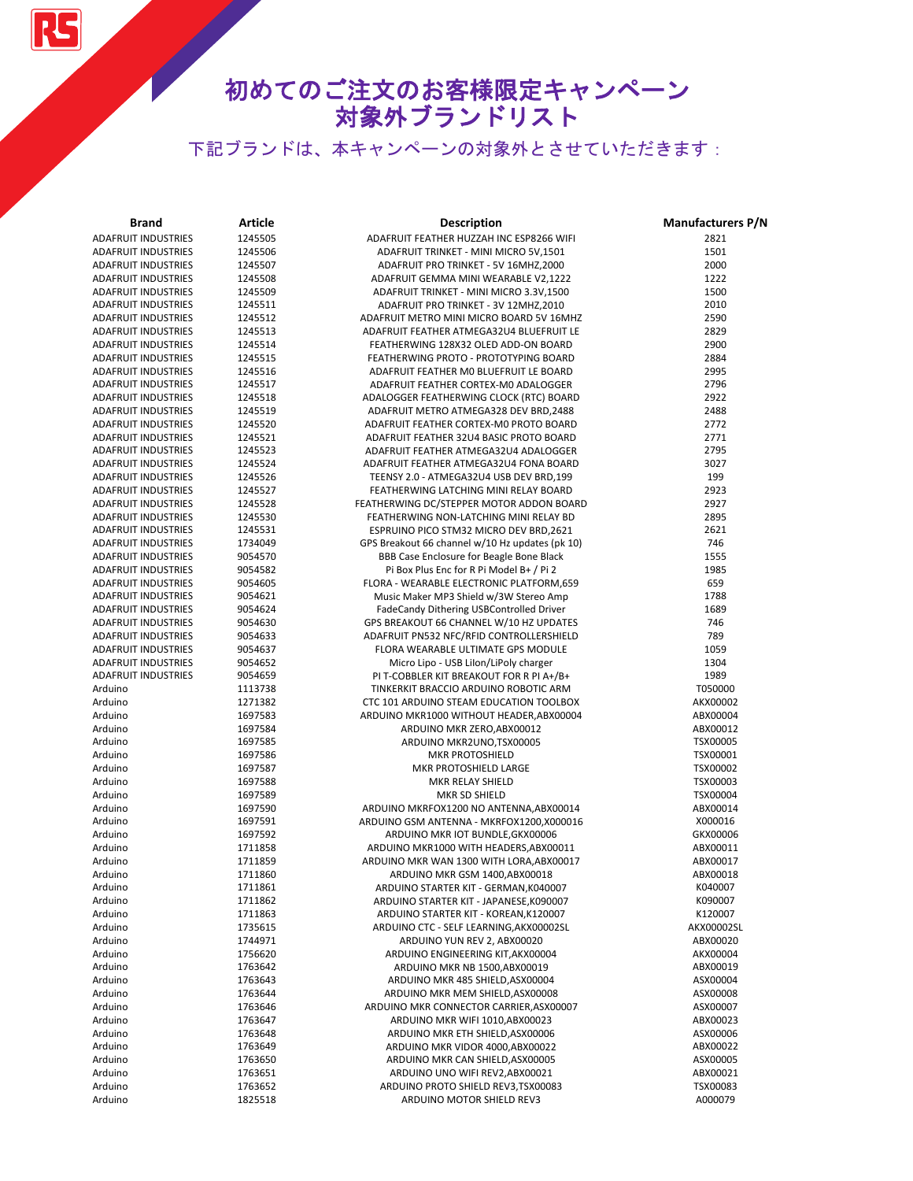**RS** 

| <b>Brand</b>                                             | Article            | Description                                                                        | <b>Manufacturers P/N</b> |
|----------------------------------------------------------|--------------------|------------------------------------------------------------------------------------|--------------------------|
| <b>ADAFRUIT INDUSTRIES</b>                               | 1245505            | ADAFRUIT FEATHER HUZZAH INC ESP8266 WIFI                                           | 2821                     |
| <b>ADAFRUIT INDUSTRIES</b>                               | 1245506            | ADAFRUIT TRINKET - MINI MICRO 5V,1501                                              | 1501                     |
| <b>ADAFRUIT INDUSTRIES</b>                               | 1245507            | ADAFRUIT PRO TRINKET - 5V 16MHZ,2000                                               | 2000                     |
| <b>ADAFRUIT INDUSTRIES</b>                               | 1245508            | ADAFRUIT GEMMA MINI WEARABLE V2,1222                                               | 1222                     |
| <b>ADAFRUIT INDUSTRIES</b>                               | 1245509            | ADAFRUIT TRINKET - MINI MICRO 3.3V,1500                                            | 1500                     |
| <b>ADAFRUIT INDUSTRIES</b>                               | 1245511            | ADAFRUIT PRO TRINKET - 3V 12MHZ,2010                                               | 2010                     |
| <b>ADAFRUIT INDUSTRIES</b>                               | 1245512            | ADAFRUIT METRO MINI MICRO BOARD 5V 16MHZ                                           | 2590                     |
| <b>ADAFRUIT INDUSTRIES</b>                               | 1245513            | ADAFRUIT FEATHER ATMEGA32U4 BLUEFRUIT LE                                           | 2829                     |
| <b>ADAFRUIT INDUSTRIES</b>                               | 1245514            | FEATHERWING 128X32 OLED ADD-ON BOARD                                               | 2900                     |
| <b>ADAFRUIT INDUSTRIES</b>                               | 1245515            | FEATHERWING PROTO - PROTOTYPING BOARD                                              | 2884                     |
| <b>ADAFRUIT INDUSTRIES</b>                               | 1245516            | ADAFRUIT FEATHER MO BLUEFRUIT LE BOARD                                             | 2995                     |
| <b>ADAFRUIT INDUSTRIES</b>                               | 1245517            | ADAFRUIT FEATHER CORTEX-MO ADALOGGER                                               | 2796                     |
| <b>ADAFRUIT INDUSTRIES</b>                               | 1245518            | ADALOGGER FEATHERWING CLOCK (RTC) BOARD                                            | 2922                     |
| <b>ADAFRUIT INDUSTRIES</b>                               | 1245519            | ADAFRUIT METRO ATMEGA328 DEV BRD,2488                                              | 2488                     |
| <b>ADAFRUIT INDUSTRIES</b>                               | 1245520            | ADAFRUIT FEATHER CORTEX-MO PROTO BOARD                                             | 2772                     |
| <b>ADAFRUIT INDUSTRIES</b>                               | 1245521            | ADAFRUIT FEATHER 32U4 BASIC PROTO BOARD                                            | 2771                     |
| <b>ADAFRUIT INDUSTRIES</b>                               | 1245523<br>1245524 | ADAFRUIT FEATHER ATMEGA32U4 ADALOGGER                                              | 2795                     |
| <b>ADAFRUIT INDUSTRIES</b><br><b>ADAFRUIT INDUSTRIES</b> | 1245526            | ADAFRUIT FEATHER ATMEGA32U4 FONA BOARD                                             | 3027<br>199              |
| <b>ADAFRUIT INDUSTRIES</b>                               | 1245527            | TEENSY 2.0 - ATMEGA32U4 USB DEV BRD,199                                            | 2923                     |
| <b>ADAFRUIT INDUSTRIES</b>                               | 1245528            | FEATHERWING LATCHING MINI RELAY BOARD<br>FEATHERWING DC/STEPPER MOTOR ADDON BOARD  | 2927                     |
| <b>ADAFRUIT INDUSTRIES</b>                               | 1245530            | FEATHERWING NON-LATCHING MINI RELAY BD                                             | 2895                     |
| <b>ADAFRUIT INDUSTRIES</b>                               | 1245531            | ESPRUINO PICO STM32 MICRO DEV BRD, 2621                                            | 2621                     |
| <b>ADAFRUIT INDUSTRIES</b>                               | 1734049            | GPS Breakout 66 channel w/10 Hz updates (pk 10)                                    | 746                      |
| <b>ADAFRUIT INDUSTRIES</b>                               | 9054570            | BBB Case Enclosure for Beagle Bone Black                                           | 1555                     |
| <b>ADAFRUIT INDUSTRIES</b>                               | 9054582            | Pi Box Plus Enc for R Pi Model B+ / Pi 2                                           | 1985                     |
| <b>ADAFRUIT INDUSTRIES</b>                               | 9054605            | FLORA - WEARABLE ELECTRONIC PLATFORM,659                                           | 659                      |
| <b>ADAFRUIT INDUSTRIES</b>                               | 9054621            | Music Maker MP3 Shield w/3W Stereo Amp                                             | 1788                     |
| <b>ADAFRUIT INDUSTRIES</b>                               | 9054624            | FadeCandy Dithering USBControlled Driver                                           | 1689                     |
| <b>ADAFRUIT INDUSTRIES</b>                               | 9054630            | GPS BREAKOUT 66 CHANNEL W/10 HZ UPDATES                                            | 746                      |
| <b>ADAFRUIT INDUSTRIES</b>                               | 9054633            | ADAFRUIT PN532 NFC/RFID CONTROLLERSHIELD                                           | 789                      |
| <b>ADAFRUIT INDUSTRIES</b>                               | 9054637            | FLORA WEARABLE ULTIMATE GPS MODULE                                                 | 1059                     |
| <b>ADAFRUIT INDUSTRIES</b>                               | 9054652            | Micro Lipo - USB Lilon/LiPoly charger                                              | 1304                     |
| <b>ADAFRUIT INDUSTRIES</b>                               | 9054659            | PI T-COBBLER KIT BREAKOUT FOR R PI A+/B+                                           | 1989                     |
| Arduino                                                  | 1113738            | TINKERKIT BRACCIO ARDUINO ROBOTIC ARM                                              | T050000                  |
| Arduino                                                  | 1271382            | CTC 101 ARDUINO STEAM EDUCATION TOOLBOX                                            | AKX00002                 |
| Arduino                                                  | 1697583            | ARDUINO MKR1000 WITHOUT HEADER, ABX00004                                           | ABX00004                 |
| Arduino                                                  | 1697584            | ARDUINO MKR ZERO, ABX00012                                                         | ABX00012                 |
| Arduino                                                  | 1697585            | ARDUINO MKR2UNO, TSX00005                                                          | TSX00005                 |
| Arduino                                                  | 1697586            | MKR PROTOSHIELD                                                                    | TSX00001                 |
| Arduino                                                  | 1697587            | MKR PROTOSHIELD LARGE                                                              | TSX00002                 |
| Arduino                                                  | 1697588            | MKR RELAY SHIELD                                                                   | TSX00003                 |
| Arduino                                                  | 1697589            | MKR SD SHIELD                                                                      | TSX00004                 |
| Arduino                                                  | 1697590            | ARDUINO MKRFOX1200 NO ANTENNA, ABX00014                                            | ABX00014                 |
| Arduino                                                  | 1697591            | ARDUINO GSM ANTENNA - MKRFOX1200,X000016                                           | X000016<br>GKX00006      |
| Arduino<br>Arduino                                       | 1697592<br>1711858 | ARDUINO MKR IOT BUNDLE, GKX00006                                                   | ABX00011                 |
| Arduino                                                  | 1711859            | ARDUINO MKR1000 WITH HEADERS, ABX00011<br>ARDUINO MKR WAN 1300 WITH LORA, ABX00017 | ABX00017                 |
| Arduino                                                  | 1711860            | ARDUINO MKR GSM 1400, ABX00018                                                     | ABX00018                 |
| Arduino                                                  | 1711861            | ARDUINO STARTER KIT - GERMAN, K040007                                              | K040007                  |
| Arduino                                                  | 1711862            | ARDUINO STARTER KIT - JAPANESE, K090007                                            | K090007                  |
| Arduino                                                  | 1711863            | ARDUINO STARTER KIT - KOREAN, K120007                                              | K120007                  |
| Arduino                                                  | 1735615            | ARDUINO CTC - SELF LEARNING, AKX00002SL                                            | AKX00002SL               |
| Arduino                                                  | 1744971            | ARDUINO YUN REV 2, ABX00020                                                        | ABX00020                 |
| Arduino                                                  | 1756620            | ARDUINO ENGINEERING KIT, AKX00004                                                  | AKX00004                 |
| Arduino                                                  | 1763642            | ARDUINO MKR NB 1500, ABX00019                                                      | ABX00019                 |
| Arduino                                                  | 1763643            | ARDUINO MKR 485 SHIELD, ASX00004                                                   | ASX00004                 |
| Arduino                                                  | 1763644            | ARDUINO MKR MEM SHIELD, ASX00008                                                   | ASX00008                 |
| Arduino                                                  | 1763646            | ARDUINO MKR CONNECTOR CARRIER, ASX00007                                            | ASX00007                 |
| Arduino                                                  | 1763647            | ARDUINO MKR WIFI 1010, ABX00023                                                    | ABX00023                 |
| Arduino                                                  | 1763648            | ARDUINO MKR ETH SHIELD, ASX00006                                                   | ASX00006                 |
| Arduino                                                  | 1763649            | ARDUINO MKR VIDOR 4000, ABX00022                                                   | ABX00022                 |
| Arduino                                                  | 1763650            | ARDUINO MKR CAN SHIELD, ASX00005                                                   | ASX00005                 |
| Arduino                                                  | 1763651            | ARDUINO UNO WIFI REV2, ABX00021                                                    | ABX00021                 |
| Arduino                                                  | 1763652            | ARDUINO PROTO SHIELD REV3, TSX00083                                                | TSX00083                 |
| Arduino                                                  | 1825518            | ARDUINO MOTOR SHIELD REV3                                                          | A000079                  |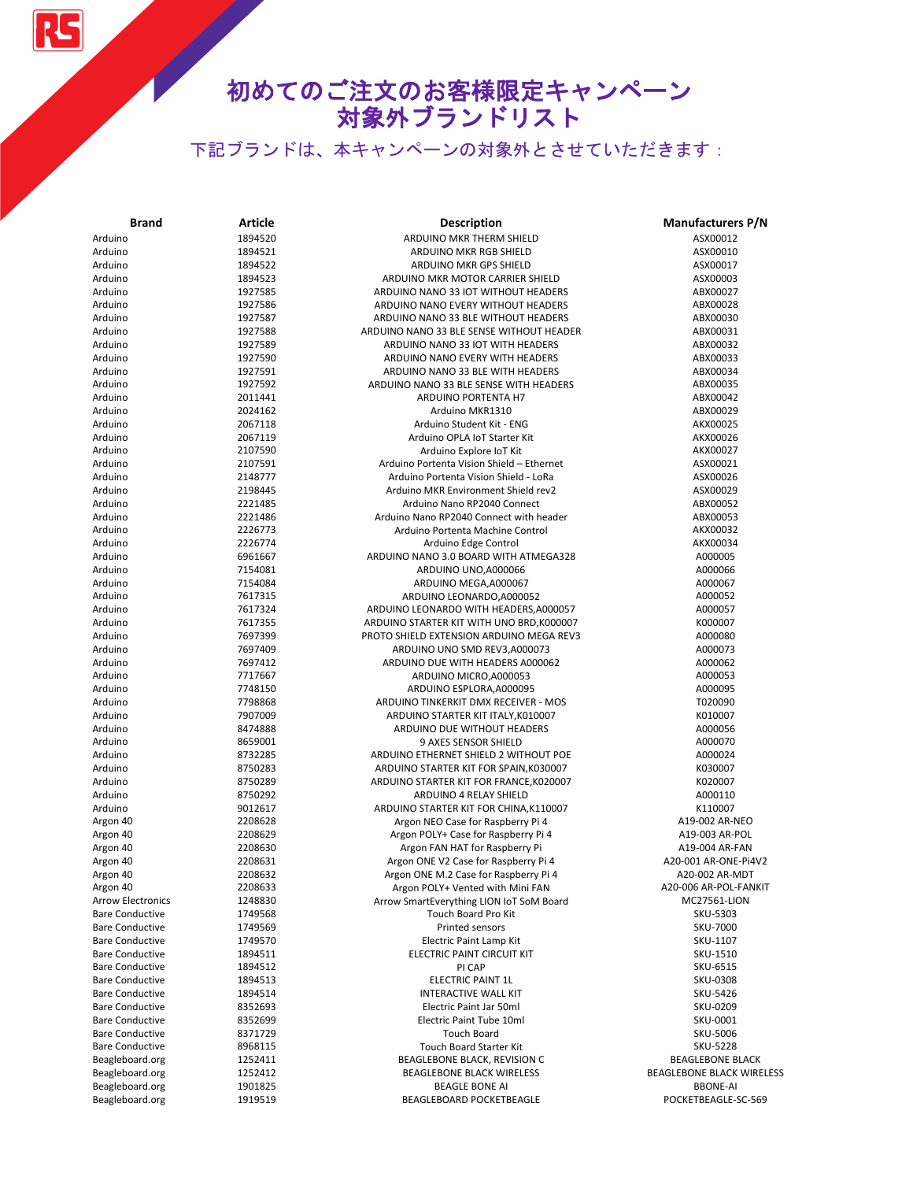RS

| <b>Brand</b>             | Article | <b>Description</b>                        | <b>Manufacturers P/N</b>  |
|--------------------------|---------|-------------------------------------------|---------------------------|
| Arduino                  | 1894520 | ARDUINO MKR THERM SHIELD                  | ASX00012                  |
| Arduino                  | 1894521 | ARDUINO MKR RGB SHIELD                    | ASX00010                  |
| Arduino                  | 1894522 | <b>ARDUINO MKR GPS SHIELD</b>             | ASX00017                  |
| Arduino                  | 1894523 | ARDUINO MKR MOTOR CARRIER SHIELD          | ASX00003                  |
| Arduino                  | 1927585 | ARDUINO NANO 33 IOT WITHOUT HEADERS       | ABX00027                  |
| Arduino                  | 1927586 | ARDUINO NANO EVERY WITHOUT HEADERS        | ABX00028                  |
| Arduino                  | 1927587 | ARDUINO NANO 33 BLE WITHOUT HEADERS       | ABX00030                  |
| Arduino                  | 1927588 | ARDUINO NANO 33 BLE SENSE WITHOUT HEADER  | ABX00031                  |
| Arduino                  | 1927589 | ARDUINO NANO 33 IOT WITH HEADERS          | ABX00032                  |
| Arduino                  | 1927590 | ARDUINO NANO EVERY WITH HEADERS           | ABX00033                  |
| Arduino                  | 1927591 | ARDUINO NANO 33 BLE WITH HEADERS          | ABX00034                  |
| Arduino                  | 1927592 | ARDUINO NANO 33 BLE SENSE WITH HEADERS    | ABX00035                  |
| Arduino                  | 2011441 | ARDUINO PORTENTA H7                       | ABX00042                  |
| Arduino                  | 2024162 | Arduino MKR1310                           | ABX00029                  |
| Arduino                  | 2067118 | Arduino Student Kit - ENG                 | AKX00025                  |
| Arduino                  | 2067119 | Arduino OPLA IoT Starter Kit              | AKX00026                  |
| Arduino                  | 2107590 | Arduino Explore IoT Kit                   | AKX00027                  |
| Arduino                  | 2107591 | Arduino Portenta Vision Shield - Ethernet | ASX00021                  |
| Arduino                  | 2148777 | Arduino Portenta Vision Shield - LoRa     | ASX00026                  |
| Arduino                  | 2198445 | Arduino MKR Environment Shield rev2       | ASX00029                  |
| Arduino                  | 2221485 | Arduino Nano RP2040 Connect               | ABX00052                  |
| Arduino                  | 2221486 | Arduino Nano RP2040 Connect with header   | ABX00053                  |
| Arduino                  | 2226773 | Arduino Portenta Machine Control          | AKX00032                  |
| Arduino                  | 2226774 |                                           |                           |
|                          |         | Arduino Edge Control                      | AKX00034                  |
| Arduino                  | 6961667 | ARDUINO NANO 3.0 BOARD WITH ATMEGA328     | A000005                   |
| Arduino                  | 7154081 | ARDUINO UNO, A000066                      | A000066                   |
| Arduino                  | 7154084 | ARDUINO MEGA, A000067                     | A000067                   |
| Arduino                  | 7617315 | ARDUINO LEONARDO, A000052                 | A000052                   |
| Arduino                  | 7617324 | ARDUINO LEONARDO WITH HEADERS, A000057    | A000057                   |
| Arduino                  | 7617355 | ARDUINO STARTER KIT WITH UNO BRD, K000007 | K000007                   |
| Arduino                  | 7697399 | PROTO SHIELD EXTENSION ARDUINO MEGA REV3  | A000080                   |
| Arduino                  | 7697409 | ARDUINO UNO SMD REV3, A000073             | A000073                   |
| Arduino                  | 7697412 | ARDUINO DUE WITH HEADERS A000062          | A000062                   |
| Arduino                  | 7717667 | ARDUINO MICRO, A000053                    | A000053                   |
| Arduino                  | 7748150 | ARDUINO ESPLORA, A000095                  | A000095                   |
| Arduino                  | 7798868 | ARDUINO TINKERKIT DMX RECEIVER - MOS      | T020090                   |
| Arduino                  | 7907009 | ARDUINO STARTER KIT ITALY, K010007        | K010007                   |
| Arduino                  | 8474888 | ARDUINO DUE WITHOUT HEADERS               | A000056                   |
| Arduino                  | 8659001 | 9 AXES SENSOR SHIELD                      | A000070                   |
| Arduino                  | 8732285 | ARDUINO ETHERNET SHIELD 2 WITHOUT POE     | A000024                   |
| Arduino                  | 8750283 | ARDUINO STARTER KIT FOR SPAIN, K030007    | K030007                   |
| Arduino                  | 8750289 | ARDUINO STARTER KIT FOR FRANCE, K020007   | K020007                   |
| Arduino                  | 8750292 | ARDUINO 4 RELAY SHIELD                    | A000110                   |
| Arduino                  | 9012617 | ARDUINO STARTER KIT FOR CHINA, K110007    | K110007                   |
| Argon 40                 | 2208628 | Argon NEO Case for Raspberry Pi 4         | A19-002 AR-NEO            |
| Argon 40                 | 2208629 | Argon POLY+ Case for Raspberry Pi 4       | A19-003 AR-POL            |
| Argon 40                 | 2208630 | Argon FAN HAT for Raspberry Pi            | A19-004 AR-FAN            |
| Argon 40                 | 2208631 | Argon ONE V2 Case for Raspberry Pi 4      | A20-001 AR-ONE-Pi4V2      |
| Argon 40                 | 2208632 | Argon ONE M.2 Case for Raspberry Pi 4     | A20-002 AR-MDT            |
| Argon 40                 | 2208633 | Argon POLY+ Vented with Mini FAN          | A20-006 AR-POL-FANKIT     |
| <b>Arrow Electronics</b> | 1248830 | Arrow SmartEverything LION IoT SoM Board  | MC27561-LION              |
| <b>Bare Conductive</b>   | 1749568 | Touch Board Pro Kit                       | SKU-5303                  |
| <b>Bare Conductive</b>   | 1749569 | Printed sensors                           | SKU-7000                  |
| <b>Bare Conductive</b>   | 1749570 | Electric Paint Lamp Kit                   | SKU-1107                  |
| <b>Bare Conductive</b>   | 1894511 | ELECTRIC PAINT CIRCUIT KIT                | SKU-1510                  |
| <b>Bare Conductive</b>   | 1894512 | PI CAP                                    | SKU-6515                  |
| <b>Bare Conductive</b>   | 1894513 | ELECTRIC PAINT 1L                         | SKU-0308                  |
| <b>Bare Conductive</b>   | 1894514 | <b>INTERACTIVE WALL KIT</b>               | SKU-5426                  |
| <b>Bare Conductive</b>   | 8352693 | Electric Paint Jar 50ml                   | SKU-0209                  |
| <b>Bare Conductive</b>   | 8352699 | Electric Paint Tube 10ml                  | SKU-0001                  |
| <b>Bare Conductive</b>   | 8371729 | <b>Touch Board</b>                        | SKU-5006                  |
| <b>Bare Conductive</b>   | 8968115 | Touch Board Starter Kit                   | <b>SKU-5228</b>           |
| Beagleboard.org          | 1252411 | BEAGLEBONE BLACK, REVISION C              | <b>BEAGLEBONE BLACK</b>   |
| Beagleboard.org          | 1252412 | <b>BEAGLEBONE BLACK WIRELESS</b>          | BEAGLEBONE BLACK WIRELESS |
| Beagleboard.org          | 1901825 | <b>BEAGLE BONE AI</b>                     | <b>BBONE-AI</b>           |
| Beagleboard.org          | 1919519 | BEAGLEBOARD POCKETBEAGLE                  | POCKETBEAGLE-SC-569       |
|                          |         |                                           |                           |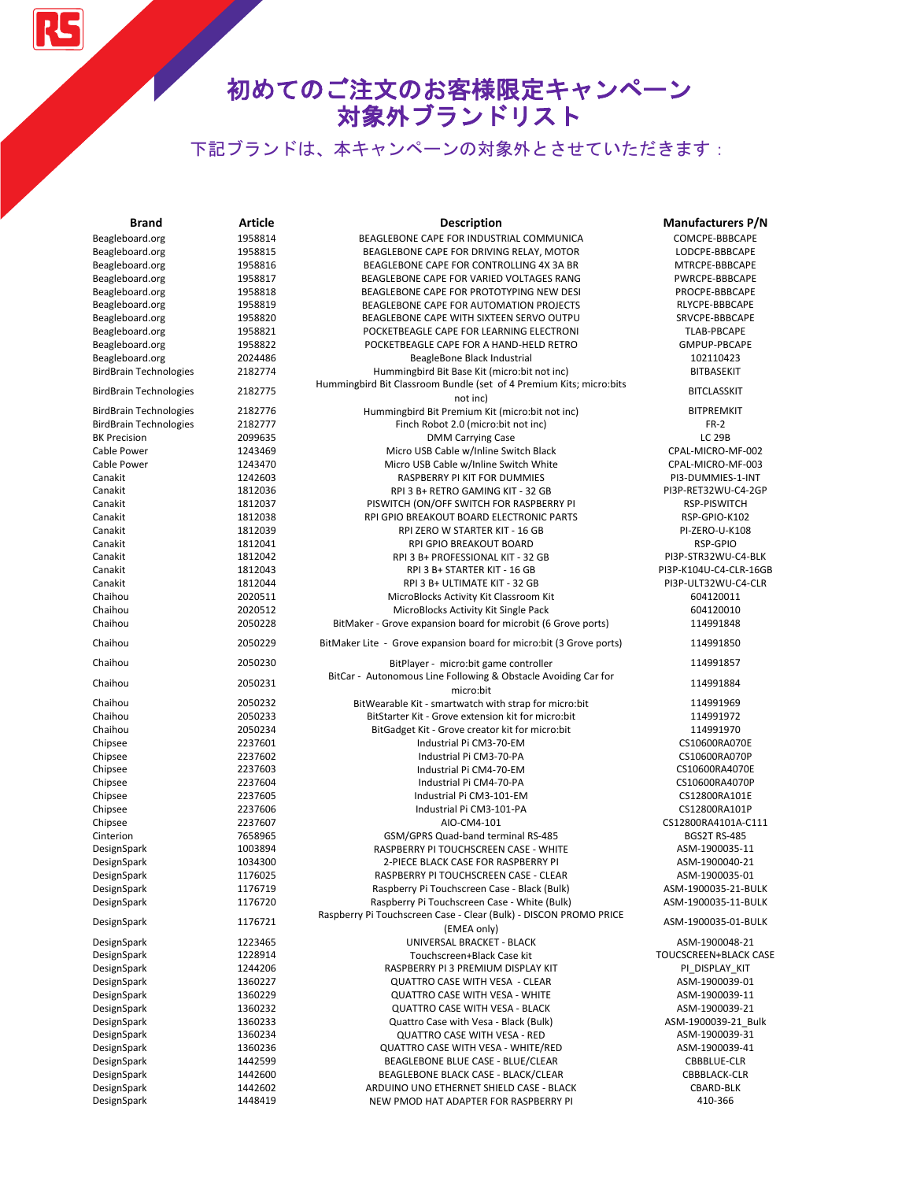RS

| <b>Brand</b>                  | <b>Article</b>     | Description                                                                                  | <b>Manufacturers P/N</b> |
|-------------------------------|--------------------|----------------------------------------------------------------------------------------------|--------------------------|
| Beagleboard.org               | 1958814            | BEAGLEBONE CAPE FOR INDUSTRIAL COMMUNICA                                                     | COMCPE-BBBCAPE           |
| Beagleboard.org               | 1958815            | BEAGLEBONE CAPE FOR DRIVING RELAY, MOTOR                                                     | LODCPE-BBBCAPE           |
| Beagleboard.org               | 1958816            | BEAGLEBONE CAPE FOR CONTROLLING 4X 3A BR                                                     | MTRCPE-BBBCAPE           |
| Beagleboard.org               | 1958817            | BEAGLEBONE CAPE FOR VARIED VOLTAGES RANG                                                     | PWRCPE-BBBCAPE           |
| Beagleboard.org               | 1958818            | BEAGLEBONE CAPE FOR PROTOTYPING NEW DESI                                                     | PROCPE-BBBCAPE           |
| Beagleboard.org               | 1958819            | BEAGLEBONE CAPE FOR AUTOMATION PROJECTS                                                      | RLYCPE-BBBCAPE           |
| Beagleboard.org               | 1958820            | BEAGLEBONE CAPE WITH SIXTEEN SERVO OUTPU                                                     | SRVCPE-BBBCAPE           |
| Beagleboard.org               | 1958821            | POCKETBEAGLE CAPE FOR LEARNING ELECTRONI                                                     | <b>TLAB-PBCAPE</b>       |
| Beagleboard.org               | 1958822            | POCKETBEAGLE CAPE FOR A HAND-HELD RETRO                                                      | GMPUP-PBCAPE             |
| Beagleboard.org               | 2024486            | BeagleBone Black Industrial                                                                  | 102110423                |
| <b>BirdBrain Technologies</b> | 2182774            | Hummingbird Bit Base Kit (micro:bit not inc)                                                 | <b>BITBASEKIT</b>        |
|                               |                    | Hummingbird Bit Classroom Bundle (set of 4 Premium Kits; micro:bits                          |                          |
| <b>BirdBrain Technologies</b> | 2182775            | not inc)                                                                                     | <b>BITCLASSKIT</b>       |
| <b>BirdBrain Technologies</b> | 2182776            | Hummingbird Bit Premium Kit (micro:bit not inc)                                              | <b>BITPREMKIT</b>        |
| <b>BirdBrain Technologies</b> | 2182777            | Finch Robot 2.0 (micro:bit not inc)                                                          | <b>FR-2</b>              |
| <b>BK Precision</b>           | 2099635            | <b>DMM Carrying Case</b>                                                                     | <b>LC 29B</b>            |
| Cable Power                   | 1243469            | Micro USB Cable w/Inline Switch Black                                                        | CPAL-MICRO-MF-002        |
| Cable Power                   | 1243470            | Micro USB Cable w/Inline Switch White                                                        | CPAL-MICRO-MF-003        |
| Canakit                       | 1242603            | RASPBERRY PI KIT FOR DUMMIES                                                                 | PI3-DUMMIES-1-INT        |
| Canakit                       | 1812036            | RPI 3 B+ RETRO GAMING KIT - 32 GB                                                            | PI3P-RET32WU-C4-2GP      |
| Canakit                       | 1812037            | PISWITCH (ON/OFF SWITCH FOR RASPBERRY PI                                                     | RSP-PISWITCH             |
| Canakit                       | 1812038            | RPI GPIO BREAKOUT BOARD ELECTRONIC PARTS                                                     | RSP-GPIO-K102            |
| Canakit                       | 1812039            | RPI ZERO W STARTER KIT - 16 GB                                                               | PI-ZERO-U-K108           |
| Canakit                       | 1812041            | RPI GPIO BREAKOUT BOARD                                                                      | RSP-GPIO                 |
| Canakit                       | 1812042            | RPI 3 B+ PROFESSIONAL KIT - 32 GB                                                            | PI3P-STR32WU-C4-BLK      |
| Canakit                       | 1812043            | RPI 3 B+ STARTER KIT - 16 GB                                                                 | PI3P-K104U-C4-CLR-16GB   |
| Canakit                       | 1812044            | RPI 3 B+ ULTIMATE KIT - 32 GB                                                                | PI3P-ULT32WU-C4-CLR      |
| Chaihou                       | 2020511            | MicroBlocks Activity Kit Classroom Kit                                                       | 604120011                |
| Chaihou                       | 2020512            | MicroBlocks Activity Kit Single Pack                                                         | 604120010                |
| Chaihou                       | 2050228            | BitMaker - Grove expansion board for microbit (6 Grove ports)                                | 114991848                |
| Chaihou                       | 2050229            | BitMaker Lite - Grove expansion board for micro:bit (3 Grove ports)                          | 114991850                |
| Chaihou                       | 2050230            | BitPlayer - micro:bit game controller                                                        | 114991857                |
|                               |                    | BitCar - Autonomous Line Following & Obstacle Avoiding Car for                               |                          |
| Chaihou                       | 2050231            | micro:bit                                                                                    | 114991884                |
| Chaihou                       | 2050232            | BitWearable Kit - smartwatch with strap for micro:bit                                        | 114991969                |
| Chaihou                       | 2050233            | BitStarter Kit - Grove extension kit for micro:bit                                           | 114991972                |
| Chaihou                       | 2050234            | BitGadget Kit - Grove creator kit for micro:bit                                              | 114991970                |
| Chipsee                       | 2237601            | Industrial Pi CM3-70-EM                                                                      | CS10600RA070E            |
| Chipsee                       | 2237602            | Industrial Pi CM3-70-PA                                                                      | CS10600RA070P            |
| Chipsee                       | 2237603            | Industrial Pi CM4-70-EM                                                                      | CS10600RA4070E           |
| Chipsee                       | 2237604            | Industrial Pi CM4-70-PA                                                                      | CS10600RA4070P           |
| Chipsee                       | 2237605            | Industrial Pi CM3-101-EM                                                                     | CS12800RA101E            |
| Chipsee                       | 2237606            | Industrial Pi CM3-101-PA                                                                     | CS12800RA101P            |
| Chipsee                       | 2237607            | AIO-CM4-101                                                                                  | CS12800RA4101A-C111      |
| Cinterion                     | 7658965            | GSM/GPRS Quad-band terminal RS-485                                                           | <b>BGS2T RS-485</b>      |
| DesignSpark                   | 1003894            | RASPBERRY PI TOUCHSCREEN CASE - WHITE                                                        | ASM-1900035-11           |
| DesignSpark                   | 1034300            | 2-PIECE BLACK CASE FOR RASPBERRY PI                                                          | ASM-1900040-21           |
| DesignSpark                   | 1176025            | RASPBERRY PI TOUCHSCREEN CASE - CLEAR                                                        | ASM-1900035-01           |
|                               |                    |                                                                                              | ASM-1900035-21-BULK      |
| DesignSpark                   | 1176719            | Raspberry Pi Touchscreen Case - Black (Bulk)<br>Raspberry Pi Touchscreen Case - White (Bulk) | ASM-1900035-11-BULK      |
| DesignSpark<br>DesignSpark    | 1176720<br>1176721 | Raspberry Pi Touchscreen Case - Clear (Bulk) - DISCON PROMO PRICE                            | ASM-1900035-01-BULK      |
|                               |                    | (EMEA only)                                                                                  |                          |
| DesignSpark                   | 1223465            | UNIVERSAL BRACKET - BLACK                                                                    | ASM-1900048-21           |
| DesignSpark                   | 1228914            | Touchscreen+Black Case kit                                                                   | TOUCSCREEN+BLACK CASE    |
| DesignSpark                   | 1244206            | RASPBERRY PI 3 PREMIUM DISPLAY KIT                                                           | PI_DISPLAY_KIT           |
| DesignSpark                   | 1360227            | <b>QUATTRO CASE WITH VESA - CLEAR</b>                                                        | ASM-1900039-01           |
| DesignSpark                   | 1360229            | <b>QUATTRO CASE WITH VESA - WHITE</b>                                                        | ASM-1900039-11           |
| DesignSpark                   | 1360232            | <b>QUATTRO CASE WITH VESA - BLACK</b>                                                        | ASM-1900039-21           |
| DesignSpark                   | 1360233            | Quattro Case with Vesa - Black (Bulk)                                                        | ASM-1900039-21_Bulk      |
| DesignSpark                   | 1360234            | QUATTRO CASE WITH VESA - RED                                                                 | ASM-1900039-31           |
| DesignSpark                   | 1360236            | QUATTRO CASE WITH VESA - WHITE/RED                                                           | ASM-1900039-41           |
| DesignSpark                   | 1442599            | BEAGLEBONE BLUE CASE - BLUE/CLEAR                                                            | CBBBLUE-CLR              |
| DesignSpark                   | 1442600            | BEAGLEBONE BLACK CASE - BLACK/CLEAR                                                          | CBBBLACK-CLR             |
| DesignSpark                   | 1442602            | ARDUINO UNO ETHERNET SHIELD CASE - BLACK                                                     | CBARD-BLK                |
| DesignSpark                   | 1448419            | NEW PMOD HAT ADAPTER FOR RASPBERRY PI                                                        | 410-366                  |
|                               |                    |                                                                                              |                          |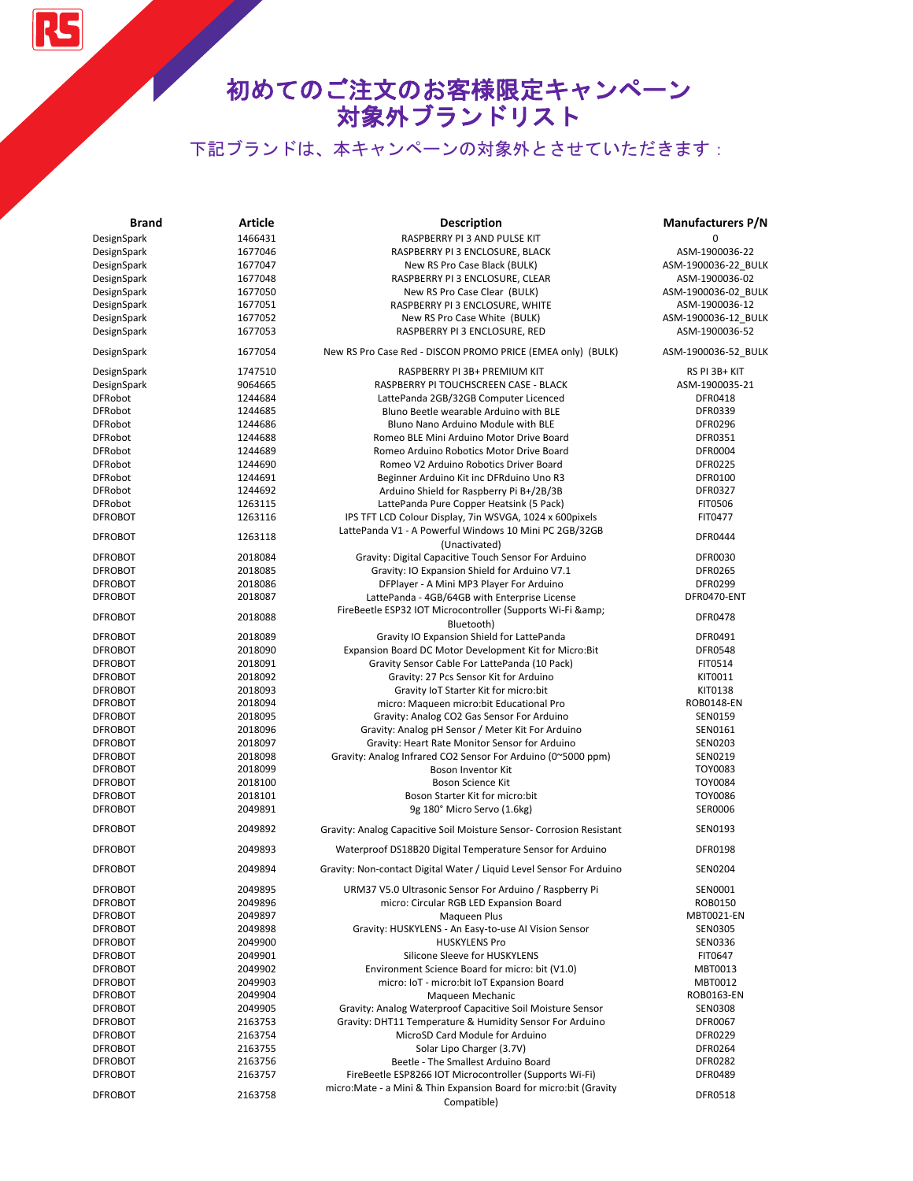RS

| <b>Brand</b>   | <b>Article</b> | <b>Description</b>                                                                 | <b>Manufacturers P/N</b> |
|----------------|----------------|------------------------------------------------------------------------------------|--------------------------|
| DesignSpark    | 1466431        | RASPBERRY PI 3 AND PULSE KIT                                                       | $\Omega$                 |
| DesignSpark    | 1677046        | RASPBERRY PI 3 ENCLOSURE, BLACK                                                    | ASM-1900036-22           |
| DesignSpark    | 1677047        | New RS Pro Case Black (BULK)                                                       | ASM-1900036-22 BULK      |
| DesignSpark    | 1677048        | RASPBERRY PI 3 ENCLOSURE, CLEAR                                                    | ASM-1900036-02           |
| DesignSpark    | 1677050        | New RS Pro Case Clear (BULK)                                                       | ASM-1900036-02 BULK      |
| DesignSpark    | 1677051        | RASPBERRY PI 3 ENCLOSURE, WHITE                                                    | ASM-1900036-12           |
| DesignSpark    | 1677052        | New RS Pro Case White (BULK)                                                       | ASM-1900036-12 BULK      |
| DesignSpark    | 1677053        | RASPBERRY PI 3 ENCLOSURE, RED                                                      | ASM-1900036-52           |
| DesignSpark    | 1677054        | New RS Pro Case Red - DISCON PROMO PRICE (EMEA only) (BULK)                        | ASM-1900036-52_BULK      |
| DesignSpark    | 1747510        | RASPBERRY PI 3B+ PREMIUM KIT                                                       | RS PI 3B+ KIT            |
| DesignSpark    | 9064665        | RASPBERRY PI TOUCHSCREEN CASE - BLACK                                              | ASM-1900035-21           |
| <b>DFRobot</b> | 1244684        | LattePanda 2GB/32GB Computer Licenced                                              | DFR0418                  |
| <b>DFRobot</b> | 1244685        | Bluno Beetle wearable Arduino with BLE                                             | DFR0339                  |
| <b>DFRobot</b> | 1244686        | Bluno Nano Arduino Module with BLE                                                 | <b>DFR0296</b>           |
| <b>DFRobot</b> | 1244688        | Romeo BLE Mini Arduino Motor Drive Board                                           | DFR0351                  |
| <b>DFRobot</b> | 1244689        | Romeo Arduino Robotics Motor Drive Board                                           | DFR0004                  |
| <b>DFRobot</b> | 1244690        | Romeo V2 Arduino Robotics Driver Board                                             | <b>DFR0225</b>           |
| <b>DFRobot</b> | 1244691        | Beginner Arduino Kit inc DFRduino Uno R3                                           | DFR0100                  |
| <b>DFRobot</b> | 1244692        | Arduino Shield for Raspberry Pi B+/2B/3B                                           | DFR0327                  |
| <b>DFRobot</b> | 1263115        | LattePanda Pure Copper Heatsink (5 Pack)                                           | <b>FIT0506</b>           |
| <b>DFROBOT</b> | 1263116        | IPS TFT LCD Colour Display, 7in WSVGA, 1024 x 600pixels                            | FIT0477                  |
| <b>DFROBOT</b> | 1263118        | LattePanda V1 - A Powerful Windows 10 Mini PC 2GB/32GB                             | DFR0444                  |
|                |                | (Unactivated)                                                                      |                          |
| <b>DFROBOT</b> | 2018084        | Gravity: Digital Capacitive Touch Sensor For Arduino                               | <b>DFR0030</b>           |
| <b>DFROBOT</b> | 2018085        | Gravity: IO Expansion Shield for Arduino V7.1                                      | <b>DFR0265</b>           |
| <b>DFROBOT</b> | 2018086        | DFPlayer - A Mini MP3 Player For Arduino                                           | DFR0299                  |
| <b>DFROBOT</b> | 2018087        | LattePanda - 4GB/64GB with Enterprise License                                      | DFR0470-ENT              |
| <b>DFROBOT</b> | 2018088        | FireBeetle ESP32 IOT Microcontroller (Supports Wi-Fi &<br>Bluetooth)               | <b>DFR0478</b>           |
| <b>DFROBOT</b> | 2018089        | Gravity IO Expansion Shield for LattePanda                                         | DFR0491                  |
| <b>DFROBOT</b> | 2018090        | Expansion Board DC Motor Development Kit for Micro:Bit                             | <b>DFR0548</b>           |
| <b>DFROBOT</b> | 2018091        | Gravity Sensor Cable For LattePanda (10 Pack)                                      | FIT0514                  |
| <b>DFROBOT</b> | 2018092        | Gravity: 27 Pcs Sensor Kit for Arduino                                             | KIT0011                  |
| <b>DFROBOT</b> | 2018093        | Gravity IoT Starter Kit for micro:bit                                              | KIT0138                  |
| <b>DFROBOT</b> | 2018094        | micro: Maqueen micro: bit Educational Pro                                          | ROB0148-EN               |
| <b>DFROBOT</b> | 2018095        | Gravity: Analog CO2 Gas Sensor For Arduino                                         | SEN0159                  |
| <b>DFROBOT</b> | 2018096        | Gravity: Analog pH Sensor / Meter Kit For Arduino                                  | SEN0161                  |
| <b>DFROBOT</b> | 2018097        | Gravity: Heart Rate Monitor Sensor for Arduino                                     | <b>SEN0203</b>           |
| <b>DFROBOT</b> | 2018098        | Gravity: Analog Infrared CO2 Sensor For Arduino (0~5000 ppm)                       | SEN0219                  |
| <b>DFROBOT</b> | 2018099        | Boson Inventor Kit                                                                 | TOY0083                  |
| <b>DFROBOT</b> | 2018100        | <b>Boson Science Kit</b>                                                           | <b>TOY0084</b>           |
| <b>DFROBOT</b> | 2018101        | Boson Starter Kit for micro:bit                                                    | TOY0086                  |
| <b>DFROBOT</b> | 2049891        | 9g 180° Micro Servo (1.6kg)                                                        | SER0006                  |
| <b>DFROBOT</b> | 2049892        | Gravity: Analog Capacitive Soil Moisture Sensor- Corrosion Resistant               | SEN0193                  |
| <b>DFROBOT</b> | 2049893        | Waterproof DS18B20 Digital Temperature Sensor for Arduino                          | <b>DFR0198</b>           |
| <b>DFROBOT</b> | 2049894        | Gravity: Non-contact Digital Water / Liquid Level Sensor For Arduino               | <b>SEN0204</b>           |
| <b>DFROBOT</b> | 2049895        | URM37 V5.0 Ultrasonic Sensor For Arduino / Raspberry Pi                            | SEN0001                  |
| <b>DFROBOT</b> | 2049896        | micro: Circular RGB LED Expansion Board                                            | ROB0150                  |
| <b>DFROBOT</b> | 2049897        | Magueen Plus                                                                       | MBT0021-EN               |
| <b>DFROBOT</b> | 2049898        | Gravity: HUSKYLENS - An Easy-to-use Al Vision Sensor                               | <b>SEN0305</b>           |
| <b>DFROBOT</b> | 2049900        | <b>HUSKYLENS Pro</b>                                                               | SEN0336                  |
| <b>DFROBOT</b> | 2049901        | Silicone Sleeve for HUSKYLENS                                                      | FIT0647                  |
| <b>DFROBOT</b> | 2049902        | Environment Science Board for micro: bit (V1.0)                                    | MBT0013                  |
| <b>DFROBOT</b> | 2049903        | micro: IoT - micro: bit IoT Expansion Board                                        | MBT0012                  |
| <b>DFROBOT</b> | 2049904        | Maqueen Mechanic                                                                   | ROB0163-EN               |
| <b>DFROBOT</b> | 2049905        | Gravity: Analog Waterproof Capacitive Soil Moisture Sensor                         | <b>SEN0308</b>           |
| <b>DFROBOT</b> | 2163753        | Gravity: DHT11 Temperature & Humidity Sensor For Arduino                           | DFR0067                  |
| <b>DFROBOT</b> | 2163754        | MicroSD Card Module for Arduino                                                    | DFR0229                  |
| <b>DFROBOT</b> | 2163755        | Solar Lipo Charger (3.7V)                                                          | DFR0264                  |
| <b>DFROBOT</b> | 2163756        | Beetle - The Smallest Arduino Board                                                | <b>DFR0282</b>           |
| <b>DFROBOT</b> | 2163757        | FireBeetle ESP8266 IOT Microcontroller (Supports Wi-Fi)                            | <b>DFR0489</b>           |
| <b>DFROBOT</b> | 2163758        | micro: Mate - a Mini & Thin Expansion Board for micro: bit (Gravity<br>Compatible) | <b>DFR0518</b>           |
|                |                |                                                                                    |                          |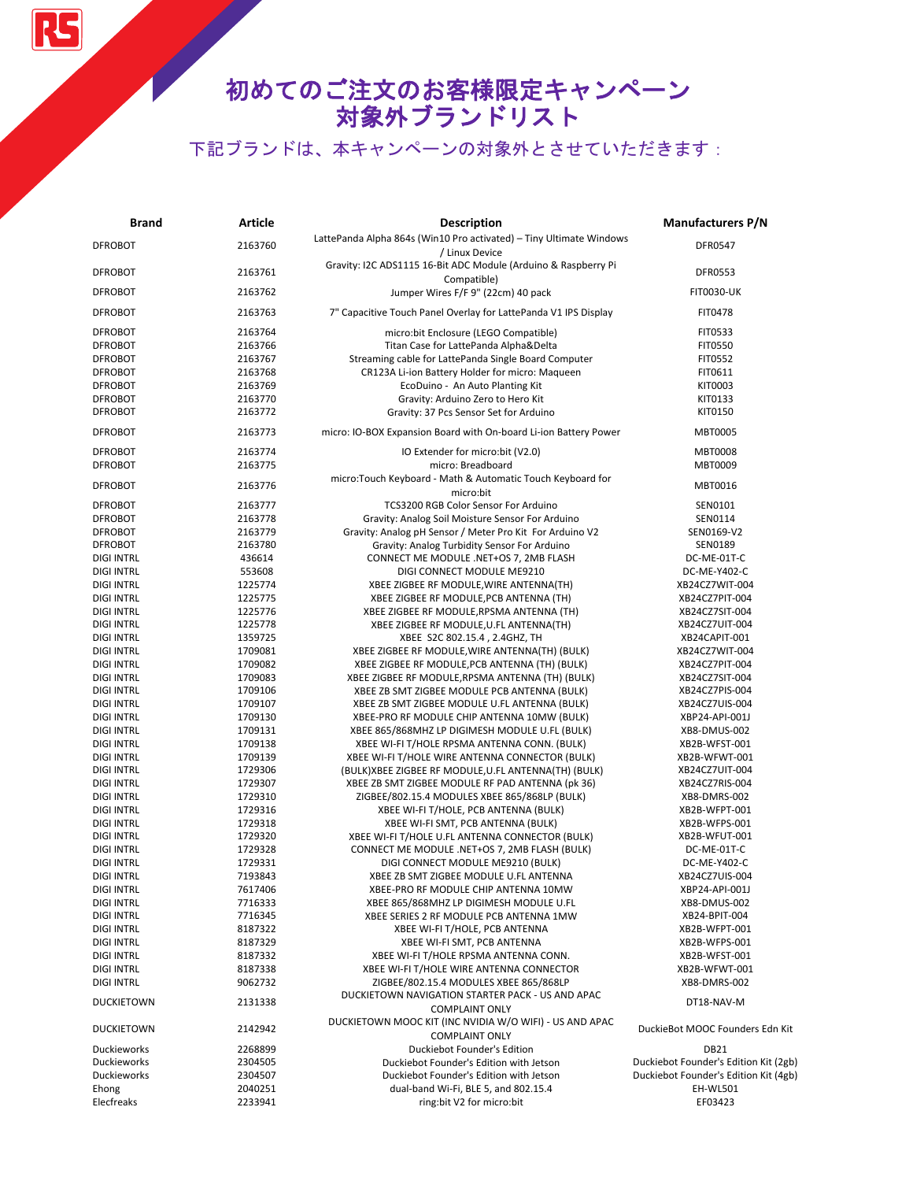# 初めてのご注文のお客様限定キャンペーン 対象外ブランドリスト

| <b>Brand</b>      | <b>Article</b>     | <b>Description</b>                                                                         | <b>Manufacturers P/N</b>              |
|-------------------|--------------------|--------------------------------------------------------------------------------------------|---------------------------------------|
| <b>DFROBOT</b>    | 2163760            | LattePanda Alpha 864s (Win10 Pro activated) - Tiny Ultimate Windows<br>/ Linux Device      | DFR0547                               |
| <b>DFROBOT</b>    | 2163761            | Gravity: I2C ADS1115 16-Bit ADC Module (Arduino & Raspberry Pi<br>Compatible)              | <b>DFR0553</b>                        |
| <b>DFROBOT</b>    | 2163762            | Jumper Wires F/F 9" (22cm) 40 pack                                                         | <b>FIT0030-UK</b>                     |
| <b>DFROBOT</b>    | 2163763            | 7" Capacitive Touch Panel Overlay for LattePanda V1 IPS Display                            | FIT0478                               |
| <b>DFROBOT</b>    | 2163764            | micro:bit Enclosure (LEGO Compatible)                                                      | FIT0533                               |
| <b>DFROBOT</b>    | 2163766            | Titan Case for LattePanda AlphaΔ                                                           | <b>FIT0550</b>                        |
| <b>DFROBOT</b>    | 2163767            | Streaming cable for LattePanda Single Board Computer                                       | FIT0552                               |
| <b>DFROBOT</b>    | 2163768            | CR123A Li-ion Battery Holder for micro: Maqueen                                            | FIT0611                               |
| <b>DFROBOT</b>    | 2163769            | EcoDuino - An Auto Planting Kit                                                            | KIT0003                               |
| <b>DFROBOT</b>    | 2163770            | Gravity: Arduino Zero to Hero Kit                                                          | KIT0133                               |
| <b>DFROBOT</b>    | 2163772            | Gravity: 37 Pcs Sensor Set for Arduino                                                     | KIT0150                               |
| <b>DFROBOT</b>    | 2163773            | micro: IO-BOX Expansion Board with On-board Li-ion Battery Power                           | MBT0005                               |
| <b>DFROBOT</b>    | 2163774            | IO Extender for micro:bit (V2.0)                                                           | <b>MBT0008</b>                        |
| <b>DFROBOT</b>    | 2163775            | micro: Breadboard                                                                          | MBT0009                               |
| <b>DFROBOT</b>    | 2163776            | micro:Touch Keyboard - Math & Automatic Touch Keyboard for                                 |                                       |
|                   |                    | micro:bit                                                                                  | MBT0016                               |
| <b>DFROBOT</b>    | 2163777            | TCS3200 RGB Color Sensor For Arduino                                                       | SEN0101                               |
| <b>DFROBOT</b>    | 2163778            | Gravity: Analog Soil Moisture Sensor For Arduino                                           | SEN0114                               |
| <b>DFROBOT</b>    | 2163779            | Gravity: Analog pH Sensor / Meter Pro Kit For Arduino V2                                   | SEN0169-V2                            |
| <b>DFROBOT</b>    | 2163780            | Gravity: Analog Turbidity Sensor For Arduino                                               | SEN0189                               |
| <b>DIGI INTRL</b> | 436614             | CONNECT ME MODULE .NET+OS 7, 2MB FLASH                                                     | DC-ME-01T-C                           |
| <b>DIGI INTRL</b> | 553608             | DIGI CONNECT MODULE ME9210                                                                 | DC-ME-Y402-C                          |
| <b>DIGI INTRL</b> | 1225774            | XBEE ZIGBEE RF MODULE, WIRE ANTENNA(TH)                                                    | XB24CZ7WIT-004                        |
| <b>DIGI INTRL</b> | 1225775            | XBEE ZIGBEE RF MODULE, PCB ANTENNA (TH)                                                    | XB24CZ7PIT-004                        |
| <b>DIGI INTRL</b> | 1225776            | XBEE ZIGBEE RF MODULE, RPSMA ANTENNA (TH)                                                  | XB24CZ7SIT-004                        |
| <b>DIGI INTRL</b> | 1225778            | XBEE ZIGBEE RF MODULE, U.FL ANTENNA(TH)                                                    | XB24CZ7UIT-004                        |
| <b>DIGI INTRL</b> | 1359725            | XBEE S2C 802.15.4, 2.4GHZ, TH                                                              | XB24CAPIT-001                         |
| <b>DIGI INTRL</b> | 1709081            | XBEE ZIGBEE RF MODULE, WIRE ANTENNA(TH) (BULK)                                             | XB24CZ7WIT-004                        |
| <b>DIGI INTRL</b> | 1709082            | XBEE ZIGBEE RF MODULE, PCB ANTENNA (TH) (BULK)                                             | XB24CZ7PIT-004                        |
| <b>DIGI INTRL</b> | 1709083            | XBEE ZIGBEE RF MODULE, RPSMA ANTENNA (TH) (BULK)                                           | XB24CZ7SIT-004                        |
| <b>DIGI INTRL</b> | 1709106            | XBEE ZB SMT ZIGBEE MODULE PCB ANTENNA (BULK)                                               | XB24CZ7PIS-004                        |
| <b>DIGI INTRL</b> | 1709107            | XBEE ZB SMT ZIGBEE MODULE U.FL ANTENNA (BULK)                                              | XB24CZ7UIS-004                        |
| <b>DIGI INTRL</b> | 1709130            | XBEE-PRO RF MODULE CHIP ANTENNA 10MW (BULK)                                                | XBP24-API-001J                        |
| <b>DIGI INTRL</b> | 1709131            | XBEE 865/868MHZ LP DIGIMESH MODULE U.FL (BULK)                                             | XB8-DMUS-002                          |
| <b>DIGI INTRL</b> | 1709138            | XBEE WI-FI T/HOLE RPSMA ANTENNA CONN. (BULK)                                               | XB2B-WFST-001                         |
| <b>DIGI INTRL</b> | 1709139            | XBEE WI-FI T/HOLE WIRE ANTENNA CONNECTOR (BULK)                                            | XB2B-WFWT-001                         |
| <b>DIGI INTRL</b> | 1729306            | (BULK)XBEE ZIGBEE RF MODULE,U.FL ANTENNA(TH) (BULK)                                        | XB24CZ7UIT-004                        |
| <b>DIGI INTRL</b> | 1729307            | XBEE ZB SMT ZIGBEE MODULE RF PAD ANTENNA (pk 36)                                           | XB24CZ7RIS-004                        |
| <b>DIGI INTRL</b> | 1729310            | ZIGBEE/802.15.4 MODULES XBEE 865/868LP (BULK)                                              | XB8-DMRS-002                          |
| <b>DIGI INTRL</b> | 1729316            | XBEE WI-FI T/HOLE, PCB ANTENNA (BULK)                                                      | XB2B-WFPT-001                         |
| <b>DIGI INTRL</b> | 1729318            | XBEE WI-FI SMT, PCB ANTENNA (BULK)                                                         | XB2B-WFPS-001                         |
| <b>DIGI INTRL</b> | 1729320            | XBEE WI-FI T/HOLE U.FL ANTENNA CONNECTOR (BULK)                                            | XB2B-WFUT-001                         |
| <b>DIGI INTRL</b> | 1729328            | CONNECT ME MODULE .NET+OS 7, 2MB FLASH (BULK)                                              | DC-ME-01T-C                           |
| <b>DIGI INTRL</b> | 1729331            | DIGI CONNECT MODULE ME9210 (BULK)                                                          | DC-ME-Y402-C                          |
| DIGI INTRL        | 7193843            | XBEE ZB SMT ZIGBEE MODULE U.FL ANTENNA                                                     | XB24CZ7UIS-004                        |
| <b>DIGI INTRL</b> | 7617406            | XBEE-PRO RF MODULE CHIP ANTENNA 10MW                                                       | XBP24-API-001J                        |
| <b>DIGI INTRL</b> | 7716333            | XBEE 865/868MHZ LP DIGIMESH MODULE U.FL                                                    | XB8-DMUS-002                          |
| <b>DIGI INTRL</b> | 7716345            | XBEE SERIES 2 RF MODULE PCB ANTENNA 1MW                                                    | XB24-BPIT-004                         |
| <b>DIGI INTRL</b> | 8187322            | XBEE WI-FI T/HOLE, PCB ANTENNA                                                             | XB2B-WFPT-001                         |
| <b>DIGI INTRL</b> | 8187329            | XBEE WI-FI SMT, PCB ANTENNA                                                                | XB2B-WFPS-001                         |
| <b>DIGI INTRL</b> | 8187332            | XBEE WI-FI T/HOLE RPSMA ANTENNA CONN.                                                      | XB2B-WFST-001                         |
| <b>DIGI INTRL</b> | 8187338            | XBEE WI-FI T/HOLE WIRE ANTENNA CONNECTOR                                                   | XB2B-WFWT-001                         |
| <b>DIGI INTRL</b> | 9062732<br>2131338 | ZIGBEE/802.15.4 MODULES XBEE 865/868LP<br>DUCKIETOWN NAVIGATION STARTER PACK - US AND APAC | XB8-DMRS-002                          |
| <b>DUCKIETOWN</b> |                    | <b>COMPLAINT ONLY</b>                                                                      | DT18-NAV-M                            |
| <b>DUCKIETOWN</b> | 2142942            | DUCKIETOWN MOOC KIT (INC NVIDIA W/O WIFI) - US AND APAC<br><b>COMPLAINT ONLY</b>           | DuckieBot MOOC Founders Edn Kit       |
| Duckieworks       | 2268899            | Duckiebot Founder's Edition                                                                | <b>DB21</b>                           |
| Duckieworks       | 2304505            | Duckiebot Founder's Edition with Jetson                                                    | Duckiebot Founder's Edition Kit (2gb) |
| Duckieworks       | 2304507            | Duckiebot Founder's Edition with Jetson                                                    | Duckiebot Founder's Edition Kit (4gb) |
| Ehong             | 2040251            | dual-band Wi-Fi, BLE 5, and 802.15.4                                                       | EH-WL501                              |
| Elecfreaks        | 2233941            | ring:bit V2 for micro:bit                                                                  | EF03423                               |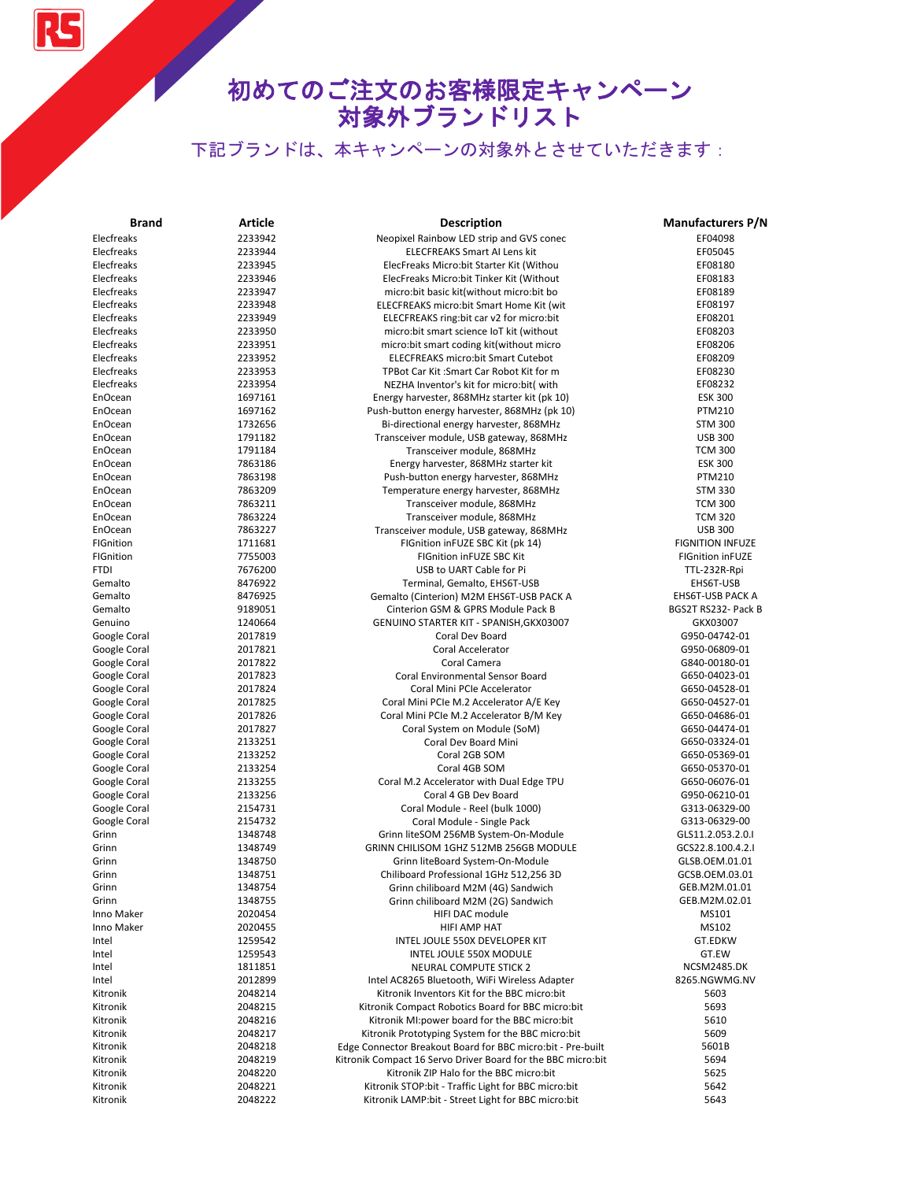RS

| <b>Brand</b> | Article | <b>Description</b>                                           | <b>Manufacturers P/N</b> |
|--------------|---------|--------------------------------------------------------------|--------------------------|
| Elecfreaks   | 2233942 | Neopixel Rainbow LED strip and GVS conec                     | EF04098                  |
| Elecfreaks   | 2233944 | <b>ELECFREAKS Smart AI Lens kit</b>                          | EF05045                  |
| Elecfreaks   | 2233945 | ElecFreaks Micro:bit Starter Kit (Withou                     | EF08180                  |
| Elecfreaks   | 2233946 | ElecFreaks Micro:bit Tinker Kit (Without                     | EF08183                  |
| Elecfreaks   | 2233947 | micro: bit basic kit(without micro: bit bo                   | EF08189                  |
| Elecfreaks   | 2233948 | ELECFREAKS micro:bit Smart Home Kit (wit                     | EF08197                  |
| Elecfreaks   | 2233949 | ELECFREAKS ring: bit car v2 for micro: bit                   | EF08201                  |
| Elecfreaks   | 2233950 | micro: bit smart science IoT kit (without                    | EF08203                  |
| Elecfreaks   | 2233951 | micro:bit smart coding kit(without micro                     | EF08206                  |
| Elecfreaks   | 2233952 | <b>ELECFREAKS micro:bit Smart Cutebot</b>                    | EF08209                  |
| Elecfreaks   | 2233953 | TPBot Car Kit: Smart Car Robot Kit for m                     | EF08230                  |
| Elecfreaks   | 2233954 | NEZHA Inventor's kit for micro:bit( with                     | EF08232                  |
| EnOcean      | 1697161 | Energy harvester, 868MHz starter kit (pk 10)                 | <b>ESK 300</b>           |
| EnOcean      | 1697162 | Push-button energy harvester, 868MHz (pk 10)                 | <b>PTM210</b>            |
| EnOcean      | 1732656 | Bi-directional energy harvester, 868MHz                      | <b>STM 300</b>           |
| EnOcean      | 1791182 | Transceiver module, USB gateway, 868MHz                      | <b>USB 300</b>           |
| EnOcean      | 1791184 | Transceiver module, 868MHz                                   | <b>TCM 300</b>           |
| EnOcean      | 7863186 | Energy harvester, 868MHz starter kit                         | <b>ESK 300</b>           |
| EnOcean      | 7863198 | Push-button energy harvester, 868MHz                         | <b>PTM210</b>            |
| EnOcean      | 7863209 |                                                              | <b>STM 330</b>           |
|              |         | Temperature energy harvester, 868MHz                         |                          |
| EnOcean      | 7863211 | Transceiver module, 868MHz                                   | <b>TCM 300</b>           |
| EnOcean      | 7863224 | Transceiver module, 868MHz                                   | <b>TCM 320</b>           |
| EnOcean      | 7863227 | Transceiver module, USB gateway, 868MHz                      | <b>USB 300</b>           |
| FIGnition    | 1711681 | FIGnition inFUZE SBC Kit (pk 14)                             | <b>FIGNITION INFUZE</b>  |
| FIGnition    | 7755003 | <b>FIGnition inFUZE SBC Kit</b>                              | <b>FIGnition inFUZE</b>  |
| <b>FTDI</b>  | 7676200 | USB to UART Cable for Pi                                     | TTL-232R-Rpi             |
| Gemalto      | 8476922 | Terminal, Gemalto, EHS6T-USB                                 | EHS6T-USB                |
| Gemalto      | 8476925 | Gemalto (Cinterion) M2M EHS6T-USB PACK A                     | EHS6T-USB PACK A         |
| Gemalto      | 9189051 | Cinterion GSM & GPRS Module Pack B                           | BGS2T RS232- Pack B      |
| Genuino      | 1240664 | GENUINO STARTER KIT - SPANISH, GKX03007                      | GKX03007                 |
| Google Coral | 2017819 | Coral Dev Board                                              | G950-04742-01            |
| Google Coral | 2017821 | Coral Accelerator                                            | G950-06809-01            |
| Google Coral | 2017822 | Coral Camera                                                 | G840-00180-01            |
| Google Coral | 2017823 | Coral Environmental Sensor Board                             | G650-04023-01            |
| Google Coral | 2017824 | Coral Mini PCIe Accelerator                                  | G650-04528-01            |
| Google Coral | 2017825 | Coral Mini PCIe M.2 Accelerator A/E Key                      | G650-04527-01            |
| Google Coral | 2017826 | Coral Mini PCIe M.2 Accelerator B/M Key                      | G650-04686-01            |
| Google Coral | 2017827 | Coral System on Module (SoM)                                 | G650-04474-01            |
| Google Coral | 2133251 | Coral Dev Board Mini                                         | G650-03324-01            |
| Google Coral | 2133252 | Coral 2GB SOM                                                | G650-05369-01            |
| Google Coral | 2133254 | Coral 4GB SOM                                                | G650-05370-01            |
| Google Coral | 2133255 | Coral M.2 Accelerator with Dual Edge TPU                     | G650-06076-01            |
| Google Coral | 2133256 | Coral 4 GB Dev Board                                         | G950-06210-01            |
| Google Coral | 2154731 | Coral Module - Reel (bulk 1000)                              | G313-06329-00            |
| Google Coral | 2154732 | Coral Module - Single Pack                                   | G313-06329-00            |
| Grinn        | 1348748 | Grinn liteSOM 256MB System-On-Module                         | GLS11.2.053.2.0.I        |
| Grinn        | 1348749 | GRINN CHILISOM 1GHZ 512MB 256GB MODULE                       | GCS22.8.100.4.2.I        |
| Grinn        | 1348750 | Grinn liteBoard System-On-Module                             | GLSB.OEM.01.01           |
| Grinn        | 1348751 | Chiliboard Professional 1GHz 512,256 3D                      | GCSB.OEM.03.01           |
| Grinn        | 1348754 | Grinn chiliboard M2M (4G) Sandwich                           | GEB.M2M.01.01            |
| Grinn        | 1348755 | Grinn chiliboard M2M (2G) Sandwich                           | GEB.M2M.02.01            |
| Inno Maker   | 2020454 | HIFI DAC module                                              | MS101                    |
| Inno Maker   | 2020455 | HIFI AMP HAT                                                 | MS102                    |
| Intel        | 1259542 | INTEL JOULE 550X DEVELOPER KIT                               | GT.EDKW                  |
| Intel        | 1259543 | INTEL JOULE 550X MODULE                                      | GT.EW                    |
| Intel        | 1811851 | NEURAL COMPUTE STICK 2                                       | <b>NCSM2485.DK</b>       |
| Intel        | 2012899 | Intel AC8265 Bluetooth, WiFi Wireless Adapter                | 8265.NGWMG.NV            |
| Kitronik     | 2048214 | Kitronik Inventors Kit for the BBC micro:bit                 | 5603                     |
| Kitronik     | 2048215 | Kitronik Compact Robotics Board for BBC micro:bit            | 5693                     |
| Kitronik     | 2048216 | Kitronik MI: power board for the BBC micro: bit              | 5610                     |
| Kitronik     | 2048217 | Kitronik Prototyping System for the BBC micro:bit            | 5609                     |
|              |         |                                                              | 5601B                    |
| Kitronik     | 2048218 | Edge Connector Breakout Board for BBC micro:bit - Pre-built  |                          |
| Kitronik     | 2048219 | Kitronik Compact 16 Servo Driver Board for the BBC micro:bit | 5694                     |
| Kitronik     | 2048220 | Kitronik ZIP Halo for the BBC micro:bit                      | 5625                     |
| Kitronik     | 2048221 | Kitronik STOP:bit - Traffic Light for BBC micro:bit          | 5642                     |
| Kitronik     | 2048222 | Kitronik LAMP:bit - Street Light for BBC micro:bit           | 5643                     |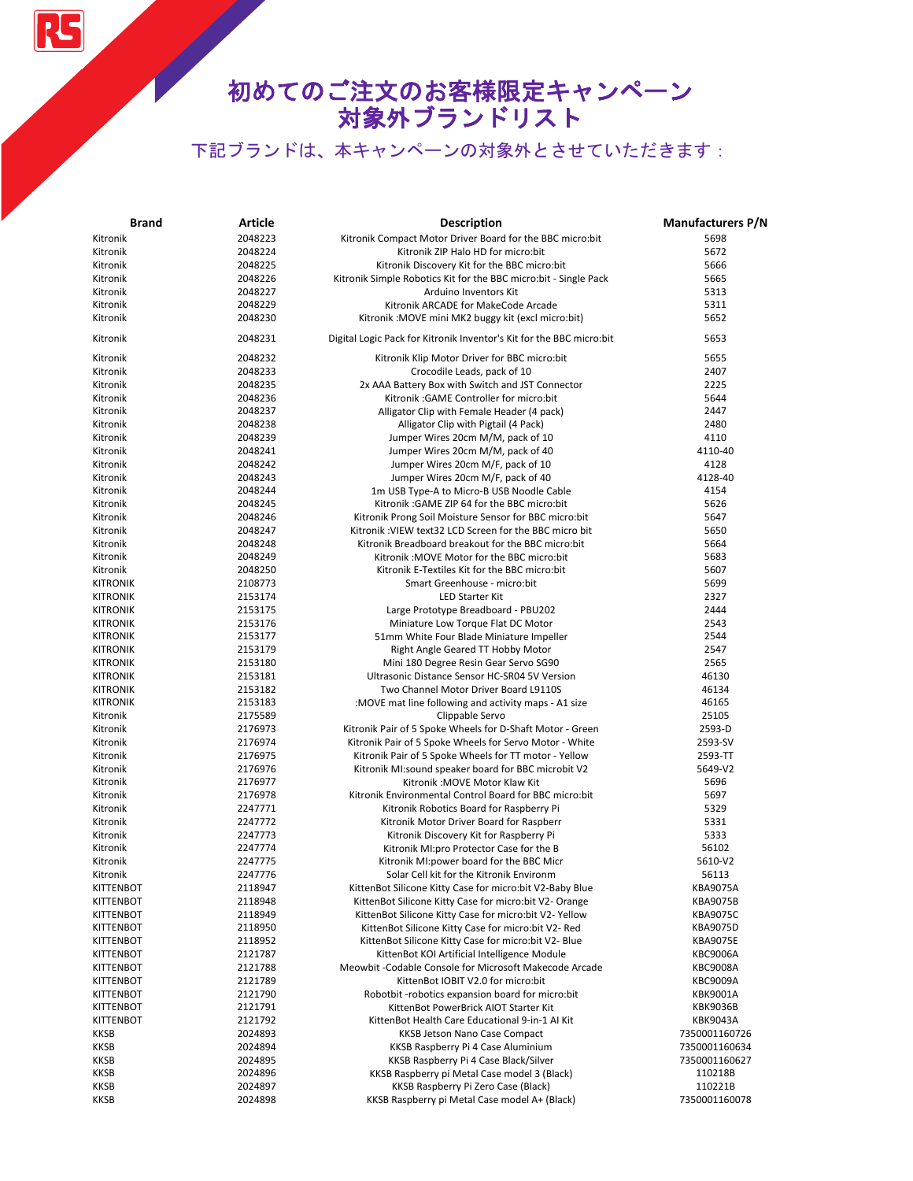RS

| <b>Brand</b>     | Article | <b>Description</b>                                                   | <b>Manufacturers P/N</b> |
|------------------|---------|----------------------------------------------------------------------|--------------------------|
| Kitronik         | 2048223 | Kitronik Compact Motor Driver Board for the BBC micro:bit            | 5698                     |
| Kitronik         | 2048224 | Kitronik ZIP Halo HD for micro:bit                                   | 5672                     |
| Kitronik         | 2048225 | Kitronik Discovery Kit for the BBC micro:bit                         | 5666                     |
| Kitronik         | 2048226 | Kitronik Simple Robotics Kit for the BBC micro:bit - Single Pack     | 5665                     |
| Kitronik         | 2048227 | Arduino Inventors Kit                                                | 5313                     |
| Kitronik         | 2048229 | Kitronik ARCADE for MakeCode Arcade                                  | 5311                     |
| Kitronik         | 2048230 | Kitronik: MOVE mini MK2 buggy kit (excl micro:bit)                   | 5652                     |
| Kitronik         | 2048231 | Digital Logic Pack for Kitronik Inventor's Kit for the BBC micro:bit | 5653                     |
| Kitronik         | 2048232 | Kitronik Klip Motor Driver for BBC micro:bit                         | 5655                     |
| Kitronik         | 2048233 | Crocodile Leads, pack of 10                                          | 2407                     |
| Kitronik         | 2048235 | 2x AAA Battery Box with Switch and JST Connector                     | 2225                     |
| Kitronik         | 2048236 | Kitronik: GAME Controller for micro:bit                              | 5644                     |
| Kitronik         | 2048237 | Alligator Clip with Female Header (4 pack)                           | 2447                     |
| Kitronik         | 2048238 | Alligator Clip with Pigtail (4 Pack)                                 | 2480                     |
| Kitronik         | 2048239 | Jumper Wires 20cm M/M, pack of 10                                    | 4110                     |
| Kitronik         | 2048241 | Jumper Wires 20cm M/M, pack of 40                                    | 4110-40                  |
| Kitronik         | 2048242 | Jumper Wires 20cm M/F, pack of 10                                    | 4128                     |
| Kitronik         | 2048243 | Jumper Wires 20cm M/F, pack of 40                                    | 4128-40                  |
| Kitronik         | 2048244 | 1m USB Type-A to Micro-B USB Noodle Cable                            | 4154                     |
| Kitronik         | 2048245 | Kitronik: GAME ZIP 64 for the BBC micro:bit                          | 5626                     |
| Kitronik         | 2048246 | Kitronik Prong Soil Moisture Sensor for BBC micro:bit                | 5647                     |
| Kitronik         | 2048247 | Kitronik: VIEW text32 LCD Screen for the BBC micro bit               | 5650                     |
| Kitronik         | 2048248 | Kitronik Breadboard breakout for the BBC micro:bit                   | 5664                     |
| Kitronik         | 2048249 | Kitronik: MOVE Motor for the BBC micro:bit                           | 5683                     |
| Kitronik         | 2048250 | Kitronik E-Textiles Kit for the BBC micro:bit                        | 5607                     |
| <b>KITRONIK</b>  | 2108773 | Smart Greenhouse - micro:bit                                         | 5699                     |
| <b>KITRONIK</b>  | 2153174 | <b>LED Starter Kit</b>                                               | 2327                     |
| <b>KITRONIK</b>  | 2153175 | Large Prototype Breadboard - PBU202                                  | 2444                     |
| <b>KITRONIK</b>  | 2153176 | Miniature Low Torque Flat DC Motor                                   | 2543                     |
| <b>KITRONIK</b>  | 2153177 | 51mm White Four Blade Miniature Impeller                             | 2544                     |
| <b>KITRONIK</b>  | 2153179 | Right Angle Geared TT Hobby Motor                                    | 2547                     |
| <b>KITRONIK</b>  | 2153180 | Mini 180 Degree Resin Gear Servo SG90                                | 2565                     |
| <b>KITRONIK</b>  | 2153181 | Ultrasonic Distance Sensor HC-SR04 5V Version                        | 46130                    |
| <b>KITRONIK</b>  | 2153182 | Two Channel Motor Driver Board L9110S                                | 46134                    |
| <b>KITRONIK</b>  | 2153183 | :MOVE mat line following and activity maps - A1 size                 | 46165                    |
| Kitronik         | 2175589 | Clippable Servo                                                      | 25105                    |
| Kitronik         | 2176973 | Kitronik Pair of 5 Spoke Wheels for D-Shaft Motor - Green            | 2593-D                   |
| Kitronik         | 2176974 | Kitronik Pair of 5 Spoke Wheels for Servo Motor - White              | 2593-SV                  |
| Kitronik         | 2176975 | Kitronik Pair of 5 Spoke Wheels for TT motor - Yellow                | 2593-TT                  |
| Kitronik         | 2176976 | Kitronik MI:sound speaker board for BBC microbit V2                  | 5649-V2                  |
| Kitronik         | 2176977 | Kitronik: MOVE Motor Klaw Kit                                        | 5696                     |
| Kitronik         | 2176978 | Kitronik Environmental Control Board for BBC micro:bit               | 5697                     |
| Kitronik         | 2247771 | Kitronik Robotics Board for Raspberry Pi                             | 5329                     |
| Kitronik         | 2247772 | Kitronik Motor Driver Board for Raspberr                             | 5331                     |
| Kitronik         | 2247773 | Kitronik Discovery Kit for Raspberry Pi                              | 5333                     |
| Kitronik         | 2247774 | Kitronik MI:pro Protector Case for the B                             | 56102                    |
| Kitronik         | 2247775 | Kitronik MI: power board for the BBC Micr                            | 5610-V2                  |
| Kitronik         | 2247776 | Solar Cell kit for the Kitronik Environm                             | 56113                    |
| KITTENBOT        | 2118947 | KittenBot Silicone Kitty Case for micro:bit V2-Baby Blue             | <b>KBA9075A</b>          |
| <b>KITTENBOT</b> | 2118948 | KittenBot Silicone Kitty Case for micro:bit V2- Orange               | <b>KBA9075B</b>          |
| <b>KITTENBOT</b> | 2118949 | KittenBot Silicone Kitty Case for micro:bit V2- Yellow               | <b>KBA9075C</b>          |
| <b>KITTENBOT</b> | 2118950 | KittenBot Silicone Kitty Case for micro:bit V2- Red                  | <b>KBA9075D</b>          |
| KITTENBOT        | 2118952 | KittenBot Silicone Kitty Case for micro:bit V2- Blue                 | <b>KBA9075E</b>          |
| <b>KITTENBOT</b> | 2121787 | KittenBot KOI Artificial Intelligence Module                         | <b>KBC9006A</b>          |
| <b>KITTENBOT</b> | 2121788 | Meowbit -Codable Console for Microsoft Makecode Arcade               | <b>KBC9008A</b>          |
| KITTENBOT        | 2121789 | KittenBot IOBIT V2.0 for micro:bit                                   | <b>KBC9009A</b>          |
| <b>KITTENBOT</b> | 2121790 | Robotbit-robotics expansion board for micro:bit                      | <b>KBK9001A</b>          |
| <b>KITTENBOT</b> | 2121791 | KittenBot PowerBrick AIOT Starter Kit                                | <b>KBK9036B</b>          |
| <b>KITTENBOT</b> | 2121792 | KittenBot Health Care Educational 9-in-1 Al Kit                      | <b>KBK9043A</b>          |
| KKSB             | 2024893 | KKSB Jetson Nano Case Compact                                        | 7350001160726            |
| <b>KKSB</b>      | 2024894 | KKSB Raspberry Pi 4 Case Aluminium                                   | 7350001160634            |
| KKSB             | 2024895 | KKSB Raspberry Pi 4 Case Black/Silver                                | 7350001160627            |
| <b>KKSB</b>      | 2024896 | KKSB Raspberry pi Metal Case model 3 (Black)                         | 110218B                  |
| <b>KKSB</b>      | 2024897 | KKSB Raspberry Pi Zero Case (Black)                                  | 110221B                  |
| <b>KKSB</b>      | 2024898 | KKSB Raspberry pi Metal Case model A+ (Black)                        | 7350001160078            |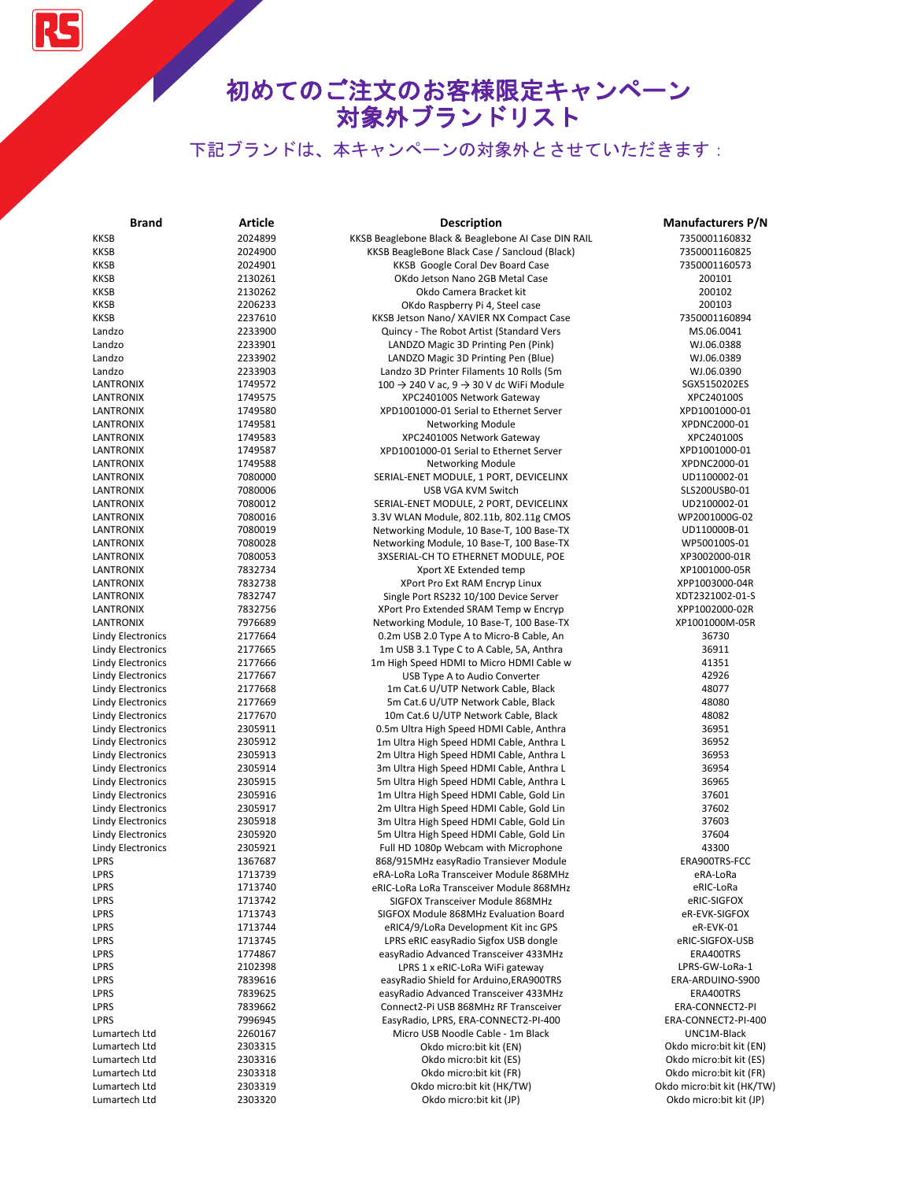# 初めてのご注文のお客様限定キャンペーン 対象外ブランドリスト

| <b>Brand</b>                                         | <b>Article</b>     | <b>Description</b>                                                                   | <b>Manufacturers P/N</b>                              |
|------------------------------------------------------|--------------------|--------------------------------------------------------------------------------------|-------------------------------------------------------|
| <b>KKSB</b>                                          | 2024899            | KKSB Beaglebone Black & Beaglebone AI Case DIN RAIL                                  | 7350001160832                                         |
| <b>KKSB</b>                                          | 2024900            | KKSB BeagleBone Black Case / Sancloud (Black)                                        | 7350001160825                                         |
| <b>KKSB</b>                                          | 2024901            | KKSB Google Coral Dev Board Case                                                     | 7350001160573                                         |
| <b>KKSB</b>                                          | 2130261            | OKdo Jetson Nano 2GB Metal Case                                                      | 200101                                                |
| <b>KKSB</b>                                          | 2130262            | Okdo Camera Bracket kit                                                              | 200102                                                |
| <b>KKSB</b>                                          | 2206233            | OKdo Raspberry Pi 4, Steel case                                                      | 200103                                                |
| KKSB                                                 | 2237610            | KKSB Jetson Nano/ XAVIER NX Compact Case                                             | 7350001160894                                         |
| Landzo                                               | 2233900            | Quincy - The Robot Artist (Standard Vers                                             | MS.06.0041                                            |
| Landzo                                               | 2233901            | LANDZO Magic 3D Printing Pen (Pink)                                                  | WJ.06.0388                                            |
| Landzo                                               | 2233902            | LANDZO Magic 3D Printing Pen (Blue)                                                  | WJ.06.0389                                            |
| Landzo                                               | 2233903            | Landzo 3D Printer Filaments 10 Rolls (5m                                             | WJ.06.0390                                            |
| LANTRONIX                                            | 1749572            | $100 \rightarrow 240$ V ac, 9 $\rightarrow$ 30 V dc WiFi Module                      | SGX5150202ES                                          |
| LANTRONIX                                            | 1749575            | XPC240100S Network Gateway                                                           | XPC240100S                                            |
| <b>LANTRONIX</b>                                     | 1749580            | XPD1001000-01 Serial to Ethernet Server                                              | XPD1001000-01                                         |
| <b>LANTRONIX</b>                                     | 1749581            | <b>Networking Module</b>                                                             | XPDNC2000-01                                          |
| LANTRONIX                                            | 1749583            | XPC240100S Network Gateway                                                           | XPC240100S                                            |
| LANTRONIX                                            | 1749587            | XPD1001000-01 Serial to Ethernet Server                                              | XPD1001000-01                                         |
| <b>LANTRONIX</b>                                     | 1749588            | <b>Networking Module</b>                                                             | XPDNC2000-01                                          |
| LANTRONIX<br>LANTRONIX                               | 7080000<br>7080006 | SERIAL-ENET MODULE, 1 PORT, DEVICELINX                                               | UD1100002-01<br>SLS200USB0-01                         |
| LANTRONIX                                            | 7080012            | USB VGA KVM Switch<br>SERIAL-ENET MODULE, 2 PORT, DEVICELINX                         | UD2100002-01                                          |
| LANTRONIX                                            | 7080016            | 3.3V WLAN Module, 802.11b, 802.11g CMOS                                              | WP2001000G-02                                         |
| LANTRONIX                                            | 7080019            | Networking Module, 10 Base-T, 100 Base-TX                                            | UD110000B-01                                          |
| LANTRONIX                                            | 7080028            | Networking Module, 10 Base-T, 100 Base-TX                                            | WP500100S-01                                          |
| LANTRONIX                                            | 7080053            | 3XSERIAL-CH TO ETHERNET MODULE, POE                                                  | XP3002000-01R                                         |
| LANTRONIX                                            | 7832734            | Xport XE Extended temp                                                               | XP1001000-05R                                         |
| <b>LANTRONIX</b>                                     | 7832738            | XPort Pro Ext RAM Encryp Linux                                                       | XPP1003000-04R                                        |
| <b>LANTRONIX</b>                                     | 7832747            | Single Port RS232 10/100 Device Server                                               | XDT2321002-01-S                                       |
| <b>LANTRONIX</b>                                     | 7832756            | XPort Pro Extended SRAM Temp w Encryp                                                | XPP1002000-02R                                        |
| LANTRONIX                                            | 7976689            | Networking Module, 10 Base-T, 100 Base-TX                                            | XP1001000M-05R                                        |
| <b>Lindy Electronics</b>                             | 2177664            | 0.2m USB 2.0 Type A to Micro-B Cable, An                                             | 36730                                                 |
| <b>Lindy Electronics</b>                             | 2177665            | 1m USB 3.1 Type C to A Cable, 5A, Anthra                                             | 36911                                                 |
| <b>Lindy Electronics</b>                             | 2177666            | 1m High Speed HDMI to Micro HDMI Cable w                                             | 41351                                                 |
| <b>Lindy Electronics</b>                             | 2177667            | USB Type A to Audio Converter                                                        | 42926                                                 |
| <b>Lindy Electronics</b>                             | 2177668            | 1m Cat.6 U/UTP Network Cable, Black                                                  | 48077                                                 |
| <b>Lindy Electronics</b>                             | 2177669            | 5m Cat.6 U/UTP Network Cable, Black                                                  | 48080                                                 |
| <b>Lindy Electronics</b>                             | 2177670            | 10m Cat.6 U/UTP Network Cable, Black                                                 | 48082                                                 |
| <b>Lindy Electronics</b>                             | 2305911            | 0.5m Ultra High Speed HDMI Cable, Anthra                                             | 36951                                                 |
| <b>Lindy Electronics</b>                             | 2305912            | 1m Ultra High Speed HDMI Cable, Anthra L                                             | 36952                                                 |
| <b>Lindy Electronics</b>                             | 2305913            | 2m Ultra High Speed HDMI Cable, Anthra L                                             | 36953                                                 |
| <b>Lindy Electronics</b>                             | 2305914            | 3m Ultra High Speed HDMI Cable, Anthra L                                             | 36954<br>36965                                        |
| <b>Lindy Electronics</b><br><b>Lindy Electronics</b> | 2305915<br>2305916 | 5m Ultra High Speed HDMI Cable, Anthra L<br>1m Ultra High Speed HDMI Cable, Gold Lin | 37601                                                 |
| <b>Lindy Electronics</b>                             | 2305917            | 2m Ultra High Speed HDMI Cable, Gold Lin                                             | 37602                                                 |
| <b>Lindy Electronics</b>                             | 2305918            | 3m Ultra High Speed HDMI Cable, Gold Lin                                             | 37603                                                 |
| <b>Lindy Electronics</b>                             | 2305920            | 5m Ultra High Speed HDMI Cable, Gold Lin                                             | 37604                                                 |
| <b>Lindy Electronics</b>                             | 2305921            | Full HD 1080p Webcam with Microphone                                                 | 43300                                                 |
| LPRS                                                 | 1367687            | 868/915MHz easyRadio Transiever Module                                               | ERA900TRS-FCC                                         |
| LPRS                                                 | 1713739            | eRA-LoRa LoRa Transceiver Module 868MHz                                              | eRA-LoRa                                              |
| LPRS                                                 | 1713740            | eRIC-LoRa LoRa Transceiver Module 868MHz                                             | eRIC-LoRa                                             |
| LPRS                                                 | 1713742            | SIGFOX Transceiver Module 868MHz                                                     | eRIC-SIGFOX                                           |
| LPRS                                                 | 1713743            | SIGFOX Module 868MHz Evaluation Board                                                | eR-EVK-SIGFOX                                         |
| LPRS                                                 | 1713744            | eRIC4/9/LoRa Development Kit inc GPS                                                 | eR-EVK-01                                             |
| LPRS                                                 | 1713745            | LPRS eRIC easyRadio Sigfox USB dongle                                                | eRIC-SIGFOX-USB                                       |
| LPRS                                                 | 1774867            | easyRadio Advanced Transceiver 433MHz                                                | ERA400TRS                                             |
| LPRS                                                 | 2102398            | LPRS 1 x eRIC-LoRa WiFi gateway                                                      | LPRS-GW-LoRa-1                                        |
| LPRS                                                 | 7839616            | easyRadio Shield for Arduino, ERA900TRS                                              | ERA-ARDUINO-S900                                      |
| LPRS                                                 | 7839625            | easyRadio Advanced Transceiver 433MHz                                                | ERA400TRS                                             |
| LPRS                                                 | 7839662            | Connect2-Pi USB 868MHz RF Transceiver                                                | ERA-CONNECT2-PI                                       |
| LPRS                                                 | 7996945            | EasyRadio, LPRS, ERA-CONNECT2-PI-400                                                 | ERA-CONNECT2-PI-400                                   |
| Lumartech Ltd                                        | 2260167            | Micro USB Noodle Cable - 1m Black                                                    | UNC1M-Black                                           |
| Lumartech Ltd                                        | 2303315            | Okdo micro:bit kit (EN)                                                              | Okdo micro:bit kit (EN)                               |
| Lumartech Ltd                                        | 2303316            | Okdo micro:bit kit (ES)                                                              | Okdo micro:bit kit (ES)                               |
| Lumartech Ltd<br>Lumartech Ltd                       | 2303318<br>2303319 | Okdo micro:bit kit (FR)<br>Okdo micro:bit kit (HK/TW)                                | Okdo micro:bit kit (FR)<br>Okdo micro:bit kit (HK/TW) |
| Lumartech Ltd                                        | 2303320            | Okdo micro:bit kit (JP)                                                              | Okdo micro:bit kit (JP)                               |
|                                                      |                    |                                                                                      |                                                       |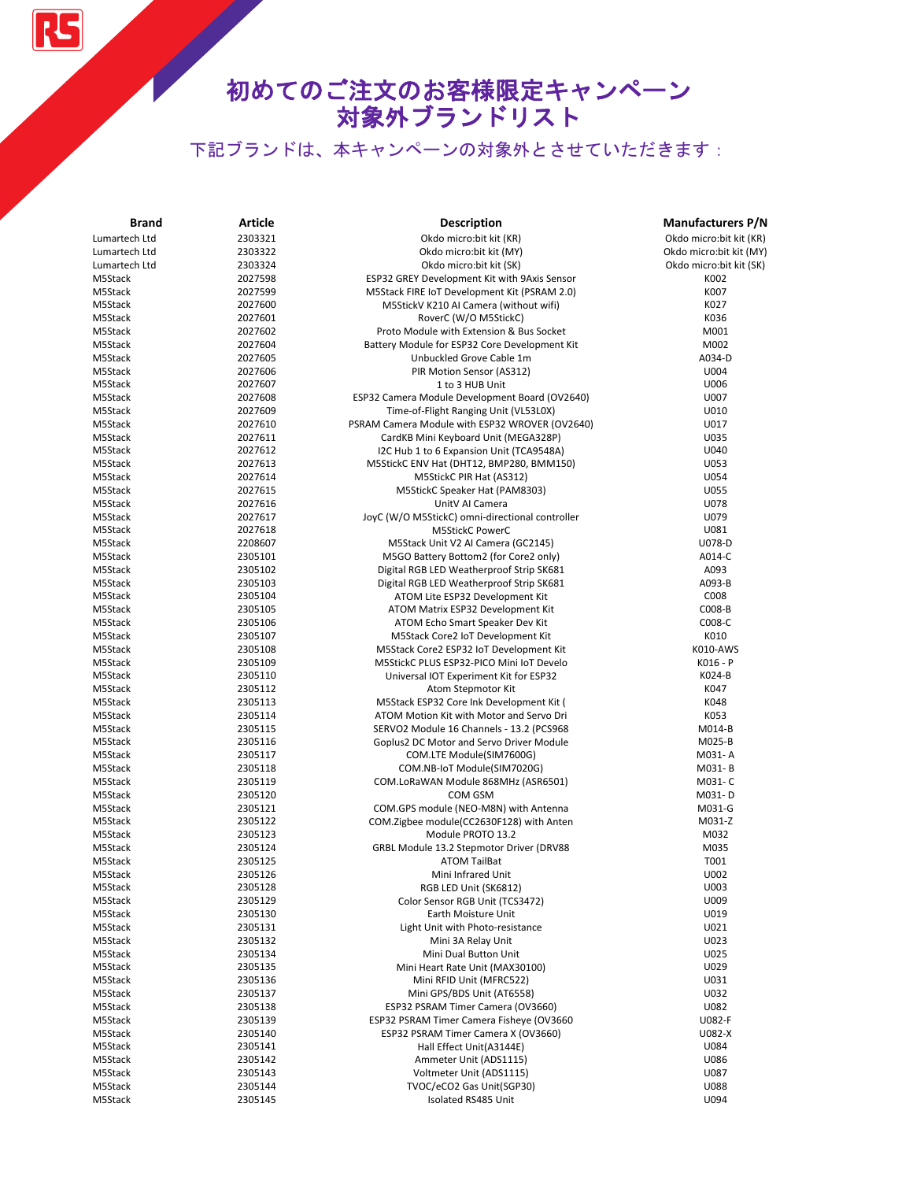RS

| <b>Brand</b>  | Article            | <b>Description</b>                              | <b>Manufacturers P/N</b> |
|---------------|--------------------|-------------------------------------------------|--------------------------|
| Lumartech Ltd | 2303321            | Okdo micro:bit kit (KR)                         | Okdo micro:bit kit (KR)  |
| Lumartech Ltd | 2303322            | Okdo micro:bit kit (MY)                         | Okdo micro:bit kit (MY)  |
| Lumartech Ltd | 2303324            | Okdo micro:bit kit (SK)                         | Okdo micro:bit kit (SK)  |
| M5Stack       | 2027598            | ESP32 GREY Development Kit with 9Axis Sensor    | K002                     |
| M5Stack       | 2027599            | M5Stack FIRE IoT Development Kit (PSRAM 2.0)    | K007                     |
| M5Stack       | 2027600            | M5StickV K210 AI Camera (without wifi)          | K027                     |
| M5Stack       | 2027601            | RoverC (W/O M5StickC)                           | K036                     |
| M5Stack       | 2027602            | Proto Module with Extension & Bus Socket        | M001                     |
| M5Stack       | 2027604            | Battery Module for ESP32 Core Development Kit   | M002                     |
| M5Stack       | 2027605            | Unbuckled Grove Cable 1m                        | A034-D                   |
| M5Stack       | 2027606            | PIR Motion Sensor (AS312)                       | U004                     |
| M5Stack       | 2027607            | 1 to 3 HUB Unit                                 | U006                     |
| M5Stack       | 2027608            | ESP32 Camera Module Development Board (OV2640)  | U007                     |
| M5Stack       | 2027609            | Time-of-Flight Ranging Unit (VL53L0X)           | U010                     |
| M5Stack       | 2027610            | PSRAM Camera Module with ESP32 WROVER (OV2640)  | U017                     |
| M5Stack       | 2027611            | CardKB Mini Keyboard Unit (MEGA328P)            | U035                     |
| M5Stack       | 2027612            | I2C Hub 1 to 6 Expansion Unit (TCA9548A)        | U040                     |
| M5Stack       | 2027613            | M5StickC ENV Hat (DHT12, BMP280, BMM150)        | U053                     |
| M5Stack       | 2027614            | M5StickC PIR Hat (AS312)                        | U054                     |
| M5Stack       | 2027615            | M5StickC Speaker Hat (PAM8303)                  | U055                     |
| M5Stack       | 2027616            | UnitV AI Camera                                 | U078                     |
| M5Stack       | 2027617            | JoyC (W/O M5StickC) omni-directional controller | U079                     |
| M5Stack       | 2027618            | M5StickC PowerC                                 | U081                     |
| M5Stack       | 2208607            | M5Stack Unit V2 Al Camera (GC2145)              | U078-D                   |
| M5Stack       | 2305101            | M5GO Battery Bottom2 (for Core2 only)           | A014-C                   |
| M5Stack       | 2305102            | Digital RGB LED Weatherproof Strip SK681        | A093                     |
| M5Stack       | 2305103            | Digital RGB LED Weatherproof Strip SK681        | A093-B                   |
| M5Stack       | 2305104            | ATOM Lite ESP32 Development Kit                 | C008                     |
| M5Stack       | 2305105            | ATOM Matrix ESP32 Development Kit               | C008-B                   |
| M5Stack       | 2305106            | ATOM Echo Smart Speaker Dev Kit                 | C008-C                   |
| M5Stack       | 2305107            | M5Stack Core2 IoT Development Kit               | K010                     |
| M5Stack       | 2305108            | M5Stack Core2 ESP32 IoT Development Kit         | K010-AWS                 |
| M5Stack       | 2305109            | M5StickC PLUS ESP32-PICO Mini IoT Develo        | K016 - P                 |
| M5Stack       | 2305110            | Universal IOT Experiment Kit for ESP32          | K024-B                   |
| M5Stack       | 2305112            | Atom Stepmotor Kit                              | K047                     |
| M5Stack       | 2305113            | M5Stack ESP32 Core Ink Development Kit (        | K048                     |
| M5Stack       | 2305114            | ATOM Motion Kit with Motor and Servo Dri        | K053                     |
| M5Stack       | 2305115            | SERVO2 Module 16 Channels - 13.2 (PCS968        | M014-B                   |
| M5Stack       | 2305116            | Goplus2 DC Motor and Servo Driver Module        | M025-B                   |
| M5Stack       | 2305117            | COM.LTE Module(SIM7600G)                        | M031-A                   |
| M5Stack       | 2305118            | COM.NB-IoT Module(SIM7020G)                     | M031-B                   |
| M5Stack       | 2305119            | COM.LoRaWAN Module 868MHz (ASR6501)             | M031-C                   |
| M5Stack       | 2305120            | COM GSM                                         | M031-D                   |
| M5Stack       | 2305121            | COM.GPS module (NEO-M8N) with Antenna           | M031-G                   |
| M5Stack       | 2305122            | COM.Zigbee module(CC2630F128) with Anten        | M031-Z                   |
| M5Stack       | 2305123            | Module PROTO 13.2                               | M032                     |
| M5Stack       | 2305124            | GRBL Module 13.2 Stepmotor Driver (DRV88        | M035                     |
| M5Stack       | 2305125            | <b>ATOM TailBat</b>                             | T001                     |
| M5Stack       | 2305126            | Mini Infrared Unit                              | U002                     |
| M5Stack       | 2305128            | RGB LED Unit (SK6812)                           | U003                     |
| M5Stack       | 2305129            | Color Sensor RGB Unit (TCS3472)                 | U009                     |
| M5Stack       | 2305130            | Earth Moisture Unit                             | U019                     |
| M5Stack       | 2305131            | Light Unit with Photo-resistance                | U021                     |
| M5Stack       | 2305132            | Mini 3A Relay Unit                              | U023                     |
| M5Stack       | 2305134            | Mini Dual Button Unit                           | U025                     |
| M5Stack       | 2305135            | Mini Heart Rate Unit (MAX30100)                 | U029                     |
| M5Stack       | 2305136            | Mini RFID Unit (MFRC522)                        | U031                     |
| M5Stack       | 2305137            | Mini GPS/BDS Unit (AT6558)                      | U032                     |
| M5Stack       | 2305138            | ESP32 PSRAM Timer Camera (OV3660)               | U082                     |
| M5Stack       | 2305139            | ESP32 PSRAM Timer Camera Fisheye (OV3660        | U082-F                   |
| M5Stack       | 2305140            | ESP32 PSRAM Timer Camera X (OV3660)             | U082-X                   |
| M5Stack       |                    | Hall Effect Unit(A3144E)                        | U084                     |
| M5Stack       | 2305141<br>2305142 | Ammeter Unit (ADS1115)                          | U086                     |
| M5Stack       | 2305143            | Voltmeter Unit (ADS1115)                        | U087                     |
| M5Stack       | 2305144            | TVOC/eCO2 Gas Unit(SGP30)                       | U088                     |
| M5Stack       |                    | Isolated RS485 Unit                             | U094                     |
|               | 2305145            |                                                 |                          |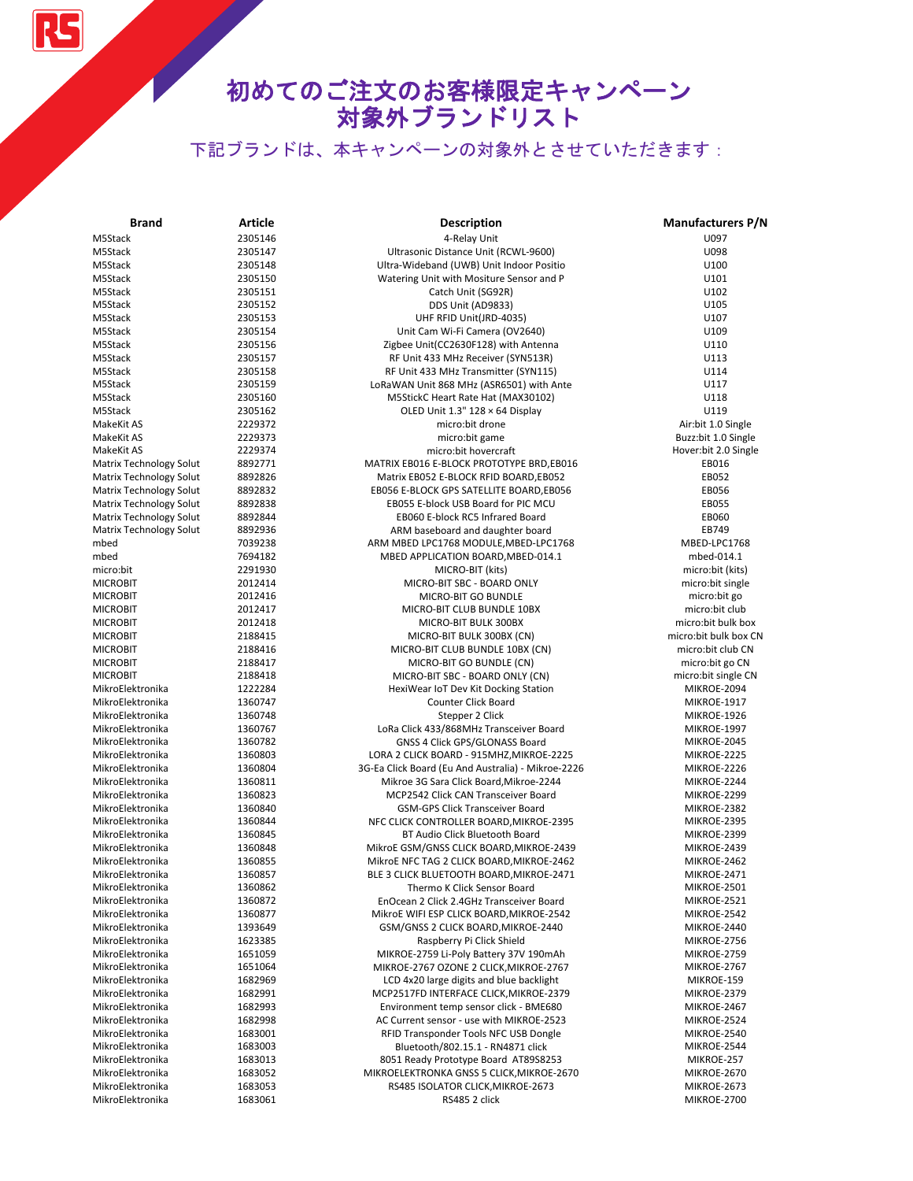RS

| <b>Brand</b>                         | Article            | <b>Description</b>                                 | <b>Manufacturers P/N</b>          |
|--------------------------------------|--------------------|----------------------------------------------------|-----------------------------------|
| M5Stack                              | 2305146            | 4-Relay Unit                                       | U097                              |
| M5Stack                              | 2305147            | Ultrasonic Distance Unit (RCWL-9600)               | U098                              |
| M5Stack                              | 2305148            | Ultra-Wideband (UWB) Unit Indoor Positio           | U100                              |
| M5Stack                              | 2305150            | Watering Unit with Mositure Sensor and P           | U101                              |
| M5Stack                              | 2305151            | Catch Unit (SG92R)                                 | U102                              |
| M5Stack                              | 2305152            | DDS Unit (AD9833)                                  | U105                              |
| M5Stack                              | 2305153            | UHF RFID Unit(JRD-4035)                            | U107                              |
| M5Stack                              | 2305154            | Unit Cam Wi-Fi Camera (OV2640)                     | U109                              |
| M5Stack                              | 2305156            | Zigbee Unit(CC2630F128) with Antenna               | U110                              |
| M5Stack                              | 2305157            | RF Unit 433 MHz Receiver (SYN513R)                 | U113                              |
| M5Stack                              | 2305158            | RF Unit 433 MHz Transmitter (SYN115)               | U114                              |
| M5Stack                              | 2305159            | LoRaWAN Unit 868 MHz (ASR6501) with Ante           | U117                              |
| M5Stack                              | 2305160            | M5StickC Heart Rate Hat (MAX30102)                 | U118                              |
| M5Stack                              | 2305162            | OLED Unit $1.3" 128 \times 64$ Display             | U119                              |
| MakeKit AS                           | 2229372            | micro:bit drone                                    | Air:bit 1.0 Single                |
| MakeKit AS                           | 2229373            | micro:bit game                                     | Buzz:bit 1.0 Single               |
| MakeKit AS                           | 2229374            | micro:bit hovercraft                               | Hover:bit 2.0 Single              |
| Matrix Technology Solut              | 8892771            | MATRIX EB016 E-BLOCK PROTOTYPE BRD, EB016          | EB016                             |
| Matrix Technology Solut              | 8892826            | Matrix EB052 E-BLOCK RFID BOARD, EB052             | EB052                             |
| Matrix Technology Solut              | 8892832            | EB056 E-BLOCK GPS SATELLITE BOARD, EB056           | EB056                             |
| Matrix Technology Solut              | 8892838            | EB055 E-block USB Board for PIC MCU                | EB055                             |
| Matrix Technology Solut              | 8892844            | EB060 E-block RC5 Infrared Board                   | EB060                             |
| <b>Matrix Technology Solut</b>       | 8892936            | ARM baseboard and daughter board                   | EB749                             |
| mbed                                 | 7039238            | ARM MBED LPC1768 MODULE, MBED-LPC1768              | MBED-LPC1768                      |
| mbed                                 | 7694182            | MBED APPLICATION BOARD, MBED-014.1                 | mbed-014.1                        |
| micro:bit                            | 2291930            | MICRO-BIT (kits)                                   | micro:bit (kits)                  |
| <b>MICROBIT</b>                      | 2012414            | MICRO-BIT SBC - BOARD ONLY                         | micro:bit single                  |
| <b>MICROBIT</b>                      | 2012416            | MICRO-BIT GO BUNDLE                                |                                   |
| <b>MICROBIT</b>                      | 2012417            |                                                    | micro:bit go<br>micro:bit club    |
|                                      |                    | MICRO-BIT CLUB BUNDLE 10BX                         | micro:bit bulk box                |
| <b>MICROBIT</b>                      | 2012418            | MICRO-BIT BULK 300BX                               | micro:bit bulk box CN             |
| <b>MICROBIT</b>                      | 2188415            | MICRO-BIT BULK 300BX (CN)                          |                                   |
| <b>MICROBIT</b>                      | 2188416            | MICRO-BIT CLUB BUNDLE 10BX (CN)                    | micro:bit club CN                 |
| <b>MICROBIT</b>                      | 2188417            | MICRO-BIT GO BUNDLE (CN)                           | micro:bit go CN                   |
| <b>MICROBIT</b>                      | 2188418            | MICRO-BIT SBC - BOARD ONLY (CN)                    | micro:bit single CN               |
| MikroElektronika<br>MikroElektronika | 1222284<br>1360747 | HexiWear IoT Dev Kit Docking Station               | MIKROE-2094<br><b>MIKROE-1917</b> |
|                                      |                    | Counter Click Board                                |                                   |
| MikroElektronika                     | 1360748            | Stepper 2 Click                                    | <b>MIKROE-1926</b>                |
| MikroElektronika                     | 1360767            | LoRa Click 433/868MHz Transceiver Board            | <b>MIKROE-1997</b>                |
| MikroElektronika                     | 1360782            | GNSS 4 Click GPS/GLONASS Board                     | MIKROE-2045                       |
| MikroElektronika                     | 1360803            | LORA 2 CLICK BOARD - 915MHZ, MIKROE-2225           | MIKROE-2225                       |
| MikroElektronika                     | 1360804            | 3G-Ea Click Board (Eu And Australia) - Mikroe-2226 | MIKROE-2226                       |
| MikroElektronika                     | 1360811            | Mikroe 3G Sara Click Board, Mikroe-2244            | MIKROE-2244                       |
| MikroElektronika                     | 1360823            | MCP2542 Click CAN Transceiver Board                | MIKROE-2299                       |
| MikroElektronika                     | 1360840            | <b>GSM-GPS Click Transceiver Board</b>             | MIKROE-2382                       |
| MikroElektronika                     | 1360844            | NFC CLICK CONTROLLER BOARD, MIKROE-2395            | MIKROE-2395                       |
| MikroElektronika                     | 1360845            | BT Audio Click Bluetooth Board                     | MIKROE-2399                       |
| MikroElektronika                     | 1360848            | MikroE GSM/GNSS CLICK BOARD, MIKROE-2439           | MIKROE-2439                       |
| MikroElektronika                     | 1360855            | MikroE NFC TAG 2 CLICK BOARD, MIKROE-2462          | MIKROE-2462                       |
| MikroElektronika                     | 1360857            | BLE 3 CLICK BLUETOOTH BOARD, MIKROE-2471           | <b>MIKROE-2471</b>                |
| MikroElektronika                     | 1360862            | Thermo K Click Sensor Board                        | MIKROE-2501                       |
| MikroElektronika                     | 1360872            | EnOcean 2 Click 2.4GHz Transceiver Board           | MIKROE-2521                       |
| MikroElektronika                     | 1360877            | MikroE WIFI ESP CLICK BOARD, MIKROE-2542           | MIKROE-2542                       |
| MikroElektronika                     | 1393649            | GSM/GNSS 2 CLICK BOARD, MIKROE-2440                | MIKROE-2440                       |
| MikroElektronika                     | 1623385            | Raspberry Pi Click Shield                          | MIKROE-2756                       |
| MikroElektronika                     | 1651059            | MIKROE-2759 Li-Poly Battery 37V 190mAh             | MIKROE-2759                       |
| MikroElektronika                     | 1651064            | MIKROE-2767 OZONE 2 CLICK, MIKROE-2767             | MIKROE-2767                       |
| MikroElektronika                     | 1682969            | LCD 4x20 large digits and blue backlight           | MIKROE-159                        |
| MikroElektronika                     | 1682991            | MCP2517FD INTERFACE CLICK, MIKROE-2379             | MIKROE-2379                       |
| MikroElektronika                     | 1682993            | Environment temp sensor click - BME680             | MIKROE-2467                       |
| MikroElektronika                     | 1682998            | AC Current sensor - use with MIKROE-2523           | MIKROE-2524                       |
| MikroElektronika                     | 1683001            | RFID Transponder Tools NFC USB Dongle              | MIKROE-2540                       |
| MikroElektronika                     | 1683003            | Bluetooth/802.15.1 - RN4871 click                  | MIKROE-2544                       |
| MikroElektronika                     | 1683013            | 8051 Ready Prototype Board AT89S8253               | MIKROE-257                        |
| MikroElektronika                     | 1683052            | MIKROELEKTRONKA GNSS 5 CLICK, MIKROE-2670          | MIKROE-2670                       |
| MikroElektronika                     | 1683053            | RS485 ISOLATOR CLICK, MIKROE-2673                  | MIKROE-2673                       |
| MikroElektronika                     | 1683061            | RS485 2 click                                      | MIKROE-2700                       |
|                                      |                    |                                                    |                                   |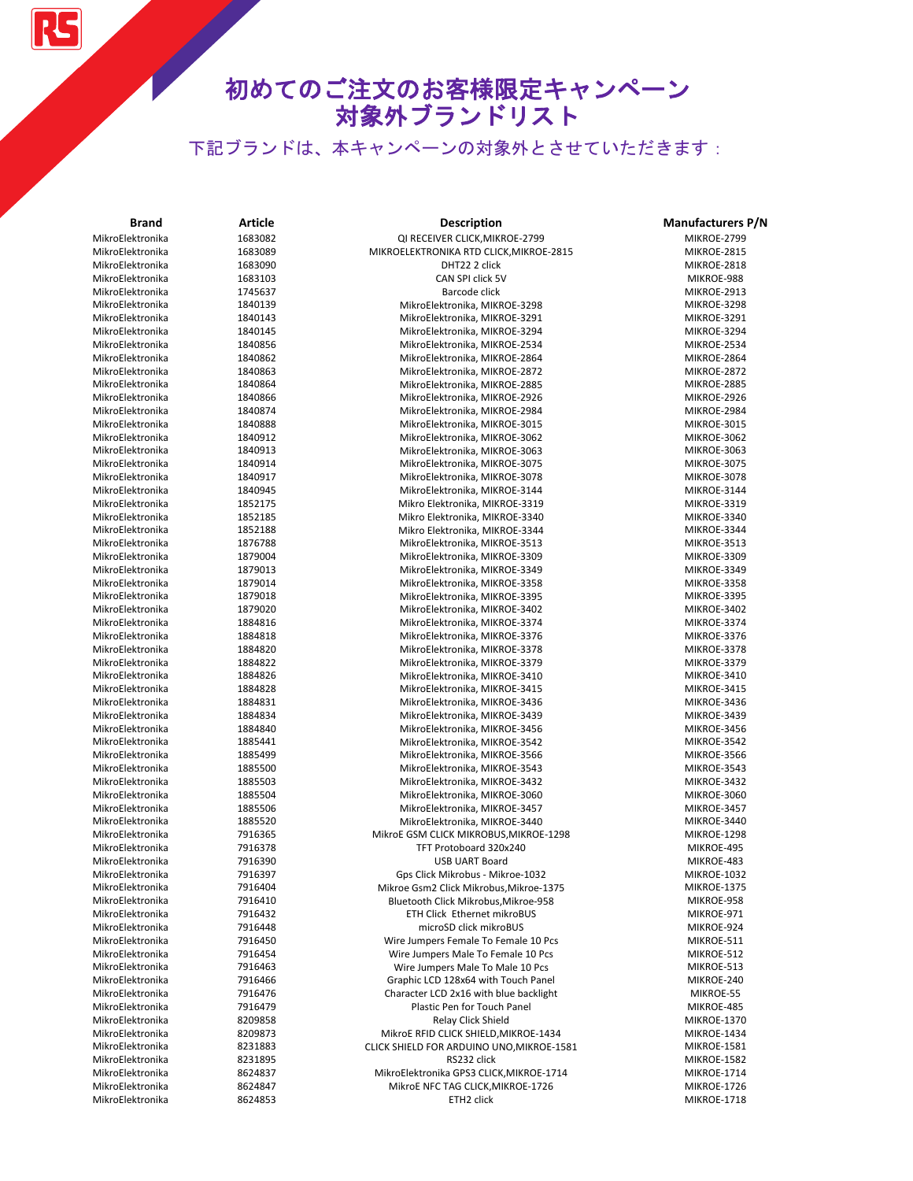

| <b>Brand</b>                         | Article            | <b>Description</b>                                                            | <b>Manufacturers P/N</b>          |
|--------------------------------------|--------------------|-------------------------------------------------------------------------------|-----------------------------------|
| MikroElektronika                     | 1683082            | QI RECEIVER CLICK, MIKROE-2799                                                | MIKROE-2799                       |
| MikroElektronika                     | 1683089            | MIKROELEKTRONIKA RTD CLICK, MIKROE-2815                                       | <b>MIKROE-2815</b>                |
| MikroElektronika                     | 1683090            | DHT22 2 click                                                                 | MIKROE-2818                       |
| MikroElektronika                     | 1683103            | CAN SPI click 5V                                                              | MIKROE-988                        |
| MikroElektronika                     | 1745637            | Barcode click                                                                 | MIKROE-2913                       |
| MikroElektronika                     | 1840139            | MikroElektronika, MIKROE-3298                                                 | MIKROE-3298                       |
| MikroElektronika                     | 1840143            | MikroElektronika, MIKROE-3291                                                 | MIKROE-3291                       |
| MikroElektronika                     | 1840145            | MikroElektronika, MIKROE-3294                                                 | MIKROE-3294                       |
| MikroElektronika                     | 1840856            | MikroElektronika, MIKROE-2534                                                 | MIKROE-2534                       |
| MikroElektronika                     | 1840862            | MikroElektronika, MIKROE-2864                                                 | MIKROE-2864                       |
| MikroElektronika                     | 1840863            | MikroElektronika, MIKROE-2872                                                 | <b>MIKROE-2872</b>                |
| MikroElektronika                     | 1840864            | MikroElektronika, MIKROE-2885                                                 | <b>MIKROE-2885</b>                |
| MikroElektronika                     | 1840866            | MikroElektronika, MIKROE-2926                                                 | MIKROE-2926                       |
| MikroElektronika                     | 1840874            | MikroElektronika, MIKROE-2984                                                 | MIKROE-2984                       |
| MikroElektronika                     | 1840888            | MikroElektronika, MIKROE-3015                                                 | <b>MIKROE-3015</b>                |
| MikroElektronika                     | 1840912            | MikroElektronika, MIKROE-3062                                                 | MIKROE-3062                       |
| MikroElektronika                     | 1840913            | MikroElektronika, MIKROE-3063                                                 | MIKROE-3063                       |
| MikroElektronika                     | 1840914            | MikroElektronika, MIKROE-3075                                                 | MIKROE-3075                       |
| MikroElektronika                     | 1840917            | MikroElektronika, MIKROE-3078                                                 | MIKROE-3078                       |
| MikroElektronika                     | 1840945            | MikroElektronika, MIKROE-3144                                                 | MIKROE-3144                       |
| MikroElektronika                     | 1852175            | Mikro Elektronika, MIKROE-3319                                                | MIKROE-3319                       |
| MikroElektronika                     | 1852185            | Mikro Elektronika, MIKROE-3340                                                | MIKROE-3340                       |
| MikroElektronika                     | 1852188            | Mikro Elektronika, MIKROE-3344                                                | MIKROE-3344                       |
| MikroElektronika                     | 1876788            | MikroElektronika, MIKROE-3513                                                 | MIKROE-3513                       |
| MikroElektronika                     | 1879004            | MikroElektronika, MIKROE-3309                                                 | MIKROE-3309                       |
| MikroElektronika                     | 1879013            | MikroElektronika, MIKROE-3349                                                 | MIKROE-3349                       |
| MikroElektronika<br>MikroElektronika | 1879014<br>1879018 | MikroElektronika, MIKROE-3358                                                 | MIKROE-3358                       |
| MikroElektronika                     | 1879020            | MikroElektronika, MIKROE-3395                                                 | MIKROE-3395<br>MIKROE-3402        |
| MikroElektronika                     | 1884816            | MikroElektronika, MIKROE-3402                                                 | MIKROE-3374                       |
| MikroElektronika                     | 1884818            | MikroElektronika, MIKROE-3374<br>MikroElektronika, MIKROE-3376                | MIKROE-3376                       |
| MikroElektronika                     | 1884820            | MikroElektronika, MIKROE-3378                                                 | MIKROE-3378                       |
| MikroElektronika                     | 1884822            | MikroElektronika, MIKROE-3379                                                 | MIKROE-3379                       |
| MikroElektronika                     | 1884826            | MikroElektronika, MIKROE-3410                                                 | MIKROE-3410                       |
| MikroElektronika                     | 1884828            | MikroElektronika, MIKROE-3415                                                 | MIKROE-3415                       |
| MikroElektronika                     | 1884831            | MikroElektronika, MIKROE-3436                                                 | MIKROE-3436                       |
| MikroElektronika                     | 1884834            | MikroElektronika, MIKROE-3439                                                 | MIKROE-3439                       |
| MikroElektronika                     | 1884840            | MikroElektronika, MIKROE-3456                                                 | MIKROE-3456                       |
| MikroElektronika                     | 1885441            | MikroElektronika, MIKROE-3542                                                 | MIKROE-3542                       |
| MikroElektronika                     | 1885499            | MikroElektronika, MIKROE-3566                                                 | MIKROE-3566                       |
| MikroElektronika                     | 1885500            | MikroElektronika, MIKROE-3543                                                 | MIKROE-3543                       |
| MikroElektronika                     | 1885503            | MikroElektronika, MIKROE-3432                                                 | MIKROE-3432                       |
| MikroElektronika                     | 1885504            | MikroElektronika, MIKROE-3060                                                 | MIKROE-3060                       |
| MikroElektronika                     | 1885506            | MikroElektronika, MIKROE-3457                                                 | MIKROE-3457                       |
| MikroElektronika                     | 1885520            | MikroElektronika, MIKROE-3440                                                 | MIKROE-3440                       |
| MikroElektronika                     | 7916365            | MikroE GSM CLICK MIKROBUS, MIKROE-1298                                        | <b>MIKROE-1298</b>                |
| MikroElektronika                     | 7916378            | TFT Protoboard 320x240                                                        | MIKROE-495                        |
| MikroElektronika                     | 7916390            | <b>USB UART Board</b>                                                         | MIKROE-483                        |
| MikroElektronika                     | 7916397            | Gps Click Mikrobus - Mikroe-1032                                              | <b>MIKROE-1032</b>                |
| MikroElektronika                     | 7916404            | Mikroe Gsm2 Click Mikrobus, Mikroe-1375                                       | MIKROE-1375                       |
| MikroElektronika                     | 7916410            | Bluetooth Click Mikrobus, Mikroe-958                                          | MIKROE-958                        |
| MikroElektronika                     | 7916432            | ETH Click Ethernet mikroBUS                                                   | MIKROE-971                        |
| MikroElektronika                     | 7916448            | microSD click mikroBUS                                                        | MIKROE-924                        |
| MikroElektronika                     | 7916450            | Wire Jumpers Female To Female 10 Pcs                                          | MIKROE-511                        |
| MikroElektronika                     | 7916454            | Wire Jumpers Male To Female 10 Pcs                                            | MIKROE-512                        |
| MikroElektronika                     | 7916463            | Wire Jumpers Male To Male 10 Pcs                                              | MIKROE-513                        |
| MikroElektronika                     | 7916466            | Graphic LCD 128x64 with Touch Panel                                           | MIKROE-240                        |
| MikroElektronika                     | 7916476            | Character LCD 2x16 with blue backlight                                        | MIKROE-55                         |
| MikroElektronika                     | 7916479            | Plastic Pen for Touch Panel                                                   | MIKROE-485                        |
| MikroElektronika                     | 8209858            | Relay Click Shield                                                            | MIKROE-1370                       |
| MikroElektronika                     | 8209873<br>8231883 | MikroE RFID CLICK SHIELD, MIKROE-1434                                         | MIKROE-1434                       |
| MikroElektronika                     |                    | CLICK SHIELD FOR ARDUINO UNO, MIKROE-1581                                     | <b>MIKROE-1581</b>                |
| MikroElektronika<br>MikroElektronika | 8231895<br>8624837 | RS232 click                                                                   | <b>MIKROE-1582</b><br>MIKROE-1714 |
| MikroElektronika                     | 8624847            | MikroElektronika GPS3 CLICK, MIKROE-1714<br>MikroE NFC TAG CLICK, MIKROE-1726 | MIKROE-1726                       |
| MikroElektronika                     | 8624853            | ETH2 click                                                                    | MIKROE-1718                       |
|                                      |                    |                                                                               |                                   |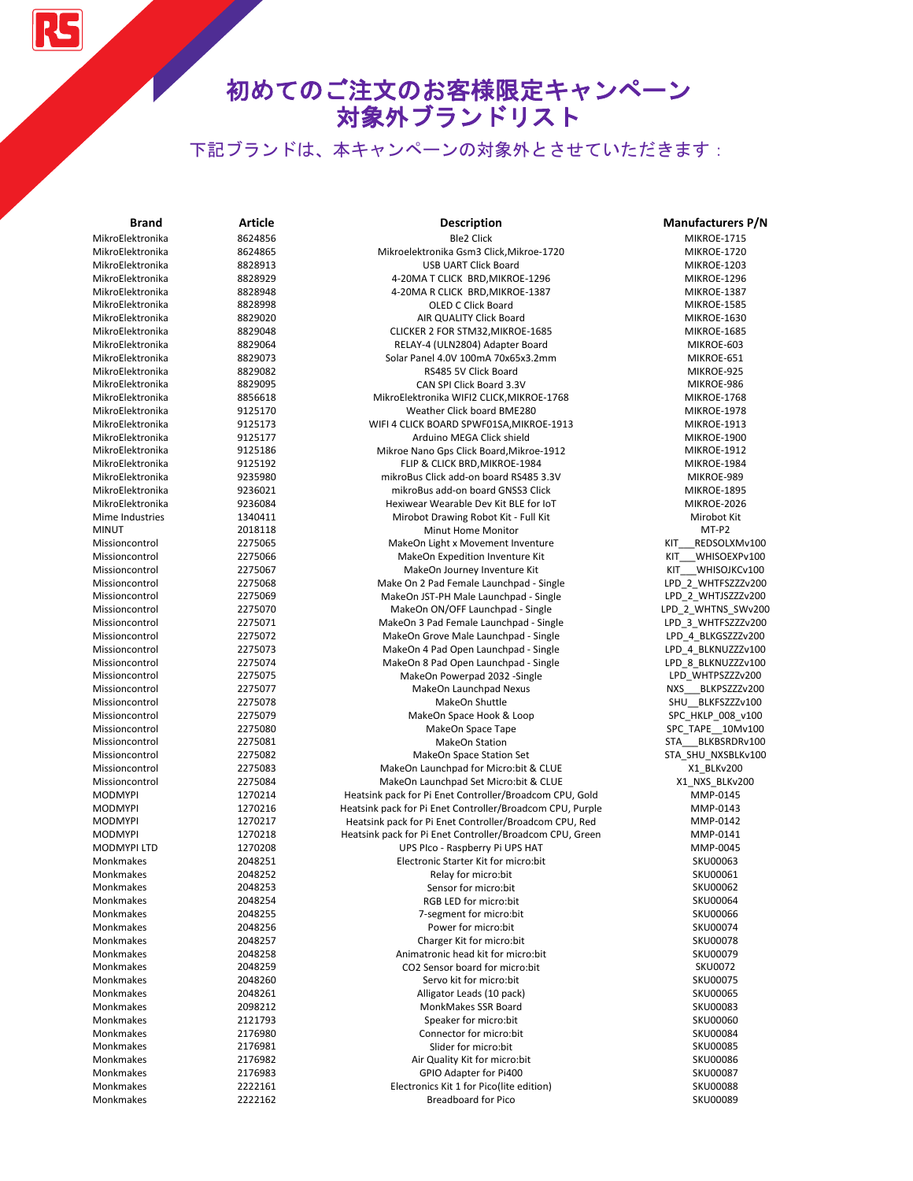下記ブランドは、本キャンペーンの対象外とさせていただきます:

| Brand              | <b>Article</b> | Description                                               | <b>Manufacturers P/N</b> |
|--------------------|----------------|-----------------------------------------------------------|--------------------------|
| MikroElektronika   | 8624856        | <b>Ble2 Click</b>                                         | <b>MIKROE-1715</b>       |
| MikroElektronika   | 8624865        | Mikroelektronika Gsm3 Click, Mikroe-1720                  | MIKROE-1720              |
| MikroElektronika   | 8828913        | USB UART Click Board                                      | MIKROE-1203              |
| MikroElektronika   | 8828929        | 4-20MA T CLICK BRD, MIKROE-1296                           | MIKROE-1296              |
| MikroElektronika   | 8828948        | 4-20MA R CLICK BRD, MIKROE-1387                           | MIKROE-1387              |
| MikroElektronika   | 8828998        | <b>OLED C Click Board</b>                                 | <b>MIKROE-1585</b>       |
| MikroElektronika   | 8829020        | AIR QUALITY Click Board                                   | MIKROE-1630              |
| MikroElektronika   | 8829048        | CLICKER 2 FOR STM32, MIKROE-1685                          | <b>MIKROE-1685</b>       |
| MikroElektronika   | 8829064        | RELAY-4 (ULN2804) Adapter Board                           | MIKROE-603               |
| MikroElektronika   | 8829073        | Solar Panel 4.0V 100mA 70x65x3.2mm                        | MIKROE-651               |
| MikroElektronika   | 8829082        | RS485 5V Click Board                                      | MIKROE-925               |
| MikroElektronika   | 8829095        | CAN SPI Click Board 3.3V                                  | MIKROE-986               |
| MikroElektronika   | 8856618        | MikroElektronika WIFI2 CLICK, MIKROE-1768                 | <b>MIKROE-1768</b>       |
| MikroElektronika   | 9125170        | Weather Click board BME280                                | <b>MIKROE-1978</b>       |
| MikroElektronika   | 9125173        | WIFI 4 CLICK BOARD SPWF01SA, MIKROE-1913                  | <b>MIKROE-1913</b>       |
| MikroElektronika   | 9125177        | Arduino MEGA Click shield                                 | <b>MIKROE-1900</b>       |
| MikroElektronika   | 9125186        | Mikroe Nano Gps Click Board, Mikroe-1912                  | <b>MIKROE-1912</b>       |
| MikroElektronika   | 9125192        | FLIP & CLICK BRD, MIKROE-1984                             | MIKROE-1984              |
| MikroElektronika   | 9235980        | mikroBus Click add-on board RS485 3.3V                    | MIKROE-989               |
| MikroElektronika   | 9236021        | mikroBus add-on board GNSS3 Click                         | <b>MIKROE-1895</b>       |
| MikroElektronika   | 9236084        | Hexiwear Wearable Dev Kit BLE for IoT                     | MIKROE-2026              |
| Mime Industries    | 1340411        | Mirobot Drawing Robot Kit - Full Kit                      | Mirobot Kit              |
| <b>MINUT</b>       | 2018118        | Minut Home Monitor                                        | MT-P2                    |
| Missioncontrol     | 2275065        | MakeOn Light x Movement Inventure                         | KIT<br>REDSOLXMv100      |
| Missioncontrol     | 2275066        | MakeOn Expedition Inventure Kit                           | WHISOEXPv100<br>KIT      |
| Missioncontrol     | 2275067        | MakeOn Journey Inventure Kit                              | KIT WHISOJKCv100         |
| Missioncontrol     | 2275068        | Make On 2 Pad Female Launchpad - Single                   | LPD_2_WHTFSZZZv200       |
| Missioncontrol     | 2275069        | MakeOn JST-PH Male Launchpad - Single                     | LPD 2 WHTJSZZZv200       |
| Missioncontrol     | 2275070        | MakeOn ON/OFF Launchpad - Single                          | LPD_2_WHTNS_SWv200       |
| Missioncontrol     | 2275071        | MakeOn 3 Pad Female Launchpad - Single                    | LPD_3_WHTFSZZZv200       |
| Missioncontrol     | 2275072        | MakeOn Grove Male Launchpad - Single                      | LPD_4_BLKGSZZZv200       |
| Missioncontrol     | 2275073        | MakeOn 4 Pad Open Launchpad - Single                      | LPD_4_BLKNUZZZv100       |
| Missioncontrol     | 2275074        | MakeOn 8 Pad Open Launchpad - Single                      | LPD_8_BLKNUZZZv100       |
| Missioncontrol     | 2275075        | MakeOn Powerpad 2032 -Single                              | LPD_WHTPSZZZv200         |
| Missioncontrol     | 2275077        | MakeOn Launchpad Nexus                                    | NXS BLKPSZZZv200         |
| Missioncontrol     | 2275078        | MakeOn Shuttle                                            | SHU_BLKFSZZZv100         |
| Missioncontrol     | 2275079        | MakeOn Space Hook & Loop                                  | SPC_HKLP_008_v100        |
| Missioncontrol     | 2275080        | MakeOn Space Tape                                         | SPC_TAPE__10Mv100        |
| Missioncontrol     | 2275081        | MakeOn Station                                            | STA BLKBSRDRv100         |
| Missioncontrol     | 2275082        | MakeOn Space Station Set                                  | STA_SHU_NXSBLKv100       |
| Missioncontrol     | 2275083        | MakeOn Launchpad for Micro:bit & CLUE                     | X1 BLKv200               |
| Missioncontrol     | 2275084        | MakeOn Launchpad Set Micro:bit & CLUE                     | X1_NXS_BLKv200           |
| <b>MODMYPI</b>     | 1270214        | Heatsink pack for Pi Enet Controller/Broadcom CPU, Gold   | MMP-0145                 |
| <b>MODMYPI</b>     | 1270216        | Heatsink pack for Pi Enet Controller/Broadcom CPU, Purple | MMP-0143                 |
| <b>MODMYPI</b>     | 1270217        | Heatsink pack for Pi Enet Controller/Broadcom CPU, Red    | MMP-0142                 |
| <b>MODMYPI</b>     | 1270218        | Heatsink pack for Pi Enet Controller/Broadcom CPU, Green  | MMP-0141                 |
| <b>MODMYPI LTD</b> | 1270208        | UPS Plco - Raspberry Pi UPS HAT                           | MMP-0045                 |
| Monkmakes          | 2048251        | Electronic Starter Kit for micro:bit                      | SKU00063                 |
| Monkmakes          | 2048252        | Relay for micro:bit                                       | SKU00061                 |
| Monkmakes          | 2048253        | Sensor for micro:bit                                      | SKU00062                 |
| Monkmakes          | 2048254        | RGB LED for micro:bit                                     | <b>SKU00064</b>          |
| Monkmakes          | 2048255        | 7-segment for micro:bit                                   | SKU00066                 |
| Monkmakes          | 2048256        | Power for micro:bit                                       | SKU00074                 |
| Monkmakes          | 2048257        | Charger Kit for micro:bit                                 | <b>SKU00078</b>          |
| Monkmakes          | 2048258        | Animatronic head kit for micro:bit                        | SKU00079                 |
| Monkmakes          | 2048259        | CO2 Sensor board for micro:bit                            | <b>SKU0072</b>           |
| Monkmakes          | 2048260        | Servo kit for micro:bit                                   | SKU00075                 |
| Monkmakes          | 2048261        | Alligator Leads (10 pack)                                 | <b>SKU00065</b>          |
| Monkmakes          | 2098212        | MonkMakes SSR Board                                       | SKU00083                 |
| Monkmakes          | 2121793        | Speaker for micro:bit                                     | <b>SKU00060</b>          |
| Monkmakes          | 2176980        | Connector for micro:bit                                   | SKU00084                 |
| Monkmakes          | 2176981        | Slider for micro:bit                                      | SKU00085                 |
| Monkmakes          | 2176982        | Air Quality Kit for micro:bit                             | <b>SKU00086</b>          |
| Monkmakes          | 2176983        | GPIO Adapter for Pi400                                    | <b>SKU00087</b>          |
| Monkmakes          | 2222161        | Electronics Kit 1 for Pico(lite edition)                  | <b>SKU00088</b>          |
| Monkmakes          | 2222162        | <b>Breadboard for Pico</b>                                | SKU00089                 |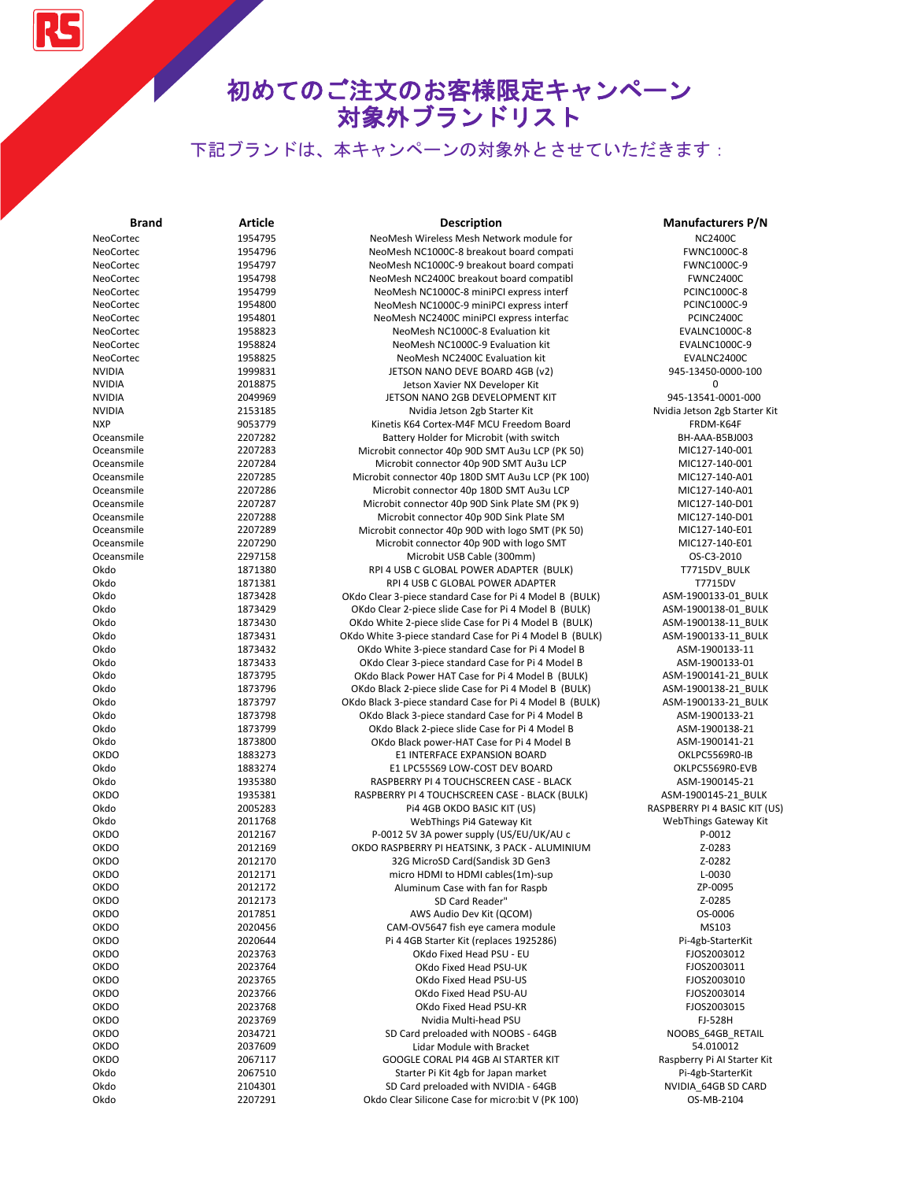| <b>Brand</b>  | <b>Article</b>     | <b>Description</b>                                                                         | <b>Manufacturers P/N</b>        |
|---------------|--------------------|--------------------------------------------------------------------------------------------|---------------------------------|
| NeoCortec     | 1954795            | NeoMesh Wireless Mesh Network module for                                                   | <b>NC2400C</b>                  |
| NeoCortec     | 1954796            | NeoMesh NC1000C-8 breakout board compati                                                   | FWNC1000C-8                     |
| NeoCortec     | 1954797            | NeoMesh NC1000C-9 breakout board compati                                                   | FWNC1000C-9                     |
| NeoCortec     | 1954798            | NeoMesh NC2400C breakout board compatibl                                                   | <b>FWNC2400C</b>                |
| NeoCortec     | 1954799            | NeoMesh NC1000C-8 miniPCI express interf                                                   | <b>PCINC1000C-8</b>             |
| NeoCortec     | 1954800            | NeoMesh NC1000C-9 miniPCI express interf                                                   | PCINC1000C-9                    |
| NeoCortec     | 1954801            | NeoMesh NC2400C miniPCI express interfac                                                   | PCINC2400C                      |
| NeoCortec     | 1958823            | NeoMesh NC1000C-8 Evaluation kit                                                           | <b>EVALNC1000C-8</b>            |
| NeoCortec     | 1958824            | NeoMesh NC1000C-9 Evaluation kit                                                           | <b>EVALNC1000C-9</b>            |
| NeoCortec     | 1958825            | NeoMesh NC2400C Evaluation kit                                                             | EVALNC2400C                     |
| <b>NVIDIA</b> | 1999831            | JETSON NANO DEVE BOARD 4GB (v2)                                                            | 945-13450-0000-100              |
| <b>NVIDIA</b> | 2018875            | Jetson Xavier NX Developer Kit                                                             | 0                               |
| <b>NVIDIA</b> | 2049969            | JETSON NANO 2GB DEVELOPMENT KIT                                                            | 945-13541-0001-000              |
| <b>NVIDIA</b> | 2153185            | Nvidia Jetson 2gb Starter Kit                                                              | Nvidia Jetson 2gb Starter Kit   |
| <b>NXP</b>    | 9053779            | Kinetis K64 Cortex-M4F MCU Freedom Board                                                   | FRDM-K64F                       |
| Oceansmile    | 2207282            | Battery Holder for Microbit (with switch                                                   | BH-AAA-B5BJ003                  |
| Oceansmile    | 2207283            | Microbit connector 40p 90D SMT Au3u LCP (PK 50)                                            | MIC127-140-001                  |
| Oceansmile    | 2207284            | Microbit connector 40p 90D SMT Au3u LCP                                                    | MIC127-140-001                  |
| Oceansmile    | 2207285            | Microbit connector 40p 180D SMT Au3u LCP (PK 100)                                          | MIC127-140-A01                  |
| Oceansmile    | 2207286            | Microbit connector 40p 180D SMT Au3u LCP                                                   | MIC127-140-A01                  |
| Oceansmile    | 2207287            | Microbit connector 40p 90D Sink Plate SM (PK 9)                                            | MIC127-140-D01                  |
| Oceansmile    | 2207288            | Microbit connector 40p 90D Sink Plate SM                                                   | MIC127-140-D01                  |
| Oceansmile    | 2207289            | Microbit connector 40p 90D with logo SMT (PK 50)                                           | MIC127-140-E01                  |
| Oceansmile    | 2207290            | Microbit connector 40p 90D with logo SMT                                                   | MIC127-140-E01                  |
| Oceansmile    | 2297158            | Microbit USB Cable (300mm)                                                                 | OS-C3-2010                      |
| Okdo          | 1871380            | RPI 4 USB C GLOBAL POWER ADAPTER (BULK)                                                    | T7715DV_BULK                    |
| Okdo          | 1871381            | RPI 4 USB C GLOBAL POWER ADAPTER                                                           | T7715DV                         |
| Okdo          | 1873428            | OKdo Clear 3-piece standard Case for Pi 4 Model B (BULK)                                   | ASM-1900133-01 BULK             |
| Okdo          | 1873429            | OKdo Clear 2-piece slide Case for Pi 4 Model B (BULK)                                      | ASM-1900138-01 BULK             |
| Okdo          | 1873430            | OKdo White 2-piece slide Case for Pi 4 Model B (BULK)                                      | ASM-1900138-11 BULK             |
| Okdo          | 1873431            | OKdo White 3-piece standard Case for Pi 4 Model B (BULK)                                   | ASM-1900133-11 BULK             |
| Okdo          | 1873432            | OKdo White 3-piece standard Case for Pi 4 Model B                                          | ASM-1900133-11                  |
| Okdo          | 1873433            | OKdo Clear 3-piece standard Case for Pi 4 Model B                                          | ASM-1900133-01                  |
| Okdo          | 1873795            | OKdo Black Power HAT Case for Pi 4 Model B (BULK)                                          | ASM-1900141-21 BULK             |
| Okdo          | 1873796            | OKdo Black 2-piece slide Case for Pi 4 Model B (BULK)                                      | ASM-1900138-21 BULK             |
| Okdo          | 1873797            | OKdo Black 3-piece standard Case for Pi 4 Model B (BULK)                                   | ASM-1900133-21 BULK             |
| Okdo          | 1873798            | OKdo Black 3-piece standard Case for Pi 4 Model B                                          | ASM-1900133-21                  |
| Okdo          | 1873799            | OKdo Black 2-piece slide Case for Pi 4 Model B                                             | ASM-1900138-21                  |
| Okdo          | 1873800            | OKdo Black power-HAT Case for Pi 4 Model B                                                 | ASM-1900141-21                  |
| <b>OKDO</b>   | 1883273            | E1 INTERFACE EXPANSION BOARD                                                               | OKLPC5569R0-IB                  |
| Okdo<br>Okdo  | 1883274            | E1 LPC55S69 LOW-COST DEV BOARD                                                             | OKLPC5569R0-EVB                 |
| <b>OKDO</b>   | 1935380            | RASPBERRY PI 4 TOUCHSCREEN CASE - BLACK<br>RASPBERRY PI 4 TOUCHSCREEN CASE - BLACK (BULK)  | ASM-1900145-21                  |
|               | 1935381            | Pi4 4GB OKDO BASIC KIT (US)                                                                | ASM-1900145-21_BULK             |
| Okdo<br>Okdo  | 2005283<br>2011768 |                                                                                            | RASPBERRY PI 4 BASIC KIT (US)   |
| <b>OKDO</b>   | 2012167            | WebThings Pi4 Gateway Kit                                                                  | WebThings Gateway Kit<br>P-0012 |
| <b>OKDO</b>   | 2012169            | P-0012 5V 3A power supply (US/EU/UK/AU c<br>OKDO RASPBERRY PI HEATSINK, 3 PACK - ALUMINIUM | Z-0283                          |
| <b>OKDO</b>   | 2012170            | 32G MicroSD Card(Sandisk 3D Gen3                                                           | Z-0282                          |
| <b>OKDO</b>   | 2012171            | micro HDMI to HDMI cables(1m)-sup                                                          | L-0030                          |
| OKDO          | 2012172            | Aluminum Case with fan for Raspb                                                           | ZP-0095                         |
| <b>OKDO</b>   | 2012173            | SD Card Reader"                                                                            | Z-0285                          |
| <b>OKDO</b>   | 2017851            | AWS Audio Dev Kit (QCOM)                                                                   | OS-0006                         |
| <b>OKDO</b>   | 2020456            | CAM-OV5647 fish eye camera module                                                          | MS103                           |
| <b>OKDO</b>   | 2020644            | Pi 4 4GB Starter Kit (replaces 1925286)                                                    | Pi-4gb-StarterKit               |
| <b>OKDO</b>   | 2023763            | OKdo Fixed Head PSU - EU                                                                   | FJOS2003012                     |
| <b>OKDO</b>   | 2023764            | OKdo Fixed Head PSU-UK                                                                     | FJOS2003011                     |
| <b>OKDO</b>   | 2023765            | OKdo Fixed Head PSU-US                                                                     | FJOS2003010                     |
| <b>OKDO</b>   | 2023766            | OKdo Fixed Head PSU-AU                                                                     | FJOS2003014                     |
| <b>OKDO</b>   | 2023768            | OKdo Fixed Head PSU-KR                                                                     | FJOS2003015                     |
| <b>OKDO</b>   | 2023769            | Nvidia Multi-head PSU                                                                      | FJ-528H                         |
| <b>OKDO</b>   | 2034721            | SD Card preloaded with NOOBS - 64GB                                                        | NOOBS 64GB RETAIL               |
| OKDO          | 2037609            | Lidar Module with Bracket                                                                  | 54.010012                       |
| <b>OKDO</b>   | 2067117            | GOOGLE CORAL PI4 4GB AI STARTER KIT                                                        | Raspberry Pi Al Starter Kit     |
| Okdo          | 2067510            | Starter Pi Kit 4gb for Japan market                                                        | Pi-4gb-StarterKit               |
| Okdo          | 2104301            | SD Card preloaded with NVIDIA - 64GB                                                       | NVIDIA_64GB SD CARD             |
| Okdo          | 2207291            | Okdo Clear Silicone Case for micro: bit V (PK 100)                                         | OS-MB-2104                      |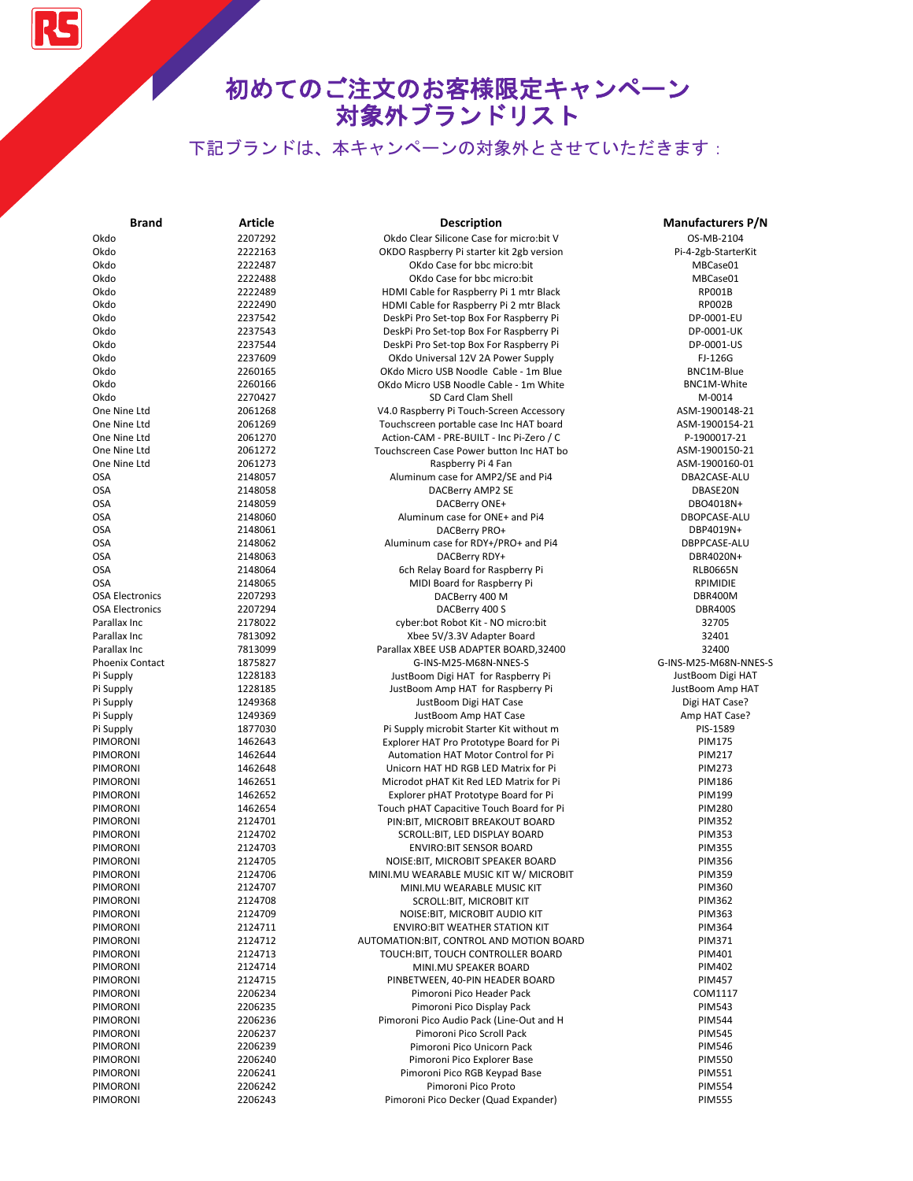# 初めてのご注文のお客様限定キャンペーン 対象外ブランドリスト

| <b>Brand</b>           | Article | <b>Description</b>                        | <b>Manufacturers P/N</b> |
|------------------------|---------|-------------------------------------------|--------------------------|
| Okdo                   | 2207292 | Okdo Clear Silicone Case for micro:bit V  | OS-MB-2104               |
| Okdo                   | 2222163 | OKDO Raspberry Pi starter kit 2gb version | Pi-4-2gb-StarterKit      |
| Okdo                   | 2222487 | OKdo Case for bbc micro:bit               | MBCase01                 |
| Okdo                   | 2222488 | OKdo Case for bbc micro:bit               | MBCase01                 |
| Okdo                   | 2222489 | HDMI Cable for Raspberry Pi 1 mtr Black   | RP001B                   |
| Okdo                   | 2222490 | HDMI Cable for Raspberry Pi 2 mtr Black   | <b>RP002B</b>            |
| Okdo                   | 2237542 | DeskPi Pro Set-top Box For Raspberry Pi   | DP-0001-EU               |
| Okdo                   | 2237543 | DeskPi Pro Set-top Box For Raspberry Pi   | DP-0001-UK               |
| Okdo                   | 2237544 | DeskPi Pro Set-top Box For Raspberry Pi   | DP-0001-US               |
| Okdo                   | 2237609 | OKdo Universal 12V 2A Power Supply        | FJ-126G                  |
| Okdo                   | 2260165 | OKdo Micro USB Noodle Cable - 1m Blue     | BNC1M-Blue               |
| Okdo                   | 2260166 | OKdo Micro USB Noodle Cable - 1m White    | BNC1M-White              |
| Okdo                   | 2270427 | SD Card Clam Shell                        | M-0014                   |
| One Nine Ltd           | 2061268 | V4.0 Raspberry Pi Touch-Screen Accessory  | ASM-1900148-21           |
| One Nine Ltd           | 2061269 | Touchscreen portable case Inc HAT board   | ASM-1900154-21           |
| One Nine Ltd           | 2061270 | Action-CAM - PRE-BUILT - Inc Pi-Zero / C  | P-1900017-21             |
| One Nine Ltd           | 2061272 | Touchscreen Case Power button Inc HAT bo  | ASM-1900150-21           |
| One Nine Ltd           | 2061273 | Raspberry Pi 4 Fan                        | ASM-1900160-01           |
| <b>OSA</b>             | 2148057 | Aluminum case for AMP2/SE and Pi4         | DBA2CASE-ALU             |
| <b>OSA</b>             | 2148058 | DACBerry AMP2 SE                          | DBASE20N                 |
| <b>OSA</b>             | 2148059 | DACBerry ONE+                             | DBO4018N+                |
|                        |         |                                           |                          |
| <b>OSA</b>             | 2148060 | Aluminum case for ONE+ and Pi4            | DBOPCASE-ALU             |
| <b>OSA</b>             | 2148061 | DACBerry PRO+                             | DBP4019N+                |
| <b>OSA</b>             | 2148062 | Aluminum case for RDY+/PRO+ and Pi4       | DBPPCASE-ALU             |
| <b>OSA</b>             | 2148063 | DACBerry RDY+                             | DBR4020N+                |
| <b>OSA</b>             | 2148064 | 6ch Relay Board for Raspberry Pi          | <b>RLB0665N</b>          |
| <b>OSA</b>             | 2148065 | MIDI Board for Raspberry Pi               | RPIMIDIE                 |
| <b>OSA Electronics</b> | 2207293 | DACBerry 400 M                            | DBR400M                  |
| <b>OSA Electronics</b> | 2207294 | DACBerry 400 S                            | <b>DBR400S</b>           |
| Parallax Inc           | 2178022 | cyber:bot Robot Kit - NO micro:bit        | 32705                    |
| Parallax Inc           | 7813092 | Xbee 5V/3.3V Adapter Board                | 32401                    |
| Parallax Inc           | 7813099 | Parallax XBEE USB ADAPTER BOARD, 32400    | 32400                    |
| <b>Phoenix Contact</b> | 1875827 | G-INS-M25-M68N-NNES-S                     | G-INS-M25-M68N-NNES-S    |
| Pi Supply              | 1228183 | JustBoom Digi HAT for Raspberry Pi        | JustBoom Digi HAT        |
| Pi Supply              | 1228185 | JustBoom Amp HAT for Raspberry Pi         | JustBoom Amp HAT         |
| Pi Supply              | 1249368 | JustBoom Digi HAT Case                    | Digi HAT Case?           |
| Pi Supply              | 1249369 | JustBoom Amp HAT Case                     | Amp HAT Case?            |
| Pi Supply              | 1877030 | Pi Supply microbit Starter Kit without m  | PIS-1589                 |
| PIMORONI               | 1462643 | Explorer HAT Pro Prototype Board for Pi   | <b>PIM175</b>            |
| PIMORONI               | 1462644 | Automation HAT Motor Control for Pi       | <b>PIM217</b>            |
| PIMORONI               | 1462648 | Unicorn HAT HD RGB LED Matrix for Pi      | <b>PIM273</b>            |
| PIMORONI               | 1462651 | Microdot pHAT Kit Red LED Matrix for Pi   | <b>PIM186</b>            |
| PIMORONI               | 1462652 | Explorer pHAT Prototype Board for Pi      | <b>PIM199</b>            |
| PIMORONI               | 1462654 | Touch pHAT Capacitive Touch Board for Pi  | <b>PIM280</b>            |
| PIMORONI               | 2124701 | PIN: BIT, MICROBIT BREAKOUT BOARD         | <b>PIM352</b>            |
| <b>PIMORONI</b>        | 2124702 | SCROLL:BIT, LED DISPLAY BOARD             | <b>PIM353</b>            |
| PIMORONI               | 2124703 | <b>ENVIRO:BIT SENSOR BOARD</b>            | <b>PIM355</b>            |
| PIMORONI               | 2124705 | NOISE: BIT, MICROBIT SPEAKER BOARD        | <b>PIM356</b>            |
| PIMORONI               | 2124706 | MINI.MU WEARABLE MUSIC KIT W/ MICROBIT    | <b>PIM359</b>            |
| PIMORONI               | 2124707 | MINI.MU WEARABLE MUSIC KIT                | <b>PIM360</b>            |
| PIMORONI               | 2124708 | SCROLL:BIT, MICROBIT KIT                  | <b>PIM362</b>            |
| PIMORONI               | 2124709 | NOISE: BIT, MICROBIT AUDIO KIT            | <b>PIM363</b>            |
| PIMORONI               | 2124711 | ENVIRO: BIT WEATHER STATION KIT           | <b>PIM364</b>            |
| PIMORONI               | 2124712 | AUTOMATION: BIT, CONTROL AND MOTION BOARD | <b>PIM371</b>            |
| PIMORONI               | 2124713 | TOUCH:BIT, TOUCH CONTROLLER BOARD         | PIM401                   |
| PIMORONI               | 2124714 | MINI.MU SPEAKER BOARD                     | <b>PIM402</b>            |
| PIMORONI               | 2124715 | PINBETWEEN, 40-PIN HEADER BOARD           | <b>PIM457</b>            |
| PIMORONI               | 2206234 | Pimoroni Pico Header Pack                 | COM1117                  |
| PIMORONI               | 2206235 | Pimoroni Pico Display Pack                | <b>PIM543</b>            |
| PIMORONI               | 2206236 | Pimoroni Pico Audio Pack (Line-Out and H  | <b>PIM544</b>            |
| PIMORONI               | 2206237 | Pimoroni Pico Scroll Pack                 | <b>PIM545</b>            |
| PIMORONI               | 2206239 | Pimoroni Pico Unicorn Pack                | <b>PIM546</b>            |
| PIMORONI               | 2206240 | Pimoroni Pico Explorer Base               | <b>PIM550</b>            |
| PIMORONI               | 2206241 | Pimoroni Pico RGB Keypad Base             | <b>PIM551</b>            |
| PIMORONI               | 2206242 | Pimoroni Pico Proto                       | <b>PIM554</b>            |
| PIMORONI               | 2206243 | Pimoroni Pico Decker (Quad Expander)      | <b>PIM555</b>            |
|                        |         |                                           |                          |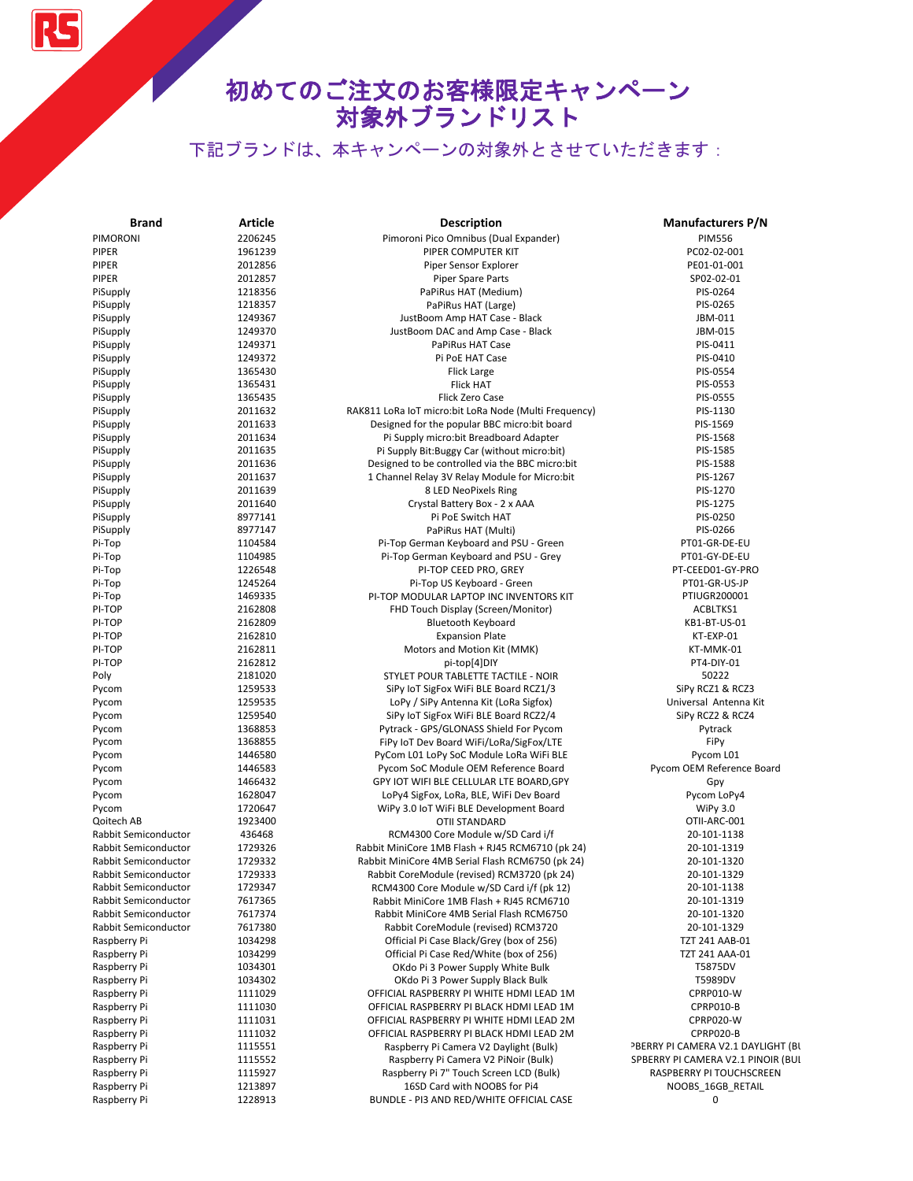# 初めてのご注文のお客様限定キャンペーン 対象外ブランドリスト

| <b>Brand</b>         | <b>Article</b>     | <b>Description</b>                                              | <b>Manufacturers P/N</b>           |
|----------------------|--------------------|-----------------------------------------------------------------|------------------------------------|
| PIMORONI             | 2206245            | Pimoroni Pico Omnibus (Dual Expander)                           | <b>PIM556</b>                      |
| PIPER                | 1961239            | PIPER COMPUTER KIT                                              | PC02-02-001                        |
| PIPER                | 2012856            | Piper Sensor Explorer                                           | PE01-01-001                        |
| PIPER                | 2012857            | <b>Piper Spare Parts</b>                                        | SP02-02-01                         |
| PiSupply             | 1218356            | PaPiRus HAT (Medium)                                            | PIS-0264                           |
| PiSupply             | 1218357            | PaPiRus HAT (Large)                                             | PIS-0265                           |
| PiSupply             | 1249367            | JustBoom Amp HAT Case - Black                                   | JBM-011                            |
| PiSupply             | 1249370            | JustBoom DAC and Amp Case - Black                               | JBM-015                            |
| PiSupply             | 1249371            | PaPiRus HAT Case                                                | PIS-0411                           |
| PiSupply             | 1249372            | Pi PoE HAT Case                                                 | PIS-0410                           |
| PiSupply             | 1365430            | Flick Large                                                     | PIS-0554                           |
| PiSupply             | 1365431            | <b>Flick HAT</b>                                                | PIS-0553                           |
| PiSupply             | 1365435            | Flick Zero Case                                                 | PIS-0555                           |
| PiSupply             | 2011632            | RAK811 LoRa IoT micro:bit LoRa Node (Multi Frequency)           | PIS-1130                           |
| PiSupply             | 2011633            | Designed for the popular BBC micro:bit board                    | PIS-1569                           |
| PiSupply             | 2011634            | Pi Supply micro: bit Breadboard Adapter                         | PIS-1568                           |
| PiSupply             | 2011635            | Pi Supply Bit: Buggy Car (without micro: bit)                   | PIS-1585                           |
| PiSupply             | 2011636            | Designed to be controlled via the BBC micro:bit                 | PIS-1588                           |
| PiSupply             | 2011637            | 1 Channel Relay 3V Relay Module for Micro:bit                   | PIS-1267                           |
| PiSupply             | 2011639            | 8 LED NeoPixels Ring                                            | PIS-1270                           |
| PiSupply             | 2011640            | Crystal Battery Box - 2 x AAA                                   | PIS-1275                           |
| PiSupply             | 8977141            | Pi PoE Switch HAT                                               | PIS-0250                           |
| PiSupply             | 8977147            | PaPiRus HAT (Multi)                                             | PIS-0266                           |
| Pi-Top               | 1104584            | Pi-Top German Keyboard and PSU - Green                          | PT01-GR-DE-EU                      |
| Pi-Top               | 1104985            | Pi-Top German Keyboard and PSU - Grey                           | PT01-GY-DE-EU                      |
| Pi-Top               | 1226548            | PI-TOP CEED PRO, GREY                                           | PT-CEED01-GY-PRO                   |
| Pi-Top               | 1245264            | Pi-Top US Keyboard - Green                                      | PT01-GR-US-JP                      |
| Pi-Top               | 1469335            | PI-TOP MODULAR LAPTOP INC INVENTORS KIT                         | PTIUGR200001                       |
| PI-TOP               | 2162808            |                                                                 | ACBLTKS1                           |
| PI-TOP               | 2162809            | FHD Touch Display (Screen/Monitor)<br><b>Bluetooth Keyboard</b> | KB1-BT-US-01                       |
| PI-TOP               | 2162810            |                                                                 | KT-EXP-01                          |
| PI-TOP               | 2162811            | <b>Expansion Plate</b>                                          |                                    |
| PI-TOP               | 2162812            | Motors and Motion Kit (MMK)                                     | KT-MMK-01<br>PT4-DIY-01            |
|                      |                    | pi-top[4]DIY                                                    |                                    |
| Poly                 | 2181020            | STYLET POUR TABLETTE TACTILE - NOIR                             | 50222                              |
| Pycom                | 1259533            | SiPy IoT SigFox WiFi BLE Board RCZ1/3                           | SiPy RCZ1 & RCZ3                   |
| Pycom                | 1259535            | LoPy / SiPy Antenna Kit (LoRa Sigfox)                           | Universal Antenna Kit              |
| Pycom                | 1259540            | SiPy IoT SigFox WiFi BLE Board RCZ2/4                           | SiPy RCZ2 & RCZ4                   |
| Pycom                | 1368853<br>1368855 | Pytrack - GPS/GLONASS Shield For Pycom                          | Pytrack<br>FiPy                    |
| Pycom                | 1446580            | FiPy IoT Dev Board WiFi/LoRa/SigFox/LTE                         |                                    |
| Pycom                |                    | PyCom L01 LoPy SoC Module LoRa WiFi BLE                         | Pycom L01                          |
| Pycom                | 1446583            | Pycom SoC Module OEM Reference Board                            | Pycom OEM Reference Board          |
| Pycom                | 1466432            | GPY IOT WIFI BLE CELLULAR LTE BOARD, GPY                        | Gpy                                |
| Pycom                | 1628047            | LoPy4 SigFox, LoRa, BLE, WiFi Dev Board                         | Pycom LoPy4                        |
| Pycom                | 1720647            | WiPy 3.0 IoT WiFi BLE Development Board                         | <b>WiPy 3.0</b>                    |
| Qoitech AB           | 1923400            | <b>OTII STANDARD</b>                                            | OTII-ARC-001                       |
| Rabbit Semiconductor | 436468             | RCM4300 Core Module w/SD Card i/f                               | 20-101-1138                        |
| Rabbit Semiconductor | 1729326            | Rabbit MiniCore 1MB Flash + RJ45 RCM6710 (pk 24)                | 20-101-1319                        |
| Rabbit Semiconductor | 1729332            | Rabbit MiniCore 4MB Serial Flash RCM6750 (pk 24)                | 20-101-1320                        |
| Rabbit Semiconductor | 1729333            | Rabbit CoreModule (revised) RCM3720 (pk 24)                     | 20-101-1329                        |
| Rabbit Semiconductor | 1729347            | RCM4300 Core Module w/SD Card i/f (pk 12)                       | 20-101-1138                        |
| Rabbit Semiconductor | 7617365            | Rabbit MiniCore 1MB Flash + RJ45 RCM6710                        | 20-101-1319                        |
| Rabbit Semiconductor | 7617374            | Rabbit MiniCore 4MB Serial Flash RCM6750                        | 20-101-1320                        |
| Rabbit Semiconductor | 7617380            | Rabbit CoreModule (revised) RCM3720                             | 20-101-1329                        |
| Raspberry Pi         | 1034298            | Official Pi Case Black/Grey (box of 256)                        | <b>TZT 241 AAB-01</b>              |
| Raspberry Pi         | 1034299            | Official Pi Case Red/White (box of 256)                         | TZT 241 AAA-01                     |
| Raspberry Pi         | 1034301            | OKdo Pi 3 Power Supply White Bulk                               | T5875DV                            |
| Raspberry Pi         | 1034302            | OKdo Pi 3 Power Supply Black Bulk                               | T5989DV                            |
| Raspberry Pi         | 1111029            | OFFICIAL RASPBERRY PI WHITE HDMI LEAD 1M                        | CPRP010-W                          |
| Raspberry Pi         | 1111030            | OFFICIAL RASPBERRY PI BLACK HDMI LEAD 1M                        | CPRP010-B                          |
| Raspberry Pi         | 1111031            | OFFICIAL RASPBERRY PI WHITE HDMI LEAD 2M                        | CPRP020-W                          |
| Raspberry Pi         | 1111032            | OFFICIAL RASPBERRY PI BLACK HDMI LEAD 2M                        | CPRP020-B                          |
| Raspberry Pi         | 1115551            | Raspberry Pi Camera V2 Daylight (Bulk)                          | PBERRY PI CAMERA V2.1 DAYLIGHT (BI |
| Raspberry Pi         | 1115552            | Raspberry Pi Camera V2 PiNoir (Bulk)                            | SPBERRY PI CAMERA V2.1 PINOIR (BUI |
| Raspberry Pi         | 1115927            | Raspberry Pi 7" Touch Screen LCD (Bulk)                         | RASPBERRY PI TOUCHSCREEN           |
| Raspberry Pi         | 1213897            | 16SD Card with NOOBS for Pi4                                    | NOOBS_16GB_RETAIL                  |
| Raspberry Pi         | 1228913            | BUNDLE - PI3 AND RED/WHITE OFFICIAL CASE                        | 0                                  |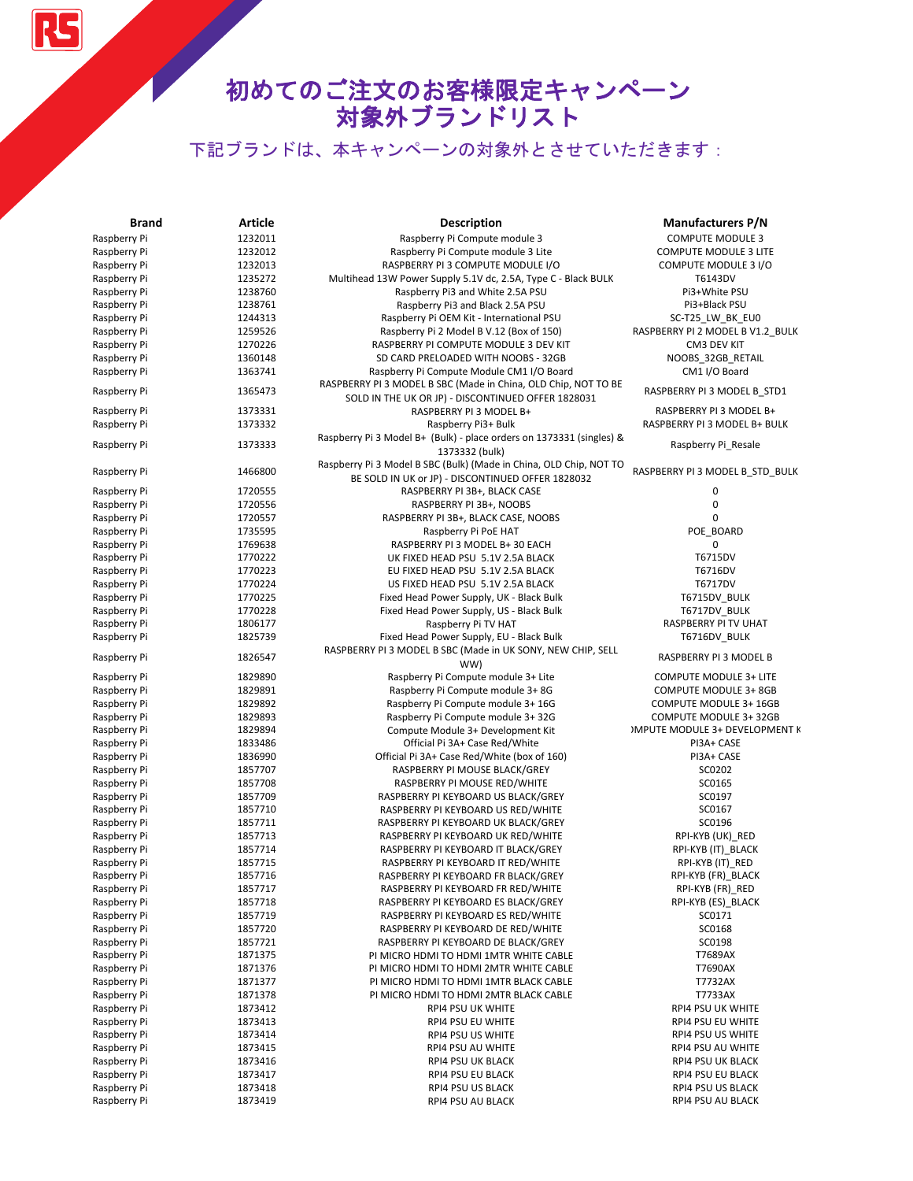# 初めてのご注文のお客様限定キャンペーン 対象外ブランドリスト

| <b>Brand</b>                 | Article            | <b>Description</b>                                                   | <b>Manufacturers P/N</b>              |
|------------------------------|--------------------|----------------------------------------------------------------------|---------------------------------------|
| Raspberry Pi                 | 1232011            | Raspberry Pi Compute module 3                                        | <b>COMPUTE MODULE 3</b>               |
| Raspberry Pi                 | 1232012            | Raspberry Pi Compute module 3 Lite                                   | <b>COMPUTE MODULE 3 LITE</b>          |
| Raspberry Pi                 | 1232013            | RASPBERRY PI 3 COMPUTE MODULE I/O                                    | COMPUTE MODULE 3 I/O                  |
| Raspberry Pi                 | 1235272            | Multihead 13W Power Supply 5.1V dc, 2.5A, Type C - Black BULK        | T6143DV                               |
| Raspberry Pi                 | 1238760            | Raspberry Pi3 and White 2.5A PSU                                     | Pi3+White PSU                         |
| Raspberry Pi                 | 1238761            | Raspberry Pi3 and Black 2.5A PSU                                     | Pi3+Black PSU                         |
| Raspberry Pi                 | 1244313            | Raspberry Pi OEM Kit - International PSU                             | SC-T25_LW_BK_EU0                      |
| Raspberry Pi                 | 1259526            | Raspberry Pi 2 Model B V.12 (Box of 150)                             | RASPBERRY PI 2 MODEL B V1.2 BULK      |
| Raspberry Pi                 | 1270226            | RASPBERRY PI COMPUTE MODULE 3 DEV KIT                                | CM3 DEV KIT                           |
| Raspberry Pi                 | 1360148            | SD CARD PRELOADED WITH NOOBS - 32GB                                  | NOOBS_32GB_RETAIL                     |
| Raspberry Pi                 | 1363741            | Raspberry Pi Compute Module CM1 I/O Board                            | CM1 I/O Board                         |
| Raspberry Pi                 | 1365473            | RASPBERRY PI 3 MODEL B SBC (Made in China, OLD Chip, NOT TO BE       | RASPBERRY PI 3 MODEL B_STD1           |
|                              |                    | SOLD IN THE UK OR JP) - DISCONTINUED OFFER 1828031                   |                                       |
| Raspberry Pi                 | 1373331            | RASPBERRY PI 3 MODEL B+                                              | RASPBERRY PI 3 MODEL B+               |
| Raspberry Pi                 | 1373332            | Raspberry Pi3+ Bulk                                                  | RASPBERRY PI 3 MODEL B+ BULK          |
| Raspberry Pi                 | 1373333            | Raspberry Pi 3 Model B+ (Bulk) - place orders on 1373331 (singles) & | Raspberry Pi_Resale                   |
|                              |                    | 1373332 (bulk)                                                       |                                       |
| Raspberry Pi                 | 1466800            | Raspberry Pi 3 Model B SBC (Bulk) (Made in China, OLD Chip, NOT TO   | RASPBERRY PI 3 MODEL B_STD_BULK       |
|                              |                    | BE SOLD IN UK or JP) - DISCONTINUED OFFER 1828032                    |                                       |
| Raspberry Pi                 | 1720555            | RASPBERRY PI 3B+, BLACK CASE                                         | 0                                     |
| Raspberry Pi                 | 1720556            | RASPBERRY PI 3B+, NOOBS                                              | 0                                     |
| Raspberry Pi                 | 1720557            | RASPBERRY PI 3B+, BLACK CASE, NOOBS                                  | 0                                     |
| Raspberry Pi                 | 1735595            | Raspberry Pi PoE HAT                                                 | POE_BOARD                             |
| Raspberry Pi                 | 1769638            | RASPBERRY PI 3 MODEL B+ 30 EACH                                      | 0<br>T6715DV                          |
| Raspberry Pi                 | 1770222            | UK FIXED HEAD PSU 5.1V 2.5A BLACK                                    | T6716DV                               |
| Raspberry Pi                 | 1770223            | EU FIXED HEAD PSU 5.1V 2.5A BLACK                                    | T6717DV                               |
| Raspberry Pi                 | 1770224            | US FIXED HEAD PSU 5.1V 2.5A BLACK                                    |                                       |
| Raspberry Pi<br>Raspberry Pi | 1770225<br>1770228 | Fixed Head Power Supply, UK - Black Bulk                             | T6715DV_BULK                          |
| Raspberry Pi                 | 1806177            | Fixed Head Power Supply, US - Black Bulk<br>Raspberry Pi TV HAT      | T6717DV_BULK<br>RASPBERRY PI TV UHAT  |
| Raspberry Pi                 | 1825739            | Fixed Head Power Supply, EU - Black Bulk                             | T6716DV_BULK                          |
|                              |                    | RASPBERRY PI 3 MODEL B SBC (Made in UK SONY, NEW CHIP, SELL          |                                       |
| Raspberry Pi                 | 1826547            | WW)                                                                  | RASPBERRY PI 3 MODEL B                |
| Raspberry Pi                 | 1829890            | Raspberry Pi Compute module 3+ Lite                                  | <b>COMPUTE MODULE 3+ LITE</b>         |
| Raspberry Pi                 | 1829891            | Raspberry Pi Compute module 3+8G                                     | <b>COMPUTE MODULE 3+ 8GB</b>          |
| Raspberry Pi                 | 1829892            | Raspberry Pi Compute module 3+ 16G                                   | <b>COMPUTE MODULE 3+ 16GB</b>         |
| Raspberry Pi                 | 1829893            | Raspberry Pi Compute module 3+32G                                    | <b>COMPUTE MODULE 3+32GB</b>          |
| Raspberry Pi                 | 1829894            | Compute Module 3+ Development Kit                                    | <b>IMPUTE MODULE 3+ DEVELOPMENT K</b> |
| Raspberry Pi                 | 1833486            | Official Pi 3A+ Case Red/White                                       | PI3A+ CASE                            |
| Raspberry Pi                 | 1836990            | Official Pi 3A+ Case Red/White (box of 160)                          | PI3A+ CASE                            |
| Raspberry Pi                 | 1857707            | RASPBERRY PI MOUSE BLACK/GREY                                        | SC0202                                |
| Raspberry Pi                 | 1857708            | RASPBERRY PI MOUSE RED/WHITE                                         | SC0165                                |
| Raspberry Pi                 | 1857709            | RASPBERRY PI KEYBOARD US BLACK/GREY                                  | SC0197                                |
| Raspberry Pi                 | 1857710            | RASPBERRY PI KEYBOARD US RED/WHITE                                   | SC0167                                |
| Raspberry Pi                 | 1857711            | RASPBERRY PI KEYBOARD UK BLACK/GREY                                  | SC0196                                |
| Raspberry Pi                 | 1857713            | RASPBERRY PI KEYBOARD UK RED/WHITE                                   | RPI-KYB (UK)_RED                      |
| Raspberry Pi                 | 1857714            | RASPBERRY PI KEYBOARD IT BLACK/GREY                                  | RPI-KYB (IT)_BLACK                    |
| Raspberry Pi                 | 1857715            | RASPBERRY PI KEYBOARD IT RED/WHITE                                   | RPI-KYB (IT)_RED                      |
| Raspberry Pi                 | 1857716            | RASPBERRY PI KEYBOARD FR BLACK/GREY                                  | RPI-KYB (FR)_BLACK                    |
| Raspberry Pi                 | 1857717            | RASPBERRY PI KEYBOARD FR RED/WHITE                                   | RPI-KYB (FR)_RED                      |
| Raspberry Pi                 | 1857718            | RASPBERRY PI KEYBOARD ES BLACK/GREY                                  | RPI-KYB (ES)_BLACK                    |
| Raspberry Pi                 | 1857719            | RASPBERRY PI KEYBOARD ES RED/WHITE                                   | SC0171                                |
| Raspberry Pi                 | 1857720            | RASPBERRY PI KEYBOARD DE RED/WHITE                                   | SC0168                                |
| Raspberry Pi                 | 1857721            | RASPBERRY PI KEYBOARD DE BLACK/GREY                                  | SC0198                                |
| Raspberry Pi                 | 1871375            | PI MICRO HDMI TO HDMI 1MTR WHITE CABLE                               | T7689AX                               |
| Raspberry Pi                 | 1871376            | PI MICRO HDMI TO HDMI 2MTR WHITE CABLE                               | T7690AX                               |
| Raspberry Pi                 | 1871377            | PI MICRO HDMI TO HDMI 1MTR BLACK CABLE                               | T7732AX                               |
| Raspberry Pi                 | 1871378            | PI MICRO HDMI TO HDMI 2MTR BLACK CABLE                               | T7733AX                               |
| Raspberry Pi                 | 1873412            | RPI4 PSU UK WHITE                                                    | <b>RPI4 PSU UK WHITE</b>              |
| Raspberry Pi                 | 1873413            | RPI4 PSU EU WHITE                                                    | RPI4 PSU EU WHITE                     |
| Raspberry Pi                 | 1873414            | RPI4 PSU US WHITE                                                    | RPI4 PSU US WHITE                     |
| Raspberry Pi                 | 1873415            | RPI4 PSU AU WHITE                                                    | RPI4 PSU AU WHITE                     |
| Raspberry Pi                 | 1873416            | RPI4 PSU UK BLACK                                                    | RPI4 PSU UK BLACK                     |
| Raspberry Pi                 | 1873417            | RPI4 PSU EU BLACK                                                    | RPI4 PSU EU BLACK                     |
| Raspberry Pi                 | 1873418            | RPI4 PSU US BLACK                                                    | RPI4 PSU US BLACK                     |
| Raspberry Pi                 | 1873419            | RPI4 PSU AU BLACK                                                    | RPI4 PSU AU BLACK                     |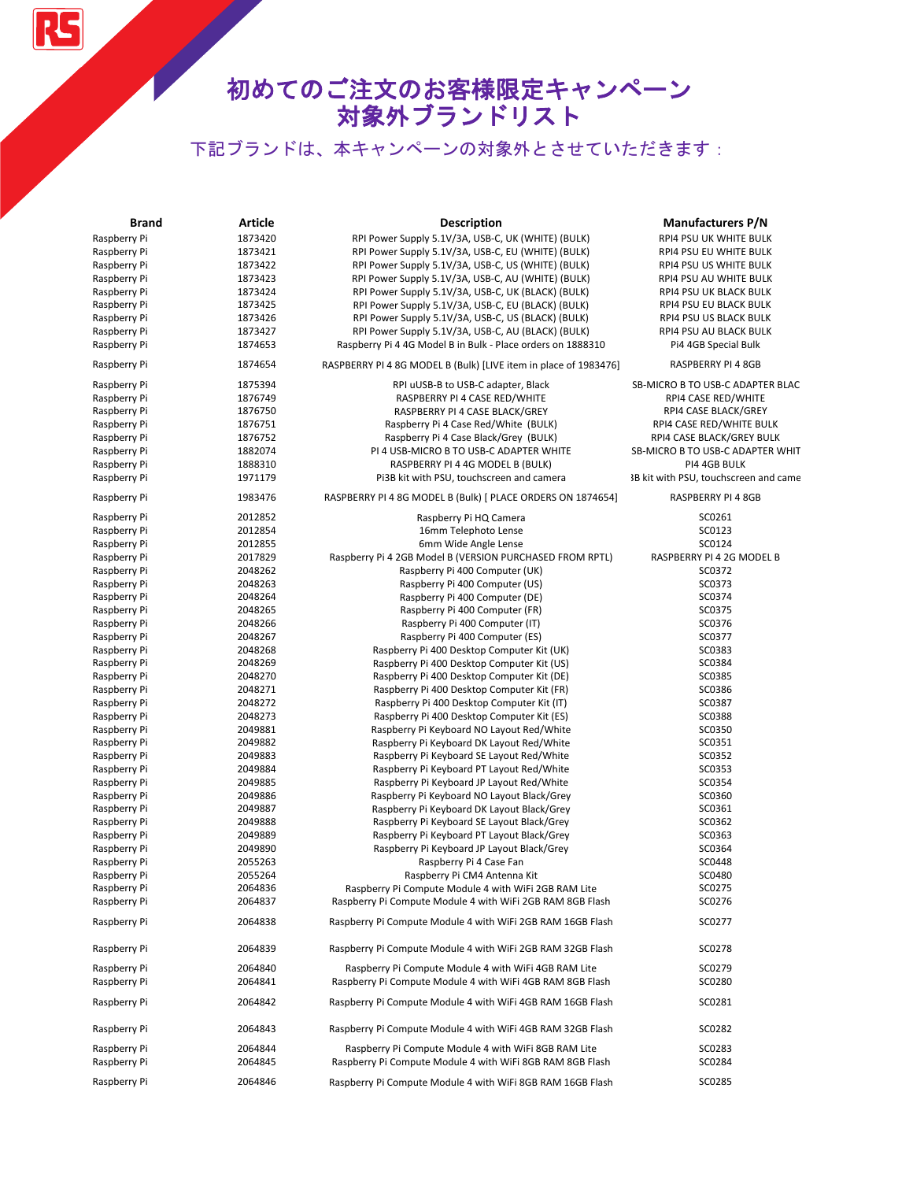RS

| <b>Brand</b> | Article | <b>Description</b>                                               | <b>Manufacturers P/N</b>                |
|--------------|---------|------------------------------------------------------------------|-----------------------------------------|
| Raspberry Pi | 1873420 | RPI Power Supply 5.1V/3A, USB-C, UK (WHITE) (BULK)               | RPI4 PSU UK WHITE BULK                  |
| Raspberry Pi | 1873421 | RPI Power Supply 5.1V/3A, USB-C, EU (WHITE) (BULK)               | RPI4 PSU EU WHITE BULK                  |
| Raspberry Pi | 1873422 | RPI Power Supply 5.1V/3A, USB-C, US (WHITE) (BULK)               | RPI4 PSU US WHITE BULK                  |
| Raspberry Pi | 1873423 | RPI Power Supply 5.1V/3A, USB-C, AU (WHITE) (BULK)               | RPI4 PSU AU WHITE BULK                  |
| Raspberry Pi | 1873424 | RPI Power Supply 5.1V/3A, USB-C, UK (BLACK) (BULK)               | RPI4 PSU UK BLACK BULK                  |
| Raspberry Pi | 1873425 | RPI Power Supply 5.1V/3A, USB-C, EU (BLACK) (BULK)               | RPI4 PSU EU BLACK BULK                  |
| Raspberry Pi | 1873426 | RPI Power Supply 5.1V/3A, USB-C, US (BLACK) (BULK)               | RPI4 PSU US BLACK BULK                  |
| Raspberry Pi | 1873427 | RPI Power Supply 5.1V/3A, USB-C, AU (BLACK) (BULK)               | RPI4 PSU AU BLACK BULK                  |
| Raspberry Pi | 1874653 | Raspberry Pi 4 4G Model B in Bulk - Place orders on 1888310      | Pi4 4GB Special Bulk                    |
| Raspberry Pi | 1874654 | RASPBERRY PI 4 8G MODEL B (Bulk) [LIVE item in place of 1983476] | RASPBERRY PI 4 8GB                      |
| Raspberry Pi | 1875394 | RPI uUSB-B to USB-C adapter, Black                               | <b>SB-MICRO B TO USB-C ADAPTER BLAC</b> |
| Raspberry Pi | 1876749 | RASPBERRY PI 4 CASE RED/WHITE                                    | RPI4 CASE RED/WHITE                     |
| Raspberry Pi | 1876750 | RASPBERRY PI 4 CASE BLACK/GREY                                   | RPI4 CASE BLACK/GREY                    |
| Raspberry Pi | 1876751 | Raspberry Pi 4 Case Red/White (BULK)                             | RPI4 CASE RED/WHITE BULK                |
| Raspberry Pi | 1876752 | Raspberry Pi 4 Case Black/Grey (BULK)                            | RPI4 CASE BLACK/GREY BULK               |
| Raspberry Pi | 1882074 | PI 4 USB-MICRO B TO USB-C ADAPTER WHITE                          | SB-MICRO B TO USB-C ADAPTER WHIT        |
| Raspberry Pi | 1888310 | RASPBERRY PI 4 4G MODEL B (BULK)                                 | PI4 4GB BULK                            |
| Raspberry Pi | 1971179 | Pi3B kit with PSU, touchscreen and camera                        | 3B kit with PSU, touchscreen and came   |
| Raspberry Pi | 1983476 | RASPBERRY PI 4 8G MODEL B (Bulk) [ PLACE ORDERS ON 1874654]      | RASPBERRY PI 4 8GB                      |
| Raspberry Pi | 2012852 | Raspberry Pi HQ Camera                                           | SC0261                                  |
| Raspberry Pi | 2012854 | 16mm Telephoto Lense                                             | SC0123                                  |
| Raspberry Pi | 2012855 | 6mm Wide Angle Lense                                             | SC0124                                  |
| Raspberry Pi | 2017829 | Raspberry Pi 4 2GB Model B (VERSION PURCHASED FROM RPTL)         | RASPBERRY PI 4 2G MODEL B               |
| Raspberry Pi | 2048262 | Raspberry Pi 400 Computer (UK)                                   | SC0372                                  |
| Raspberry Pi | 2048263 | Raspberry Pi 400 Computer (US)                                   | SC0373                                  |
| Raspberry Pi | 2048264 | Raspberry Pi 400 Computer (DE)                                   | SC0374                                  |
| Raspberry Pi | 2048265 | Raspberry Pi 400 Computer (FR)                                   | SC0375                                  |
| Raspberry Pi | 2048266 | Raspberry Pi 400 Computer (IT)                                   | SC0376                                  |
| Raspberry Pi | 2048267 | Raspberry Pi 400 Computer (ES)                                   | SC0377                                  |
| Raspberry Pi | 2048268 | Raspberry Pi 400 Desktop Computer Kit (UK)                       | SC0383                                  |
| Raspberry Pi | 2048269 | Raspberry Pi 400 Desktop Computer Kit (US)                       | SC0384                                  |
| Raspberry Pi | 2048270 | Raspberry Pi 400 Desktop Computer Kit (DE)                       | SC0385                                  |
| Raspberry Pi | 2048271 | Raspberry Pi 400 Desktop Computer Kit (FR)                       | SC0386                                  |
| Raspberry Pi | 2048272 | Raspberry Pi 400 Desktop Computer Kit (IT)                       | SC0387                                  |
| Raspberry Pi | 2048273 | Raspberry Pi 400 Desktop Computer Kit (ES)                       | SC0388                                  |
| Raspberry Pi | 2049881 | Raspberry Pi Keyboard NO Layout Red/White                        | SC0350                                  |
| Raspberry Pi | 2049882 | Raspberry Pi Keyboard DK Layout Red/White                        | SC0351                                  |
| Raspberry Pi | 2049883 | Raspberry Pi Keyboard SE Layout Red/White                        | SC0352                                  |
| Raspberry Pi | 2049884 | Raspberry Pi Keyboard PT Layout Red/White                        | SC0353                                  |
| Raspberry Pi | 2049885 | Raspberry Pi Keyboard JP Layout Red/White                        | SC0354                                  |
| Raspberry Pi | 2049886 | Raspberry Pi Keyboard NO Layout Black/Grey                       | SC0360                                  |
| Raspberry Pi | 2049887 | Raspberry Pi Keyboard DK Layout Black/Grey                       | SC0361                                  |
| Raspberry Pi | 2049888 | Raspberry Pi Keyboard SE Layout Black/Grey                       | SC0362                                  |
| Raspberry Pi | 2049889 | Raspberry Pi Keyboard PT Layout Black/Grey                       | SC0363                                  |
| Raspberry Pi | 2049890 | Raspberry Pi Keyboard JP Layout Black/Grey                       | SC0364                                  |
| Raspberry Pi | 2055263 | Raspberry Pi 4 Case Fan                                          | SC0448                                  |
| Raspberry Pi | 2055264 | Raspberry Pi CM4 Antenna Kit                                     | SC0480                                  |
| Raspberry Pi | 2064836 | Raspberry Pi Compute Module 4 with WiFi 2GB RAM Lite             | SC0275                                  |
| Raspberry Pi | 2064837 | Raspberry Pi Compute Module 4 with WiFi 2GB RAM 8GB Flash        | SC0276                                  |
| Raspberry Pi | 2064838 | Raspberry Pi Compute Module 4 with WiFi 2GB RAM 16GB Flash       | SC0277                                  |
| Raspberry Pi | 2064839 | Raspberry Pi Compute Module 4 with WiFi 2GB RAM 32GB Flash       | SC0278                                  |
| Raspberry Pi | 2064840 | Raspberry Pi Compute Module 4 with WiFi 4GB RAM Lite             | SC0279                                  |
| Raspberry Pi | 2064841 | Raspberry Pi Compute Module 4 with WiFi 4GB RAM 8GB Flash        | SC0280                                  |
| Raspberry Pi | 2064842 | Raspberry Pi Compute Module 4 with WiFi 4GB RAM 16GB Flash       | SC0281                                  |
| Raspberry Pi | 2064843 | Raspberry Pi Compute Module 4 with WiFi 4GB RAM 32GB Flash       | SC0282                                  |
| Raspberry Pi | 2064844 | Raspberry Pi Compute Module 4 with WiFi 8GB RAM Lite             | SC0283                                  |
| Raspberry Pi | 2064845 | Raspberry Pi Compute Module 4 with WiFi 8GB RAM 8GB Flash        | SC0284                                  |
| Raspberry Pi | 2064846 | Raspberry Pi Compute Module 4 with WiFi 8GB RAM 16GB Flash       | SC0285                                  |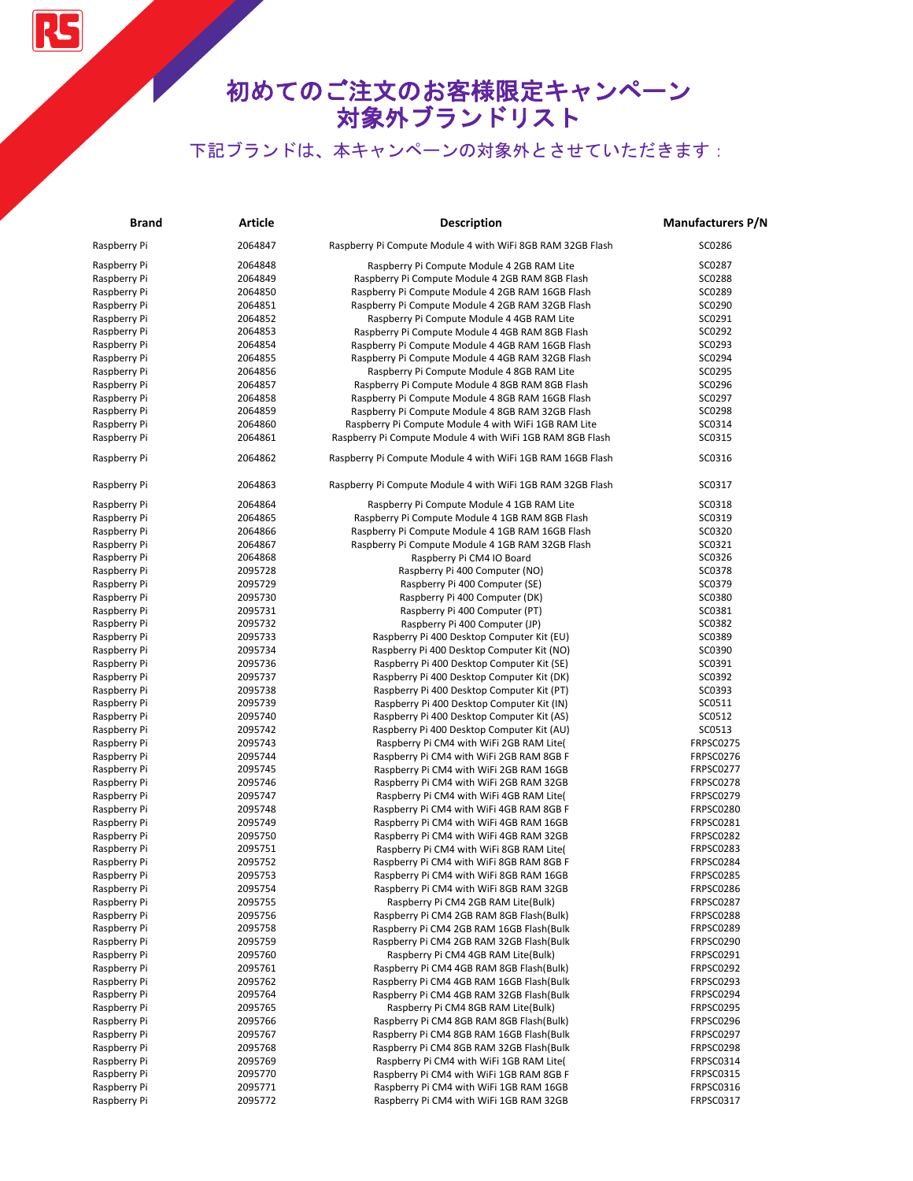RS

| <b>Brand</b> | <b>Article</b> | <b>Description</b>                                         | <b>Manufacturers P/N</b> |
|--------------|----------------|------------------------------------------------------------|--------------------------|
| Raspberry Pi | 2064847        | Raspberry Pi Compute Module 4 with WiFi 8GB RAM 32GB Flash | SC0286                   |
| Raspberry Pi | 2064848        | Raspberry Pi Compute Module 4 2GB RAM Lite                 | SC0287                   |
| Raspberry Pi | 2064849        | Raspberry Pi Compute Module 4 2GB RAM 8GB Flash            | SC0288                   |
| Raspberry Pi | 2064850        | Raspberry Pi Compute Module 4 2GB RAM 16GB Flash           | SC0289                   |
| Raspberry Pi | 2064851        | Raspberry Pi Compute Module 4 2GB RAM 32GB Flash           | SC0290                   |
| Raspberry Pi | 2064852        | Raspberry Pi Compute Module 4 4GB RAM Lite                 | SC0291                   |
| Raspberry Pi | 2064853        | Raspberry Pi Compute Module 4 4GB RAM 8GB Flash            | SC0292                   |
| Raspberry Pi | 2064854        | Raspberry Pi Compute Module 4 4GB RAM 16GB Flash           | SC0293                   |
| Raspberry Pi | 2064855        | Raspberry Pi Compute Module 4 4GB RAM 32GB Flash           | SC0294                   |
| Raspberry Pi | 2064856        | Raspberry Pi Compute Module 4 8GB RAM Lite                 | SC0295                   |
| Raspberry Pi | 2064857        | Raspberry Pi Compute Module 4 8GB RAM 8GB Flash            | SC0296                   |
| Raspberry Pi | 2064858        | Raspberry Pi Compute Module 4 8GB RAM 16GB Flash           | SC0297                   |
| Raspberry Pi | 2064859        | Raspberry Pi Compute Module 4 8GB RAM 32GB Flash           | SC0298                   |
| Raspberry Pi | 2064860        | Raspberry Pi Compute Module 4 with WiFi 1GB RAM Lite       | SC0314                   |
| Raspberry Pi | 2064861        | Raspberry Pi Compute Module 4 with WiFi 1GB RAM 8GB Flash  | SC0315                   |
| Raspberry Pi | 2064862        | Raspberry Pi Compute Module 4 with WiFi 1GB RAM 16GB Flash | SC0316                   |
| Raspberry Pi | 2064863        | Raspberry Pi Compute Module 4 with WiFi 1GB RAM 32GB Flash | SC0317                   |
| Raspberry Pi | 2064864        | Raspberry Pi Compute Module 4 1GB RAM Lite                 | SC0318                   |
| Raspberry Pi | 2064865        | Raspberry Pi Compute Module 4 1GB RAM 8GB Flash            | SC0319                   |
| Raspberry Pi | 2064866        | Raspberry Pi Compute Module 4 1GB RAM 16GB Flash           | SC0320                   |
| Raspberry Pi | 2064867        | Raspberry Pi Compute Module 4 1GB RAM 32GB Flash           | SC0321                   |
| Raspberry Pi | 2064868        | Raspberry Pi CM4 IO Board                                  | SC0326                   |
| Raspberry Pi | 2095728        | Raspberry Pi 400 Computer (NO)                             | SC0378                   |
| Raspberry Pi | 2095729        | Raspberry Pi 400 Computer (SE)                             | SC0379                   |
| Raspberry Pi | 2095730        | Raspberry Pi 400 Computer (DK)                             | SC0380                   |
| Raspberry Pi | 2095731        | Raspberry Pi 400 Computer (PT)                             | SC0381                   |
| Raspberry Pi | 2095732        | Raspberry Pi 400 Computer (JP)                             | SC0382                   |
| Raspberry Pi | 2095733        | Raspberry Pi 400 Desktop Computer Kit (EU)                 | SC0389                   |
| Raspberry Pi | 2095734        | Raspberry Pi 400 Desktop Computer Kit (NO)                 | SC0390                   |
| Raspberry Pi | 2095736        | Raspberry Pi 400 Desktop Computer Kit (SE)                 | SC0391                   |
| Raspberry Pi | 2095737        | Raspberry Pi 400 Desktop Computer Kit (DK)                 | SC0392                   |
| Raspberry Pi | 2095738        | Raspberry Pi 400 Desktop Computer Kit (PT)                 | SC0393                   |
| Raspberry Pi | 2095739        | Raspberry Pi 400 Desktop Computer Kit (IN)                 | SC0511                   |
| Raspberry Pi | 2095740        | Raspberry Pi 400 Desktop Computer Kit (AS)                 | SC0512                   |
| Raspberry Pi | 2095742        | Raspberry Pi 400 Desktop Computer Kit (AU)                 | SC0513                   |
| Raspberry Pi | 2095743        | Raspberry Pi CM4 with WiFi 2GB RAM Lite(                   | FRPSC0275                |
| Raspberry Pi | 2095744        | Raspberry Pi CM4 with WiFi 2GB RAM 8GB F                   | FRPSC0276                |
| Raspberry Pi | 2095745        | Raspberry Pi CM4 with WiFi 2GB RAM 16GB                    | FRPSC0277                |
| Raspberry Pi | 2095746        | Raspberry Pi CM4 with WiFi 2GB RAM 32GB                    | FRPSC0278                |
| Raspberry Pi | 2095747        | Raspberry Pi CM4 with WiFi 4GB RAM Lite(                   | FRPSC0279                |
| Raspberry Pi | 2095748        | Raspberry Pi CM4 with WiFi 4GB RAM 8GB F                   | FRPSC0280                |
| Raspberry Pi | 2095749        | Raspberry Pi CM4 with WiFi 4GB RAM 16GB                    | FRPSC0281                |
| Raspberry Pi | 2095750        | Raspberry Pi CM4 with WiFi 4GB RAM 32GB                    | FRPSC0282                |
| Raspberry Pi | 2095751        | Raspberry Pi CM4 with WiFi 8GB RAM Lite(                   | FRPSC0283                |
| Raspberry Pi | 2095752        | Raspberry Pi CM4 with WiFi 8GB RAM 8GB F                   | FRPSC0284                |
| Raspberry Pi | 2095753        | Raspberry Pi CM4 with WiFi 8GB RAM 16GB                    | FRPSC0285                |
| Raspberry Pi | 2095754        | Raspberry Pi CM4 with WiFi 8GB RAM 32GB                    | FRPSC0286                |
| Raspberry Pi | 2095755        | Raspberry Pi CM4 2GB RAM Lite(Bulk)                        | FRPSC0287                |
| Raspberry Pi | 2095756        | Raspberry Pi CM4 2GB RAM 8GB Flash(Bulk)                   | FRPSC0288                |
| Raspberry Pi | 2095758        | Raspberry Pi CM4 2GB RAM 16GB Flash(Bulk                   | FRPSC0289                |
| Raspberry Pi | 2095759        | Raspberry Pi CM4 2GB RAM 32GB Flash(Bulk                   | FRPSC0290                |
| Raspberry Pi | 2095760        | Raspberry Pi CM4 4GB RAM Lite(Bulk)                        | FRPSC0291                |
| Raspberry Pi | 2095761        | Raspberry Pi CM4 4GB RAM 8GB Flash(Bulk)                   | FRPSC0292                |
| Raspberry Pi | 2095762        | Raspberry Pi CM4 4GB RAM 16GB Flash(Bulk                   | FRPSC0293                |
| Raspberry Pi | 2095764        | Raspberry Pi CM4 4GB RAM 32GB Flash(Bulk                   | FRPSC0294                |
| Raspberry Pi | 2095765        | Raspberry Pi CM4 8GB RAM Lite(Bulk)                        | FRPSC0295                |
| Raspberry Pi | 2095766        | Raspberry Pi CM4 8GB RAM 8GB Flash(Bulk)                   | FRPSC0296                |
| Raspberry Pi | 2095767        | Raspberry Pi CM4 8GB RAM 16GB Flash(Bulk                   | FRPSC0297                |
| Raspberry Pi | 2095768        | Raspberry Pi CM4 8GB RAM 32GB Flash(Bulk                   | FRPSC0298                |
| Raspberry Pi | 2095769        | Raspberry Pi CM4 with WiFi 1GB RAM Lite(                   | FRPSC0314                |
| Raspberry Pi | 2095770        | Raspberry Pi CM4 with WiFi 1GB RAM 8GB F                   | FRPSC0315                |
| Raspberry Pi | 2095771        | Raspberry Pi CM4 with WiFi 1GB RAM 16GB                    | FRPSC0316                |
| Raspberry Pi | 2095772        | Raspberry Pi CM4 with WiFi 1GB RAM 32GB                    | FRPSC0317                |
|              |                |                                                            |                          |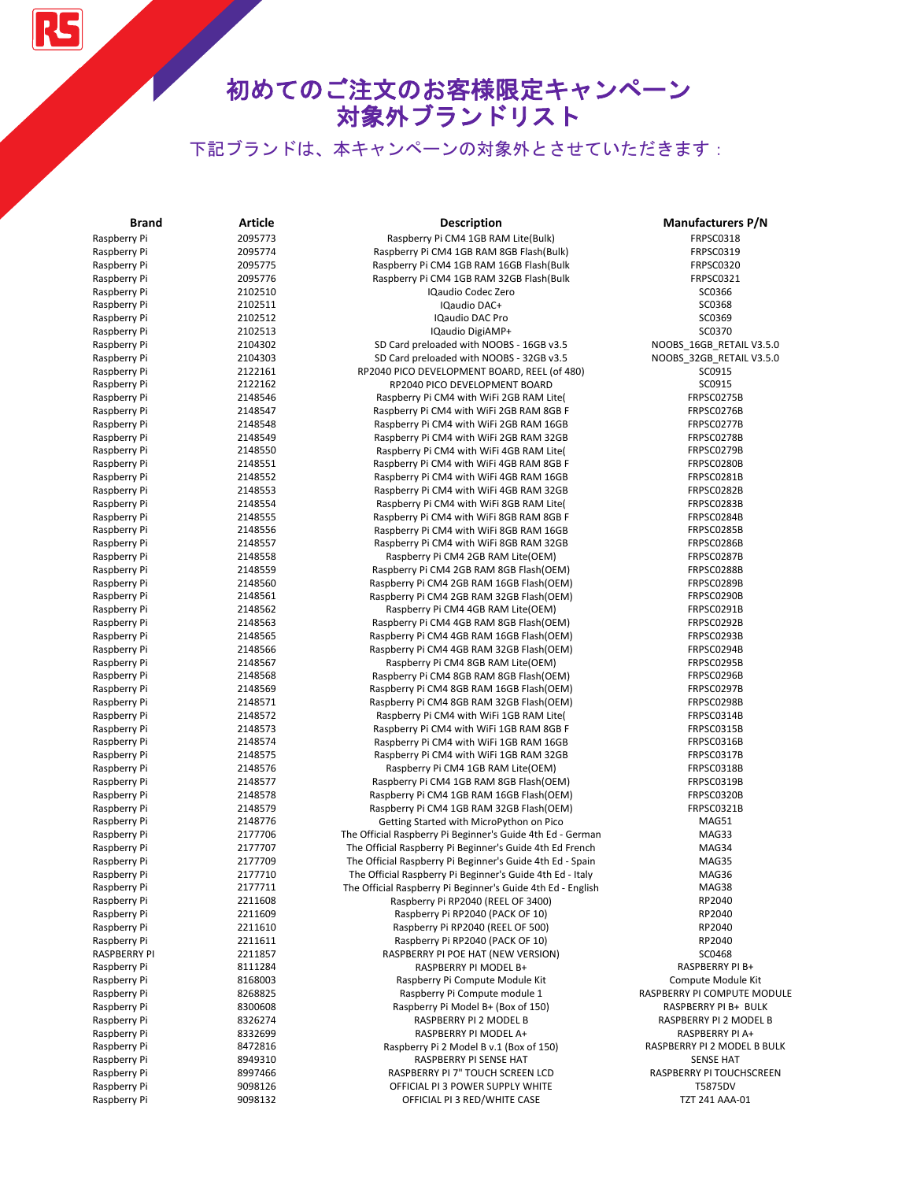# 初めてのご注文のお客様限定キャンペーン 対象外ブランドリスト

| Brand                        | <b>Article</b>     | <b>Description</b>                                                                   | <b>Manufacturers P/N</b>                     |
|------------------------------|--------------------|--------------------------------------------------------------------------------------|----------------------------------------------|
| Raspberry Pi                 | 2095773            | Raspberry Pi CM4 1GB RAM Lite(Bulk)                                                  | <b>FRPSC0318</b>                             |
| Raspberry Pi                 | 2095774            | Raspberry Pi CM4 1GB RAM 8GB Flash(Bulk)                                             | FRPSC0319                                    |
| Raspberry Pi                 | 2095775            | Raspberry Pi CM4 1GB RAM 16GB Flash(Bulk                                             | FRPSC0320                                    |
| Raspberry Pi                 | 2095776            | Raspberry Pi CM4 1GB RAM 32GB Flash(Bulk                                             | FRPSC0321                                    |
| Raspberry Pi                 | 2102510            | <b>IQaudio Codec Zero</b>                                                            | SC0366                                       |
| Raspberry Pi                 | 2102511            | IQaudio DAC+                                                                         | SC0368                                       |
| Raspberry Pi                 | 2102512            | IQaudio DAC Pro                                                                      | SC0369                                       |
| Raspberry Pi                 | 2102513            | IQaudio DigiAMP+                                                                     | SC0370                                       |
| Raspberry Pi                 | 2104302            | SD Card preloaded with NOOBS - 16GB v3.5                                             | NOOBS_16GB_RETAIL V3.5.0                     |
| Raspberry Pi                 | 2104303            | SD Card preloaded with NOOBS - 32GB v3.5                                             | NOOBS_32GB_RETAIL V3.5.0                     |
| Raspberry Pi                 | 2122161            | RP2040 PICO DEVELOPMENT BOARD, REEL (of 480)                                         | SC0915                                       |
| Raspberry Pi                 | 2122162            | RP2040 PICO DEVELOPMENT BOARD                                                        | SC0915                                       |
| Raspberry Pi                 | 2148546            | Raspberry Pi CM4 with WiFi 2GB RAM Lite(                                             | FRPSC0275B                                   |
| Raspberry Pi                 | 2148547            | Raspberry Pi CM4 with WiFi 2GB RAM 8GB F                                             | FRPSC0276B                                   |
| Raspberry Pi                 | 2148548            | Raspberry Pi CM4 with WiFi 2GB RAM 16GB                                              | FRPSC0277B                                   |
| Raspberry Pi                 | 2148549            | Raspberry Pi CM4 with WiFi 2GB RAM 32GB                                              | FRPSC0278B                                   |
| Raspberry Pi                 | 2148550            | Raspberry Pi CM4 with WiFi 4GB RAM Lite(                                             | FRPSC0279B                                   |
| Raspberry Pi                 | 2148551            | Raspberry Pi CM4 with WiFi 4GB RAM 8GB F                                             | FRPSC0280B                                   |
| Raspberry Pi                 | 2148552            | Raspberry Pi CM4 with WiFi 4GB RAM 16GB                                              | FRPSC0281B                                   |
| Raspberry Pi                 | 2148553            | Raspberry Pi CM4 with WiFi 4GB RAM 32GB                                              | FRPSC0282B                                   |
| Raspberry Pi                 | 2148554            | Raspberry Pi CM4 with WiFi 8GB RAM Lite(                                             | FRPSC0283B                                   |
| Raspberry Pi                 | 2148555            | Raspberry Pi CM4 with WiFi 8GB RAM 8GB F                                             | FRPSC0284B                                   |
| Raspberry Pi                 | 2148556            | Raspberry Pi CM4 with WiFi 8GB RAM 16GB                                              | FRPSC0285B                                   |
| Raspberry Pi                 | 2148557            | Raspberry Pi CM4 with WiFi 8GB RAM 32GB                                              | FRPSC0286B                                   |
| Raspberry Pi                 | 2148558            | Raspberry Pi CM4 2GB RAM Lite(OEM)                                                   | FRPSC0287B                                   |
| Raspberry Pi                 | 2148559            | Raspberry Pi CM4 2GB RAM 8GB Flash(OEM)                                              | FRPSC0288B                                   |
| Raspberry Pi<br>Raspberry Pi | 2148560            | Raspberry Pi CM4 2GB RAM 16GB Flash(OEM)<br>Raspberry Pi CM4 2GB RAM 32GB Flash(OEM) | FRPSC0289B                                   |
| Raspberry Pi                 | 2148561<br>2148562 |                                                                                      | FRPSC0290B<br>FRPSC0291B                     |
| Raspberry Pi                 | 2148563            | Raspberry Pi CM4 4GB RAM Lite(OEM)                                                   | FRPSC0292B                                   |
| Raspberry Pi                 | 2148565            | Raspberry Pi CM4 4GB RAM 8GB Flash (OEM)<br>Raspberry Pi CM4 4GB RAM 16GB Flash(OEM) | FRPSC0293B                                   |
| Raspberry Pi                 | 2148566            | Raspberry Pi CM4 4GB RAM 32GB Flash(OEM)                                             | FRPSC0294B                                   |
| Raspberry Pi                 | 2148567            | Raspberry Pi CM4 8GB RAM Lite(OEM)                                                   | FRPSC0295B                                   |
| Raspberry Pi                 | 2148568            | Raspberry Pi CM4 8GB RAM 8GB Flash (OEM)                                             | FRPSC0296B                                   |
| Raspberry Pi                 | 2148569            | Raspberry Pi CM4 8GB RAM 16GB Flash(OEM)                                             | FRPSC0297B                                   |
| Raspberry Pi                 | 2148571            | Raspberry Pi CM4 8GB RAM 32GB Flash(OEM)                                             | FRPSC0298B                                   |
| Raspberry Pi                 | 2148572            | Raspberry Pi CM4 with WiFi 1GB RAM Lite(                                             | FRPSC0314B                                   |
| Raspberry Pi                 | 2148573            | Raspberry Pi CM4 with WiFi 1GB RAM 8GB F                                             | FRPSC0315B                                   |
| Raspberry Pi                 | 2148574            | Raspberry Pi CM4 with WiFi 1GB RAM 16GB                                              | FRPSC0316B                                   |
| Raspberry Pi                 | 2148575            | Raspberry Pi CM4 with WiFi 1GB RAM 32GB                                              | FRPSC0317B                                   |
| Raspberry Pi                 | 2148576            | Raspberry Pi CM4 1GB RAM Lite(OEM)                                                   | FRPSC0318B                                   |
| Raspberry Pi                 | 2148577            | Raspberry Pi CM4 1GB RAM 8GB Flash(OEM)                                              | FRPSC0319B                                   |
| Raspberry Pi                 | 2148578            | Raspberry Pi CM4 1GB RAM 16GB Flash(OEM)                                             | FRPSC0320B                                   |
| Raspberry Pi                 | 2148579            | Raspberry Pi CM4 1GB RAM 32GB Flash(OEM)                                             | FRPSC0321B                                   |
| Raspberry Pi                 | 2148776            | Getting Started with MicroPython on Pico                                             | MAG51                                        |
| Raspberry Pi                 | 2177706            | The Official Raspberry Pi Beginner's Guide 4th Ed - German                           | MAG33                                        |
| Raspberry Pi                 | 2177707            | The Official Raspberry Pi Beginner's Guide 4th Ed French                             | MAG34                                        |
| Raspberry Pi                 | 2177709            | The Official Raspberry Pi Beginner's Guide 4th Ed - Spain                            | MAG35                                        |
| Raspberry Pi                 | 2177710            | The Official Raspberry Pi Beginner's Guide 4th Ed - Italy                            | MAG36                                        |
| Raspberry Pi                 | 2177711            | The Official Raspberry Pi Beginner's Guide 4th Ed - English                          | MAG38                                        |
| Raspberry Pi                 | 2211608            | Raspberry Pi RP2040 (REEL OF 3400)                                                   | RP2040                                       |
| Raspberry Pi                 | 2211609            | Raspberry Pi RP2040 (PACK OF 10)                                                     | RP2040                                       |
| Raspberry Pi                 | 2211610            | Raspberry Pi RP2040 (REEL OF 500)                                                    | RP2040                                       |
| Raspberry Pi                 | 2211611            | Raspberry Pi RP2040 (PACK OF 10)                                                     | RP2040                                       |
| <b>RASPBERRY PI</b>          | 2211857            | RASPBERRY PI POE HAT (NEW VERSION)                                                   | SC0468                                       |
| Raspberry Pi                 | 8111284            | RASPBERRY PI MODEL B+                                                                | RASPBERRY PI B+                              |
| Raspberry Pi                 | 8168003            | Raspberry Pi Compute Module Kit                                                      | Compute Module Kit                           |
| Raspberry Pi                 | 8268825            | Raspberry Pi Compute module 1                                                        | RASPBERRY PI COMPUTE MODULE                  |
| Raspberry Pi                 | 8300608            | Raspberry Pi Model B+ (Box of 150)                                                   | RASPBERRY PI B+ BULK                         |
| Raspberry Pi                 | 8326274            | RASPBERRY PI 2 MODEL B                                                               | RASPBERRY PI 2 MODEL B                       |
| Raspberry Pi                 | 8332699            | RASPBERRY PI MODEL A+                                                                | RASPBERRY PI A+                              |
| Raspberry Pi                 | 8472816            | Raspberry Pi 2 Model B v.1 (Box of 150)                                              | RASPBERRY PI 2 MODEL B BULK                  |
| Raspberry Pi<br>Raspberry Pi | 8949310<br>8997466 | RASPBERRY PI SENSE HAT<br>RASPBERRY PI 7" TOUCH SCREEN LCD                           | <b>SENSE HAT</b><br>RASPBERRY PI TOUCHSCREEN |
| Raspberry Pi                 | 9098126            | OFFICIAL PI 3 POWER SUPPLY WHITE                                                     | T5875DV                                      |
| Raspberry Pi                 | 9098132            | OFFICIAL PI 3 RED/WHITE CASE                                                         | TZT 241 AAA-01                               |
|                              |                    |                                                                                      |                                              |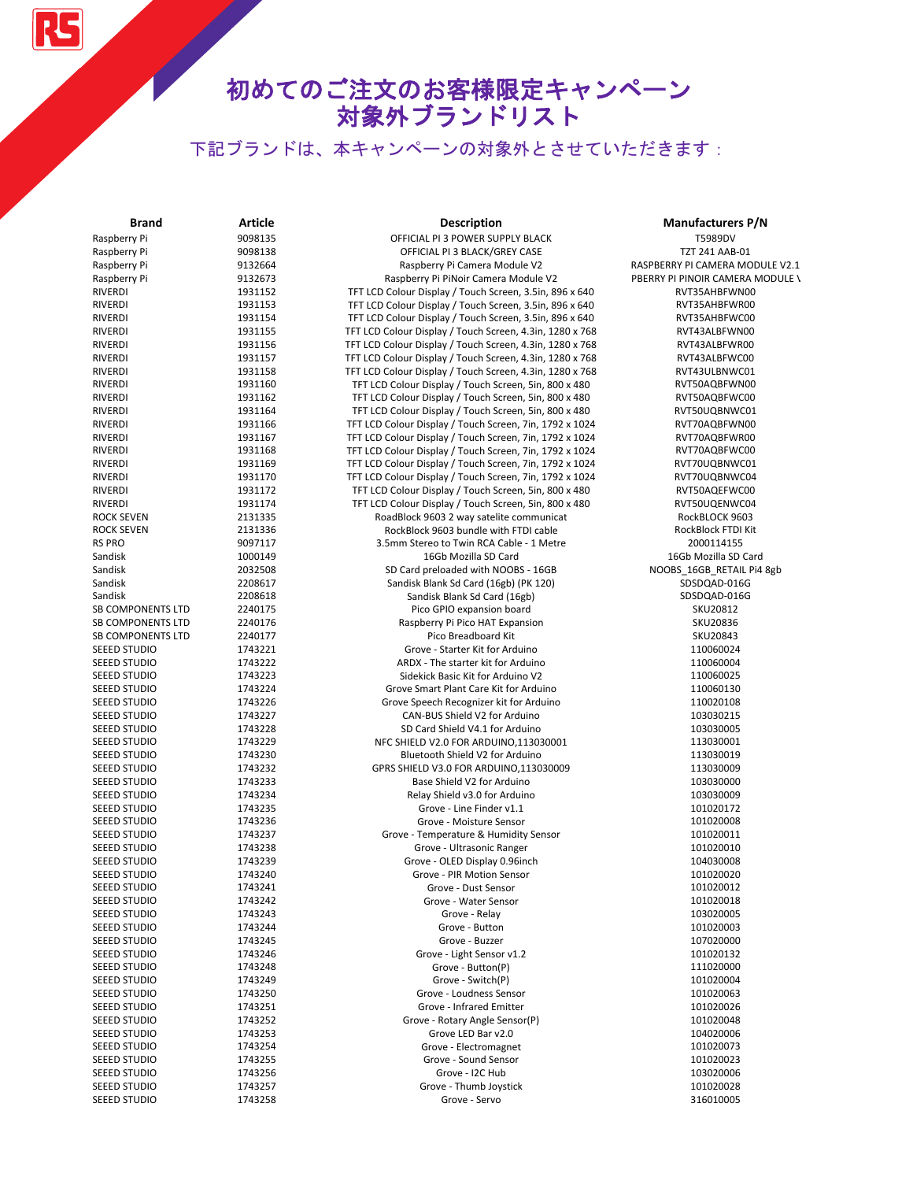RS

| <b>Brand</b>                           | Article            | <b>Description</b>                                                                | <b>Manufacturers P/N</b>                  |
|----------------------------------------|--------------------|-----------------------------------------------------------------------------------|-------------------------------------------|
| Raspberry Pi                           | 9098135            | OFFICIAL PI 3 POWER SUPPLY BLACK                                                  | T5989DV                                   |
| Raspberry Pi                           | 9098138            | OFFICIAL PI 3 BLACK/GREY CASE                                                     | <b>TZT 241 AAB-01</b>                     |
| Raspberry Pi                           | 9132664            | Raspberry Pi Camera Module V2                                                     | RASPBERRY PI CAMERA MODULE V2.1           |
| Raspberry Pi                           | 9132673            | Raspberry Pi PiNoir Camera Module V2                                              | PBERRY PI PINOIR CAMERA MODULE \          |
| <b>RIVERDI</b>                         | 1931152            | TFT LCD Colour Display / Touch Screen, 3.5in, 896 x 640                           | RVT35AHBFWN00                             |
| <b>RIVERDI</b>                         | 1931153            | TFT LCD Colour Display / Touch Screen, 3.5in, 896 x 640                           | RVT35AHBFWR00                             |
| <b>RIVERDI</b>                         | 1931154            | TFT LCD Colour Display / Touch Screen, 3.5in, 896 x 640                           | RVT35AHBFWC00                             |
| <b>RIVERDI</b>                         | 1931155            | TFT LCD Colour Display / Touch Screen, 4.3in, 1280 x 768                          | RVT43ALBFWN00                             |
| RIVERDI                                | 1931156            | TFT LCD Colour Display / Touch Screen, 4.3in, 1280 x 768                          | RVT43ALBFWR00                             |
| <b>RIVERDI</b>                         | 1931157            | TFT LCD Colour Display / Touch Screen, 4.3in, 1280 x 768                          | RVT43ALBFWC00                             |
| RIVERDI                                | 1931158            | TFT LCD Colour Display / Touch Screen, 4.3in, 1280 x 768                          | RVT43ULBNWC01                             |
| RIVERDI                                | 1931160            | TFT LCD Colour Display / Touch Screen, 5in, 800 x 480                             | RVT50AQBFWN00                             |
| RIVERDI                                | 1931162            | TFT LCD Colour Display / Touch Screen, 5in, 800 x 480                             | RVT50AQBFWC00                             |
| <b>RIVERDI</b>                         | 1931164            | TFT LCD Colour Display / Touch Screen, 5in, 800 x 480                             | RVT50UQBNWC01                             |
| RIVERDI                                | 1931166            | TFT LCD Colour Display / Touch Screen, 7in, 1792 x 1024                           | RVT70AQBFWN00                             |
| RIVERDI                                | 1931167            | TFT LCD Colour Display / Touch Screen, 7in, 1792 x 1024                           | RVT70AQBFWR00                             |
| RIVERDI                                | 1931168            | TFT LCD Colour Display / Touch Screen, 7in, 1792 x 1024                           | RVT70AQBFWC00                             |
| RIVERDI                                | 1931169            | TFT LCD Colour Display / Touch Screen, 7in, 1792 x 1024                           | RVT70UQBNWC01                             |
| RIVERDI                                | 1931170            | TFT LCD Colour Display / Touch Screen, 7in, 1792 x 1024                           | RVT70UQBNWC04                             |
| RIVERDI                                | 1931172            | TFT LCD Colour Display / Touch Screen, 5in, 800 x 480                             | RVT50AQEFWC00                             |
| RIVERDI                                | 1931174            | TFT LCD Colour Display / Touch Screen, 5in, 800 x 480                             | RVT50UQENWC04                             |
| <b>ROCK SEVEN</b><br><b>ROCK SEVEN</b> | 2131335            | RoadBlock 9603 2 way satelite communicat<br>RockBlock 9603 bundle with FTDI cable | RockBLOCK 9603                            |
| <b>RS PRO</b>                          | 2131336            |                                                                                   | RockBlock FTDI Kit                        |
|                                        | 9097117            | 3.5mm Stereo to Twin RCA Cable - 1 Metre<br>16Gb Mozilla SD Card                  | 2000114155                                |
| Sandisk<br>Sandisk                     | 1000149<br>2032508 |                                                                                   | 16Gb Mozilla SD Card                      |
| Sandisk                                | 2208617            | SD Card preloaded with NOOBS - 16GB<br>Sandisk Blank Sd Card (16gb) (PK 120)      | NOOBS_16GB_RETAIL Pi4 8gb<br>SDSDQAD-016G |
| Sandisk                                | 2208618            | Sandisk Blank Sd Card (16gb)                                                      | SDSDQAD-016G                              |
| SB COMPONENTS LTD                      | 2240175            | Pico GPIO expansion board                                                         | SKU20812                                  |
| <b>SB COMPONENTS LTD</b>               | 2240176            | Raspberry Pi Pico HAT Expansion                                                   | SKU20836                                  |
| <b>SB COMPONENTS LTD</b>               | 2240177            | Pico Breadboard Kit                                                               | SKU20843                                  |
| SEEED STUDIO                           | 1743221            | Grove - Starter Kit for Arduino                                                   | 110060024                                 |
| SEEED STUDIO                           | 1743222            | ARDX - The starter kit for Arduino                                                | 110060004                                 |
| SEEED STUDIO                           | 1743223            | Sidekick Basic Kit for Arduino V2                                                 | 110060025                                 |
| SEEED STUDIO                           | 1743224            | Grove Smart Plant Care Kit for Arduino                                            | 110060130                                 |
| SEEED STUDIO                           | 1743226            | Grove Speech Recognizer kit for Arduino                                           | 110020108                                 |
| SEEED STUDIO                           | 1743227            | CAN-BUS Shield V2 for Arduino                                                     | 103030215                                 |
| SEEED STUDIO                           | 1743228            | SD Card Shield V4.1 for Arduino                                                   | 103030005                                 |
| SEEED STUDIO                           | 1743229            | NFC SHIELD V2.0 FOR ARDUINO, 113030001                                            | 113030001                                 |
| SEEED STUDIO                           | 1743230            | Bluetooth Shield V2 for Arduino                                                   | 113030019                                 |
| SEEED STUDIO                           | 1743232            | GPRS SHIELD V3.0 FOR ARDUINO,113030009                                            | 113030009                                 |
| SEEED STUDIO                           | 1743233            | Base Shield V2 for Arduino                                                        | 103030000                                 |
| SEEED STUDIO                           | 1743234            | Relay Shield v3.0 for Arduino                                                     | 103030009                                 |
| SEEED STUDIO                           | 1743235            | Grove - Line Finder v1.1                                                          | 101020172                                 |
| SEEED STUDIO                           | 1743236            | Grove - Moisture Sensor                                                           | 101020008                                 |
| <b>SEEED STUDIO</b>                    | 1743237            | Grove - Temperature & Humidity Sensor                                             | 101020011                                 |
| SEEED STUDIO                           | 1743238            | Grove - Ultrasonic Ranger                                                         | 101020010                                 |
| SEEED STUDIO                           | 1743239            | Grove - OLED Display 0.96inch                                                     | 104030008                                 |
| SEEED STUDIO                           | 1743240            | Grove - PIR Motion Sensor                                                         | 101020020                                 |
| SEEED STUDIO                           | 1/43241            | Grove - Dust Sensor                                                               | 101020012                                 |
| <b>SEEED STUDIO</b>                    | 1743242            | Grove - Water Sensor                                                              | 101020018                                 |
| SEEED STUDIO                           | 1743243            | Grove - Relay                                                                     | 103020005                                 |
| <b>SEEED STUDIO</b>                    | 1743244            | Grove - Button                                                                    | 101020003                                 |
| SEEED STUDIO                           | 1743245            | Grove - Buzzer                                                                    | 107020000                                 |
| SEEED STUDIO                           | 1743246            | Grove - Light Sensor v1.2                                                         | 101020132                                 |
| SEEED STUDIO                           | 1743248            | Grove - Button(P)                                                                 | 111020000                                 |
| SEEED STUDIO                           | 1743249            | Grove - Switch(P)                                                                 | 101020004                                 |
| <b>SEEED STUDIO</b>                    | 1743250            | Grove - Loudness Sensor                                                           | 101020063                                 |
| SEEED STUDIO                           | 1743251            | Grove - Infrared Emitter                                                          | 101020026                                 |
| <b>SEEED STUDIO</b>                    | 1743252            | Grove - Rotary Angle Sensor(P)<br>Grove LED Bar v2.0                              | 101020048<br>104020006                    |
| SEEED STUDIO                           | 1743253            | Grove - Electromagnet                                                             |                                           |
| SEEED STUDIO                           | 1743254            |                                                                                   | 101020073                                 |
| SEEED STUDIO<br><b>SEEED STUDIO</b>    | 1743255<br>1743256 | Grove - Sound Sensor<br>Grove - I2C Hub                                           | 101020023<br>103020006                    |
| SEEED STUDIO                           | 1743257            | Grove - Thumb Joystick                                                            | 101020028                                 |
| SEEED STUDIO                           | 1743258            | Grove - Servo                                                                     | 316010005                                 |
|                                        |                    |                                                                                   |                                           |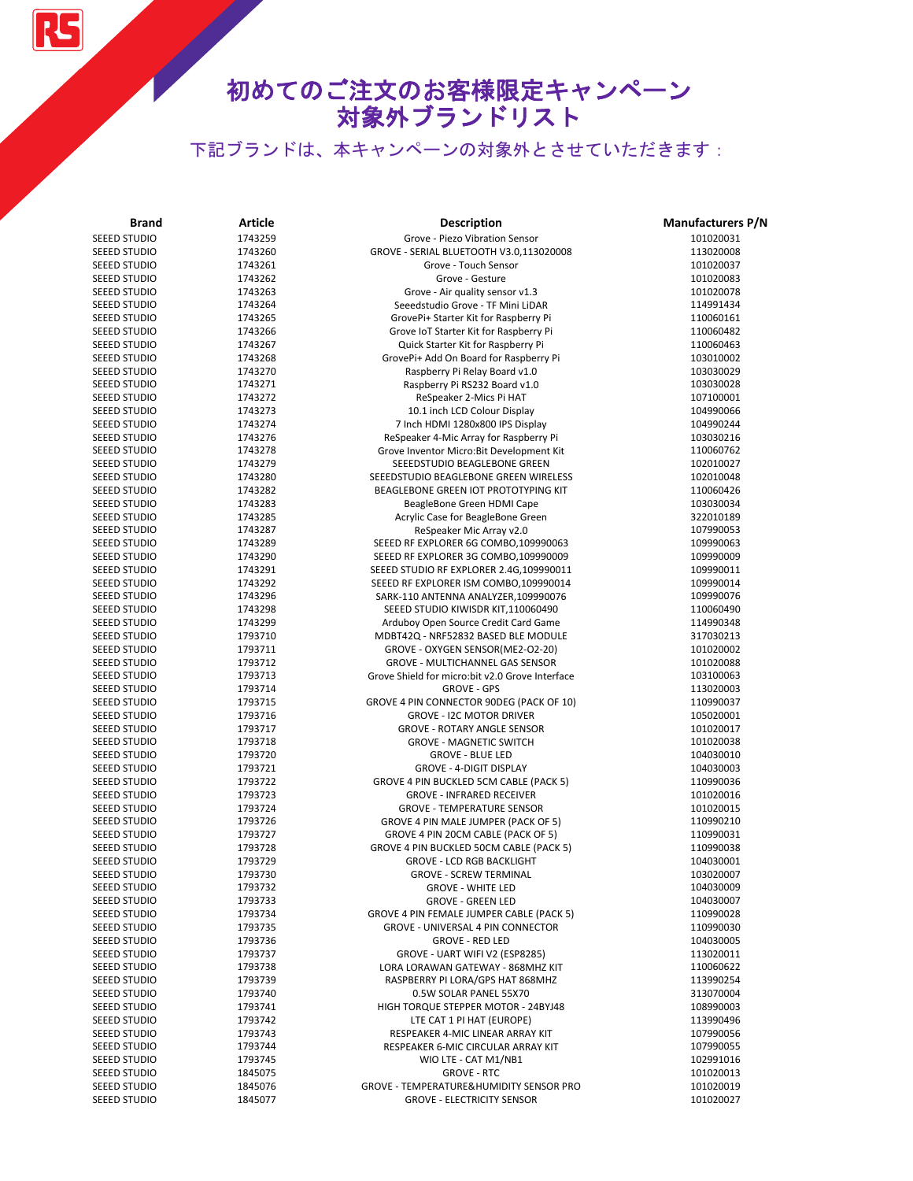RS

| <b>Brand</b>                 | Article            | <b>Description</b>                                                              | <b>Manufacturers P/N</b> |
|------------------------------|--------------------|---------------------------------------------------------------------------------|--------------------------|
| <b>SEEED STUDIO</b>          | 1743259            | Grove - Piezo Vibration Sensor                                                  | 101020031                |
| <b>SEEED STUDIO</b>          | 1743260            | GROVE - SERIAL BLUETOOTH V3.0,113020008                                         | 113020008                |
| <b>SEEED STUDIO</b>          | 1743261            | Grove - Touch Sensor                                                            | 101020037                |
| SEEED STUDIO                 | 1743262            | Grove - Gesture                                                                 | 101020083                |
| SEEED STUDIO                 | 1743263            | Grove - Air quality sensor v1.3                                                 | 101020078                |
| SEEED STUDIO                 | 1743264            | Seeedstudio Grove - TF Mini LiDAR                                               | 114991434                |
| SEEED STUDIO                 | 1743265            | GrovePi+ Starter Kit for Raspberry Pi                                           | 110060161                |
| SEEED STUDIO                 | 1743266            | Grove IoT Starter Kit for Raspberry Pi                                          | 110060482                |
| SEEED STUDIO                 | 1743267            | Quick Starter Kit for Raspberry Pi                                              | 110060463                |
| SEEED STUDIO                 | 1743268            | GrovePi+ Add On Board for Raspberry Pi                                          | 103010002                |
| SEEED STUDIO                 | 1743270            | Raspberry Pi Relay Board v1.0                                                   | 103030029                |
| <b>SEEED STUDIO</b>          | 1743271            | Raspberry Pi RS232 Board v1.0                                                   | 103030028                |
| SEEED STUDIO                 | 1743272            | ReSpeaker 2-Mics Pi HAT                                                         | 107100001                |
| SEEED STUDIO                 | 1743273            | 10.1 inch LCD Colour Display                                                    | 104990066                |
| SEEED STUDIO                 | 1743274            | 7 Inch HDMI 1280x800 IPS Display                                                | 104990244                |
| <b>SEEED STUDIO</b>          | 1743276            | ReSpeaker 4-Mic Array for Raspberry Pi                                          | 103030216                |
| SEEED STUDIO                 | 1743278            | Grove Inventor Micro: Bit Development Kit                                       | 110060762                |
| SEEED STUDIO                 | 1743279            | SEEEDSTUDIO BEAGLEBONE GREEN                                                    | 102010027                |
| <b>SEEED STUDIO</b>          | 1743280            | SEEEDSTUDIO BEAGLEBONE GREEN WIRELESS                                           | 102010048                |
| SEEED STUDIO                 | 1743282            | BEAGLEBONE GREEN IOT PROTOTYPING KIT                                            | 110060426                |
| SEEED STUDIO                 | 1743283            | BeagleBone Green HDMI Cape                                                      | 103030034                |
| SEEED STUDIO                 | 1743285            | Acrylic Case for BeagleBone Green                                               | 322010189<br>107990053   |
| <b>SEEED STUDIO</b>          | 1743287            | ReSpeaker Mic Array v2.0                                                        |                          |
| SEEED STUDIO                 | 1743289            | SEEED RF EXPLORER 6G COMBO,109990063                                            | 109990063                |
| SEEED STUDIO<br>SEEED STUDIO | 1743290<br>1743291 | SEEED RF EXPLORER 3G COMBO,109990009<br>SEEED STUDIO RF EXPLORER 2.4G,109990011 | 109990009<br>109990011   |
| SEEED STUDIO                 | 1743292            | SEEED RF EXPLORER ISM COMBO, 109990014                                          | 109990014                |
| SEEED STUDIO                 | 1743296            | SARK-110 ANTENNA ANALYZER,109990076                                             | 109990076                |
| SEEED STUDIO                 | 1743298            | SEEED STUDIO KIWISDR KIT,110060490                                              | 110060490                |
| SEEED STUDIO                 | 1743299            | Arduboy Open Source Credit Card Game                                            | 114990348                |
| SEEED STUDIO                 | 1793710            | MDBT42Q - NRF52832 BASED BLE MODULE                                             | 317030213                |
| SEEED STUDIO                 | 1793711            | GROVE - OXYGEN SENSOR(ME2-O2-20)                                                | 101020002                |
| SEEED STUDIO                 | 1793712            | <b>GROVE - MULTICHANNEL GAS SENSOR</b>                                          | 101020088                |
| SEEED STUDIO                 | 1793713            | Grove Shield for micro:bit v2.0 Grove Interface                                 | 103100063                |
| SEEED STUDIO                 | 1793714            | <b>GROVE - GPS</b>                                                              | 113020003                |
| SEEED STUDIO                 | 1793715            | GROVE 4 PIN CONNECTOR 90DEG (PACK OF 10)                                        | 110990037                |
| SEEED STUDIO                 | 1793716            | <b>GROVE - I2C MOTOR DRIVER</b>                                                 | 105020001                |
| SEEED STUDIO                 | 1793717            | <b>GROVE - ROTARY ANGLE SENSOR</b>                                              | 101020017                |
| SEEED STUDIO                 | 1793718            | <b>GROVE - MAGNETIC SWITCH</b>                                                  | 101020038                |
| SEEED STUDIO                 | 1793720            | <b>GROVE - BLUE LED</b>                                                         | 104030010                |
| <b>SEEED STUDIO</b>          | 1793721            | <b>GROVE - 4-DIGIT DISPLAY</b>                                                  | 104030003                |
| SEEED STUDIO                 | 1793722            | GROVE 4 PIN BUCKLED 5CM CABLE (PACK 5)                                          | 110990036                |
| SEEED STUDIO                 | 1793723            | <b>GROVE - INFRARED RECEIVER</b>                                                | 101020016                |
| <b>SEEED STUDIO</b>          | 1793724            | <b>GROVE - TEMPERATURE SENSOR</b>                                               | 101020015                |
| SEEED STUDIO                 | 1793726            | GROVE 4 PIN MALE JUMPER (PACK OF 5)                                             | 110990210                |
| SEEED STUDIO                 | 1793727            | GROVE 4 PIN 20CM CABLE (PACK OF 5)                                              | 110990031                |
| SEEED STUDIO                 | 1793728            | GROVE 4 PIN BUCKLED 50CM CABLE (PACK 5)                                         | 110990038                |
| SEEED STUDIO                 | 1793729            | <b>GROVE - LCD RGB BACKLIGHT</b>                                                | 104030001                |
| SEEED STUDIO                 | 1793730            | <b>GROVE - SCREW TERMINAL</b>                                                   | 103020007                |
| SEEED STUDIO                 | 1793732            | <b>GROVE - WHITE LED</b>                                                        | 104030009                |
| SEEED STUDIO                 | 1793733            | <b>GROVE - GREEN LED</b>                                                        | 104030007                |
| SEEED STUDIO                 | 1793734            | GROVE 4 PIN FEMALE JUMPER CABLE (PACK 5)                                        | 110990028                |
| SEEED STUDIO                 | 1793735            | GROVE - UNIVERSAL 4 PIN CONNECTOR                                               | 110990030                |
| SEEED STUDIO                 | 1793736            | <b>GROVE - RED LED</b>                                                          | 104030005                |
| SEEED STUDIO                 | 1793737            | GROVE - UART WIFI V2 (ESP8285)                                                  | 113020011                |
| SEEED STUDIO                 | 1793738            | LORA LORAWAN GATEWAY - 868MHZ KIT<br>RASPBERRY PI LORA/GPS HAT 868MHZ           | 110060622                |
| SEEED STUDIO<br>SEEED STUDIO | 1793739<br>1793740 |                                                                                 | 113990254<br>313070004   |
| SEEED STUDIO                 | 1793741            | 0.5W SOLAR PANEL 55X70<br>HIGH TORQUE STEPPER MOTOR - 24BYJ48                   | 108990003                |
| SEEED STUDIO                 | 1793742            | LTE CAT 1 PI HAT (EUROPE)                                                       | 113990496                |
| SEEED STUDIO                 | 1793743            | RESPEAKER 4-MIC LINEAR ARRAY KIT                                                | 107990056                |
| <b>SEEED STUDIO</b>          | 1793744            | RESPEAKER 6-MIC CIRCULAR ARRAY KIT                                              | 107990055                |
| SEEED STUDIO                 | 1793745            | WIO LTE - CAT M1/NB1                                                            | 102991016                |
| SEEED STUDIO                 | 1845075            | <b>GROVE - RTC</b>                                                              | 101020013                |
| SEEED STUDIO                 | 1845076            | GROVE - TEMPERATURE&HUMIDITY SENSOR PRO                                         | 101020019                |
| <b>SEEED STUDIO</b>          | 1845077            | <b>GROVE - ELECTRICITY SENSOR</b>                                               | 101020027                |
|                              |                    |                                                                                 |                          |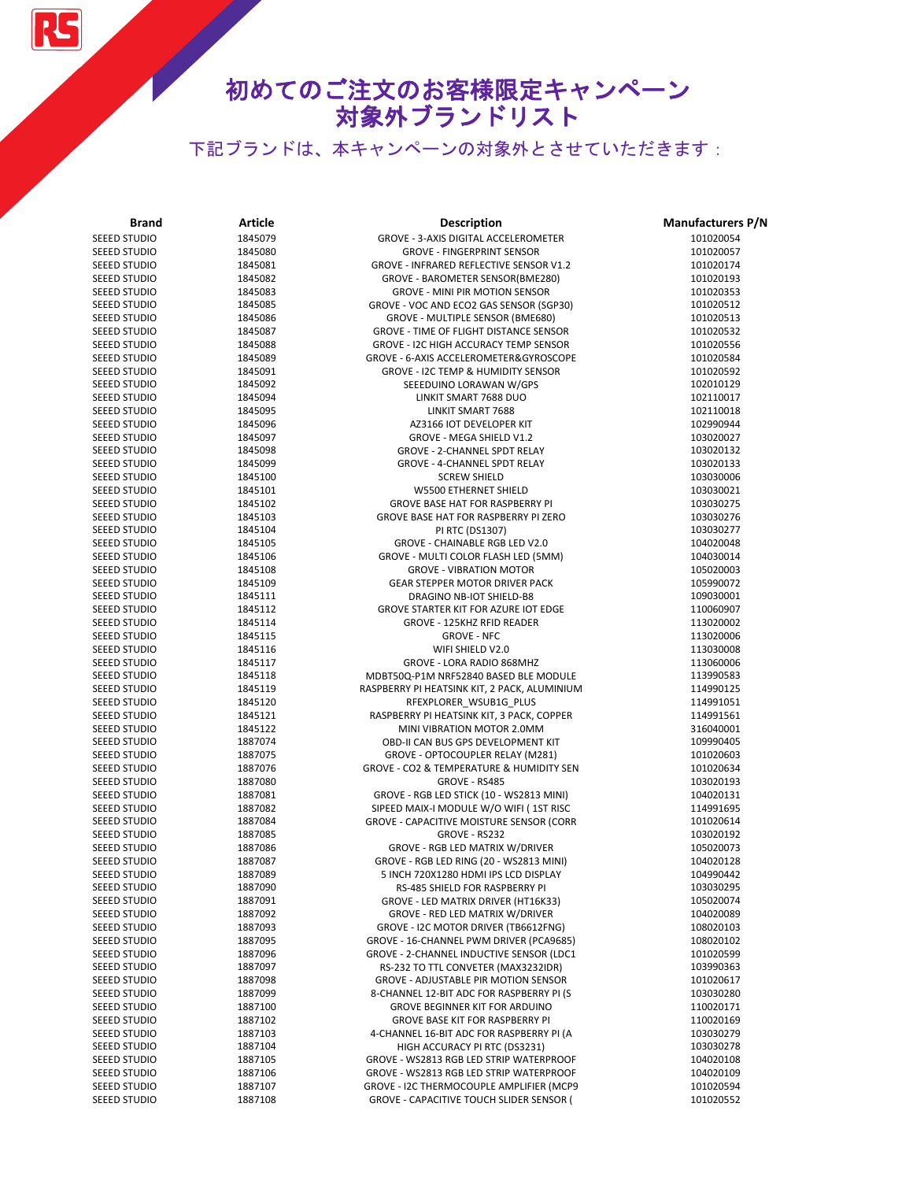

| <b>Brand</b>                 | <b>Article</b>     | Description                                                      | <b>Manufacturers P/N</b> |
|------------------------------|--------------------|------------------------------------------------------------------|--------------------------|
| SEEED STUDIO                 | 1845079            | GROVE - 3-AXIS DIGITAL ACCELEROMETER                             | 101020054                |
| SEEED STUDIO                 | 1845080            | <b>GROVE - FINGERPRINT SENSOR</b>                                | 101020057                |
| SEEED STUDIO                 | 1845081            | GROVE - INFRARED REFLECTIVE SENSOR V1.2                          | 101020174                |
| SEEED STUDIO                 | 1845082            | GROVE - BAROMETER SENSOR(BME280)                                 | 101020193                |
| SEEED STUDIO                 | 1845083            | <b>GROVE - MINI PIR MOTION SENSOR</b>                            | 101020353                |
| SEEED STUDIO                 | 1845085            | GROVE - VOC AND ECO2 GAS SENSOR (SGP30)                          | 101020512                |
| SEEED STUDIO                 | 1845086            | GROVE - MULTIPLE SENSOR (BME680)                                 | 101020513                |
| SEEED STUDIO                 | 1845087            | GROVE - TIME OF FLIGHT DISTANCE SENSOR                           | 101020532                |
| SEEED STUDIO                 | 1845088            | GROVE - I2C HIGH ACCURACY TEMP SENSOR                            | 101020556                |
| <b>SEEED STUDIO</b>          | 1845089            | GROVE - 6-AXIS ACCELEROMETER&GYROSCOPE                           | 101020584                |
| SEEED STUDIO                 | 1845091            | GROVE - I2C TEMP & HUMIDITY SENSOR                               | 101020592                |
| <b>SEEED STUDIO</b>          | 1845092            | SEEEDUINO LORAWAN W/GPS                                          | 102010129                |
| SEEED STUDIO                 | 1845094            | LINKIT SMART 7688 DUO                                            | 102110017                |
| SEEED STUDIO                 | 1845095            | LINKIT SMART 7688                                                | 102110018                |
| <b>SEEED STUDIO</b>          | 1845096            | AZ3166 IOT DEVELOPER KIT                                         | 102990944                |
| SEEED STUDIO                 | 1845097            | <b>GROVE - MEGA SHIELD V1.2</b>                                  | 103020027                |
| SEEED STUDIO                 | 1845098            | GROVE - 2-CHANNEL SPDT RELAY                                     | 103020132                |
| SEEED STUDIO                 | 1845099            | GROVE - 4-CHANNEL SPDT RELAY                                     | 103020133                |
| SEEED STUDIO                 | 1845100            | <b>SCREW SHIELD</b>                                              | 103030006                |
| SEEED STUDIO<br>SEEED STUDIO | 1845101<br>1845102 | W5500 ETHERNET SHIELD<br><b>GROVE BASE HAT FOR RASPBERRY PI</b>  | 103030021<br>103030275   |
| SEEED STUDIO                 | 1845103            | GROVE BASE HAT FOR RASPBERRY PI ZERO                             | 103030276                |
| SEEED STUDIO                 | 1845104            | PI RTC (DS1307)                                                  | 103030277                |
| SEEED STUDIO                 | 1845105            | <b>GROVE - CHAINABLE RGB LED V2.0</b>                            | 104020048                |
| SEEED STUDIO                 | 1845106            | GROVE - MULTI COLOR FLASH LED (5MM)                              | 104030014                |
| <b>SEEED STUDIO</b>          | 1845108            | <b>GROVE - VIBRATION MOTOR</b>                                   | 105020003                |
| SEEED STUDIO                 | 1845109            | <b>GEAR STEPPER MOTOR DRIVER PACK</b>                            | 105990072                |
| SEEED STUDIO                 | 1845111            | DRAGINO NB-IOT SHIELD-B8                                         | 109030001                |
| SEEED STUDIO                 | 1845112            | <b>GROVE STARTER KIT FOR AZURE IOT EDGE</b>                      | 110060907                |
| SEEED STUDIO                 | 1845114            | GROVE - 125KHZ RFID READER                                       | 113020002                |
| SEEED STUDIO                 | 1845115            | <b>GROVE - NFC</b>                                               | 113020006                |
| SEEED STUDIO                 | 1845116            | WIFI SHIELD V2.0                                                 | 113030008                |
| SEEED STUDIO                 | 1845117            | GROVE - LORA RADIO 868MHZ                                        | 113060006                |
| SEEED STUDIO                 | 1845118            | MDBT50Q-P1M NRF52840 BASED BLE MODULE                            | 113990583                |
| SEEED STUDIO                 | 1845119            | RASPBERRY PI HEATSINK KIT, 2 PACK, ALUMINIUM                     | 114990125                |
| SEEED STUDIO                 | 1845120            | RFEXPLORER_WSUB1G_PLUS                                           | 114991051                |
| SEEED STUDIO                 | 1845121            | RASPBERRY PI HEATSINK KIT, 3 PACK, COPPER                        | 114991561                |
| SEEED STUDIO                 | 1845122            | MINI VIBRATION MOTOR 2.0MM                                       | 316040001                |
| SEEED STUDIO                 | 1887074            | OBD-II CAN BUS GPS DEVELOPMENT KIT                               | 109990405                |
| SEEED STUDIO                 | 1887075            | GROVE - OPTOCOUPLER RELAY (M281)                                 | 101020603                |
| SEEED STUDIO                 | 1887076            | GROVE - CO2 & TEMPERATURE & HUMIDITY SEN                         | 101020634                |
| SEEED STUDIO                 | 1887080            | GROVE - RS485                                                    | 103020193                |
| SEEED STUDIO                 | 1887081            | GROVE - RGB LED STICK (10 - WS2813 MINI)                         | 104020131                |
| SEEED STUDIO<br>SEEED STUDIO | 1887082<br>1887084 | SIPEED MAIX-I MODULE W/O WIFI (1ST RISC                          | 114991695<br>101020614   |
| <b>SEEED STUDIO</b>          | 1887085            | <b>GROVE - CAPACITIVE MOISTURE SENSOR (CORR</b><br>GROVE - RS232 | 103020192                |
| SEEED STUDIO                 | 1887086            | GROVE - RGB LED MATRIX W/DRIVER                                  | 105020073                |
| <b>SEEED STUDIO</b>          | 1887087            | GROVE - RGB LED RING (20 - WS2813 MINI)                          | 104020128                |
| SEEED STUDIO                 | 1887089            | 5 INCH 720X1280 HDMI IPS LCD DISPLAY                             | 104990442                |
| SEEED STUDIO                 | 1887090            | RS-485 SHIELD FOR RASPBERRY PI                                   | 103030295                |
| SEEED STUDIO                 | 1887091            | GROVE - LED MATRIX DRIVER (HT16K33)                              | 105020074                |
| SEEED STUDIO                 | 1887092            | GROVE - RED LED MATRIX W/DRIVER                                  | 104020089                |
| SEEED STUDIO                 | 1887093            | GROVE - I2C MOTOR DRIVER (TB6612FNG)                             | 108020103                |
| <b>SEEED STUDIO</b>          | 1887095            | GROVE - 16-CHANNEL PWM DRIVER (PCA9685)                          | 108020102                |
| <b>SEEED STUDIO</b>          | 1887096            | GROVE - 2-CHANNEL INDUCTIVE SENSOR (LDC1                         | 101020599                |
| SEEED STUDIO                 | 1887097            | RS-232 TO TTL CONVETER (MAX3232IDR)                              | 103990363                |
| SEEED STUDIO                 | 1887098            | <b>GROVE - ADJUSTABLE PIR MOTION SENSOR</b>                      | 101020617                |
| SEEED STUDIO                 | 1887099            | 8-CHANNEL 12-BIT ADC FOR RASPBERRY PI (S                         | 103030280                |
| SEEED STUDIO                 | 1887100            | GROVE BEGINNER KIT FOR ARDUINO                                   | 110020171                |
| SEEED STUDIO                 | 1887102            | GROVE BASE KIT FOR RASPBERRY PI                                  | 110020169                |
| SEEED STUDIO                 | 1887103            | 4-CHANNEL 16-BIT ADC FOR RASPBERRY PI (A                         | 103030279                |
| SEEED STUDIO                 | 1887104            | HIGH ACCURACY PI RTC (DS3231)                                    | 103030278                |
| SEEED STUDIO                 | 1887105            | GROVE - WS2813 RGB LED STRIP WATERPROOF                          | 104020108                |
| SEEED STUDIO                 | 1887106            | GROVE - WS2813 RGB LED STRIP WATERPROOF                          | 104020109                |
| SEEED STUDIO                 | 1887107            | GROVE - I2C THERMOCOUPLE AMPLIFIER (MCP9                         | 101020594                |
| SEEED STUDIO                 | 1887108            | <b>GROVE - CAPACITIVE TOUCH SLIDER SENSOR (</b>                  | 101020552                |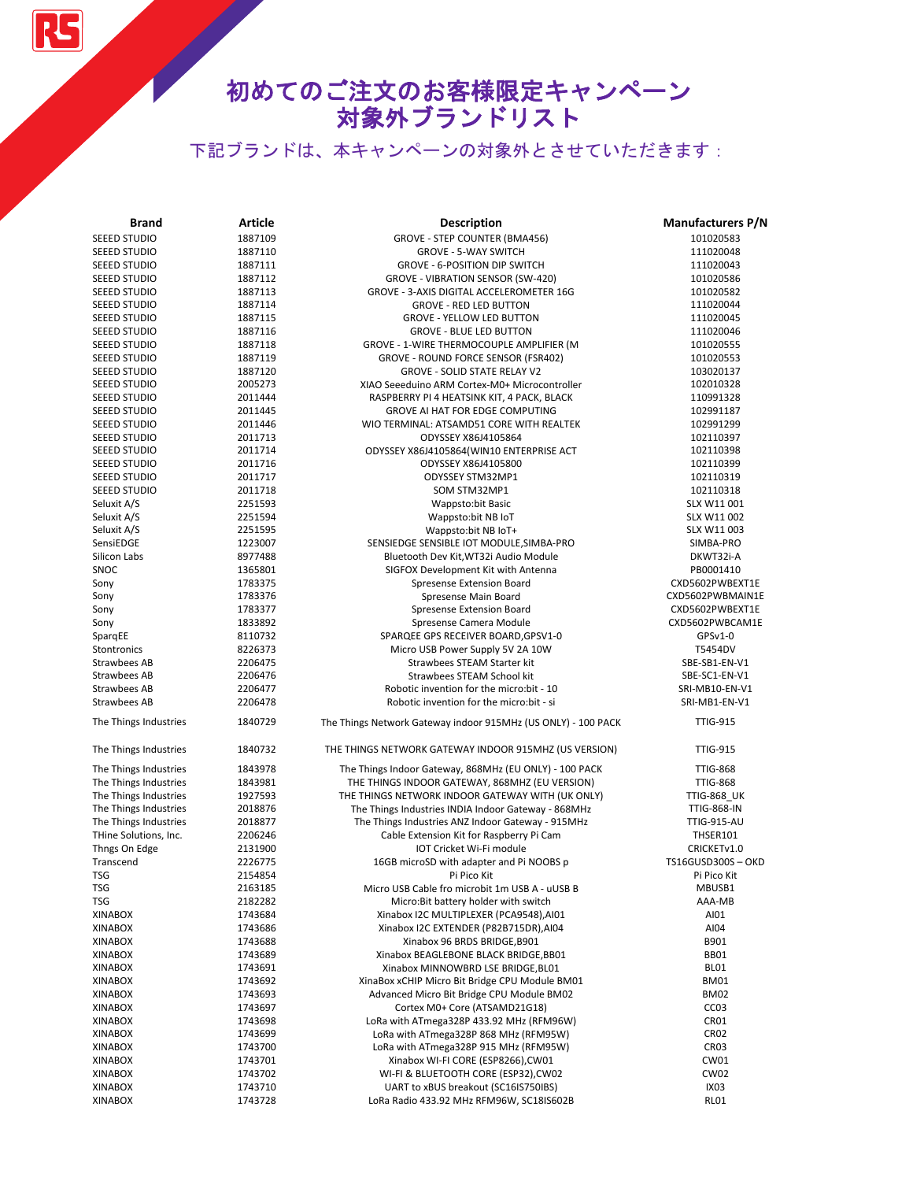RS

| <b>Brand</b>                                   | Article            | <b>Description</b>                                                                                              | <b>Manufacturers P/N</b>               |
|------------------------------------------------|--------------------|-----------------------------------------------------------------------------------------------------------------|----------------------------------------|
| <b>SEEED STUDIO</b>                            | 1887109            | GROVE - STEP COUNTER (BMA456)                                                                                   | 101020583                              |
| <b>SEEED STUDIO</b>                            | 1887110            | <b>GROVE - 5-WAY SWITCH</b>                                                                                     | 111020048                              |
| SEEED STUDIO                                   | 1887111            | <b>GROVE - 6-POSITION DIP SWITCH</b>                                                                            | 111020043                              |
| SEEED STUDIO                                   | 1887112            | GROVE - VIBRATION SENSOR (SW-420)                                                                               | 101020586                              |
| SEEED STUDIO                                   | 1887113            | GROVE - 3-AXIS DIGITAL ACCELEROMETER 16G                                                                        | 101020582                              |
| SEEED STUDIO                                   | 1887114            | <b>GROVE - RED LED BUTTON</b>                                                                                   | 111020044                              |
| SEEED STUDIO                                   | 1887115            | <b>GROVE - YELLOW LED BUTTON</b>                                                                                | 111020045                              |
| SEEED STUDIO                                   | 1887116            | <b>GROVE - BLUE LED BUTTON</b>                                                                                  | 111020046                              |
| SEEED STUDIO                                   | 1887118            | GROVE - 1-WIRE THERMOCOUPLE AMPLIFIER (M                                                                        | 101020555                              |
| SEEED STUDIO                                   | 1887119            | GROVE - ROUND FORCE SENSOR (FSR402)                                                                             | 101020553                              |
| SEEED STUDIO                                   | 1887120            | <b>GROVE - SOLID STATE RELAY V2</b>                                                                             | 103020137                              |
| SEEED STUDIO                                   | 2005273            | XIAO Seeeduino ARM Cortex-M0+ Microcontroller                                                                   | 102010328                              |
| <b>SEEED STUDIO</b>                            | 2011444            | RASPBERRY PI 4 HEATSINK KIT, 4 PACK, BLACK                                                                      | 110991328                              |
| <b>SEEED STUDIO</b>                            | 2011445            | GROVE AI HAT FOR EDGE COMPUTING                                                                                 | 102991187                              |
| <b>SEEED STUDIO</b>                            | 2011446            | WIO TERMINAL: ATSAMD51 CORE WITH REALTEK                                                                        | 102991299                              |
| <b>SEEED STUDIO</b>                            | 2011713            | ODYSSEY X86J4105864                                                                                             | 102110397                              |
| SEEED STUDIO                                   | 2011714            | ODYSSEY X86J4105864(WIN10 ENTERPRISE ACT                                                                        | 102110398                              |
|                                                | 2011716            | ODYSSEY X86J4105800                                                                                             |                                        |
| SEEED STUDIO                                   |                    |                                                                                                                 | 102110399                              |
| <b>SEEED STUDIO</b>                            | 2011717            | ODYSSEY STM32MP1                                                                                                | 102110319                              |
| SEEED STUDIO                                   | 2011718            | SOM STM32MP1                                                                                                    | 102110318                              |
| Seluxit A/S                                    | 2251593            | <b>Wappsto:bit Basic</b>                                                                                        | SLX W11 001                            |
| Seluxit A/S                                    | 2251594            | Wappsto:bit NB IoT                                                                                              | SLX W11 002                            |
| Seluxit A/S                                    | 2251595            | Wappsto:bit NB IoT+                                                                                             | SLX W11 003                            |
| SensiEDGE                                      | 1223007            | SENSIEDGE SENSIBLE IOT MODULE, SIMBA-PRO                                                                        | SIMBA-PRO                              |
| Silicon Labs                                   | 8977488            | Bluetooth Dev Kit, WT32i Audio Module                                                                           | DKWT32i-A                              |
| SNOC                                           | 1365801            | SIGFOX Development Kit with Antenna                                                                             | PB0001410                              |
| Sony                                           | 1783375            | Spresense Extension Board                                                                                       | CXD5602PWBEXT1E                        |
| Sony                                           | 1783376            | Spresense Main Board                                                                                            | CXD5602PWBMAIN1E                       |
| Sony                                           | 1783377            | Spresense Extension Board                                                                                       | CXD5602PWBEXT1E                        |
| Sony                                           | 1833892            | Spresense Camera Module                                                                                         | CXD5602PWBCAM1E                        |
| SpargEE                                        | 8110732            | SPARQEE GPS RECEIVER BOARD, GPSV1-0                                                                             | GPSv1-0                                |
| Stontronics                                    | 8226373            | Micro USB Power Supply 5V 2A 10W                                                                                | T5454DV                                |
| Strawbees AB                                   | 2206475            | Strawbees STEAM Starter kit                                                                                     | SBE-SB1-EN-V1                          |
| Strawbees AB                                   | 2206476            | Strawbees STEAM School kit                                                                                      | SBE-SC1-EN-V1                          |
| Strawbees AB                                   | 2206477            | Robotic invention for the micro:bit - 10                                                                        | SRI-MB10-EN-V1                         |
| Strawbees AB                                   | 2206478            | Robotic invention for the micro:bit - si                                                                        | SRI-MB1-EN-V1                          |
| The Things Industries                          | 1840729            | The Things Network Gateway indoor 915MHz (US ONLY) - 100 PACK                                                   | <b>TTIG-915</b>                        |
|                                                |                    |                                                                                                                 |                                        |
| The Things Industries<br>The Things Industries | 1840732<br>1843978 | THE THINGS NETWORK GATEWAY INDOOR 915MHZ (US VERSION)<br>The Things Indoor Gateway, 868MHz (EU ONLY) - 100 PACK | <b>TTIG-915</b><br><b>TTIG-868</b>     |
| The Things Industries                          | 1843981            | THE THINGS INDOOR GATEWAY, 868MHZ (EU VERSION)                                                                  | <b>TTIG-868</b>                        |
| The Things Industries                          | 1927593            | THE THINGS NETWORK INDOOR GATEWAY WITH (UK ONLY)                                                                | <b>TTIG-868_UK</b>                     |
| The Things Industries                          | 2018876            | The Things Industries INDIA Indoor Gateway - 868MHz                                                             | <b>TTIG-868-IN</b>                     |
| The Things Industries                          | 2018877            | The Things Industries ANZ Indoor Gateway - 915MHz                                                               | <b>TTIG-915-AU</b>                     |
|                                                |                    |                                                                                                                 |                                        |
| THine Solutions, Inc.                          | 2206246            | Cable Extension Kit for Raspberry Pi Cam                                                                        | THSER101                               |
| Thngs On Edge                                  | 2131900            | IOT Cricket Wi-Fi module                                                                                        | CRICKETv1.0<br><b>TS16GUSD300S-OKD</b> |
| Transcend                                      | 2226775            | 16GB microSD with adapter and Pi NOOBS p                                                                        |                                        |
| <b>TSG</b>                                     | 2154854            | Pi Pico Kit                                                                                                     | Pi Pico Kit                            |
| <b>TSG</b>                                     | 2163185            | Micro USB Cable fro microbit 1m USB A - uUSB B                                                                  | MBUSB1                                 |
| <b>TSG</b>                                     | 2182282            | Micro: Bit battery holder with switch                                                                           | AAA-MB                                 |
| <b>XINABOX</b>                                 | 1743684            | Xinabox I2C MULTIPLEXER (PCA9548),AI01                                                                          | AI01                                   |
| <b>XINABOX</b>                                 | 1743686            | Xinabox I2C EXTENDER (P82B715DR), AI04                                                                          | AI04                                   |
| <b>XINABOX</b>                                 | 1743688            | Xinabox 96 BRDS BRIDGE, B901                                                                                    | B901                                   |
| <b>XINABOX</b>                                 | 1743689            | Xinabox BEAGLEBONE BLACK BRIDGE, BB01                                                                           | <b>BB01</b>                            |
| <b>XINABOX</b>                                 | 1743691            | Xinabox MINNOWBRD LSE BRIDGE, BL01                                                                              | BL01                                   |
| <b>XINABOX</b>                                 | 1743692            | XinaBox xCHIP Micro Bit Bridge CPU Module BM01                                                                  | <b>BM01</b>                            |
| <b>XINABOX</b>                                 | 1743693            | Advanced Micro Bit Bridge CPU Module BM02                                                                       | <b>BM02</b>                            |
| <b>XINABOX</b>                                 | 1743697            | Cortex M0+ Core (ATSAMD21G18)                                                                                   | CC <sub>03</sub>                       |
| <b>XINABOX</b>                                 | 1743698            | LoRa with ATmega328P 433.92 MHz (RFM96W)                                                                        | CR01                                   |
| <b>XINABOX</b>                                 | 1743699            | LoRa with ATmega328P 868 MHz (RFM95W)                                                                           | CR <sub>02</sub>                       |
| <b>XINABOX</b>                                 | 1743700            | LoRa with ATmega328P 915 MHz (RFM95W)                                                                           | CR <sub>03</sub>                       |
| <b>XINABOX</b>                                 | 1743701            | Xinabox WI-FI CORE (ESP8266), CW01                                                                              | CW01                                   |
| <b>XINABOX</b>                                 | 1743702            | WI-FI & BLUETOOTH CORE (ESP32), CW02                                                                            | <b>CW02</b>                            |
| <b>XINABOX</b>                                 | 1743710            | UART to xBUS breakout (SC16IS750IBS)                                                                            | IX <sub>03</sub>                       |
| <b>XINABOX</b>                                 | 1743728            | LoRa Radio 433.92 MHz RFM96W, SC18IS602B                                                                        | RL01                                   |